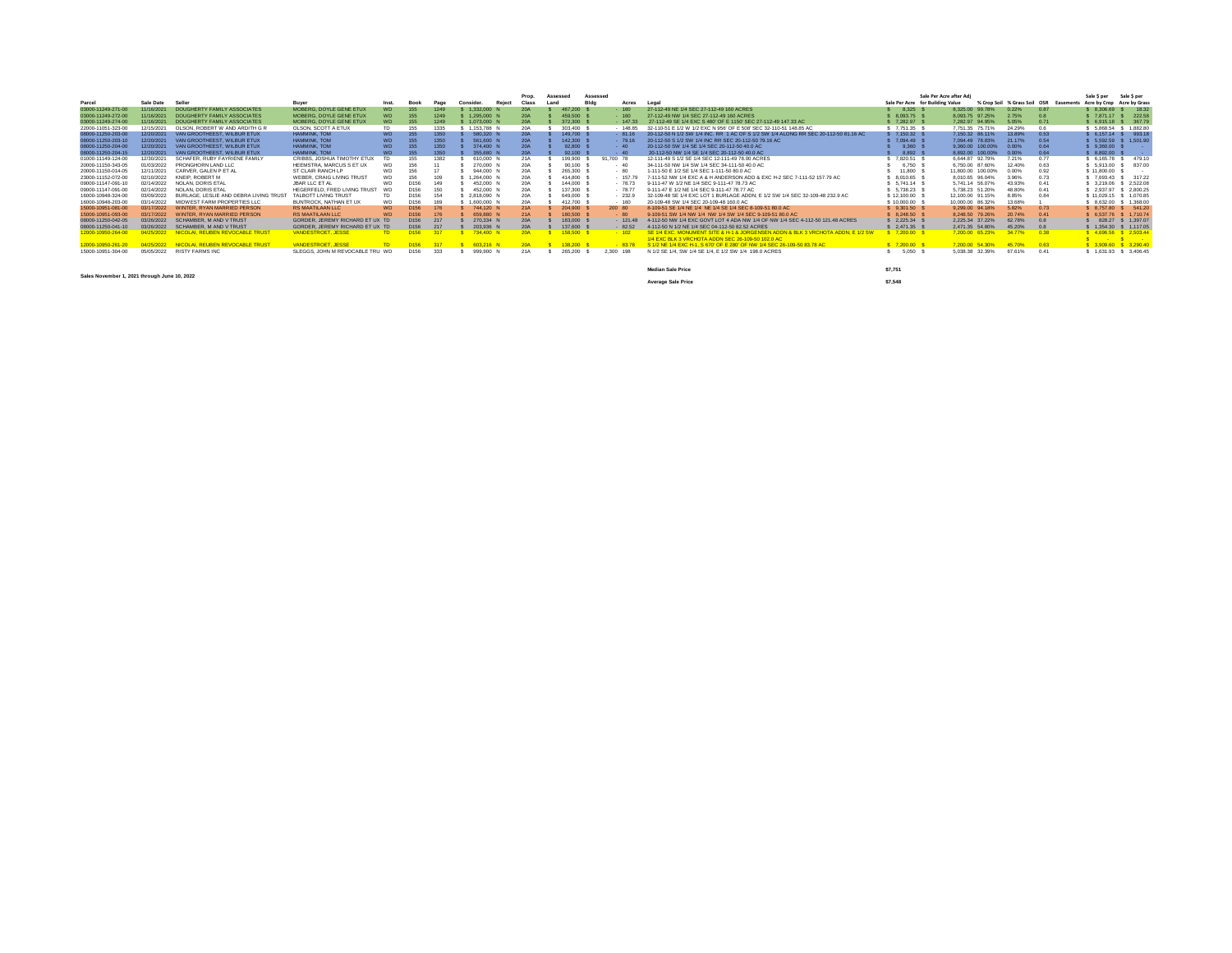|                    |            |                                       |                                 |           |                  |      |           |        | Prop.      | Assessed |            | Assessed  |                                                                                                                                      | Sale Per Acre after Adi          |                            |                                        | Sale \$ per                | Sale \$ per            |
|--------------------|------------|---------------------------------------|---------------------------------|-----------|------------------|------|-----------|--------|------------|----------|------------|-----------|--------------------------------------------------------------------------------------------------------------------------------------|----------------------------------|----------------------------|----------------------------------------|----------------------------|------------------------|
| Parcel             | Sale Date  | Seller                                | Buyer                           | Inst.     | <b>Book</b>      | Page | Consider. | Reject | Class      | Land     |            | Acres     | Legal                                                                                                                                | Sale Per Acre for Building Value |                            | % Crop Soil % Grass Soil OSR Easements | Acre by Crop Acre by Grass |                        |
| 03000-11249-271-00 | 11/16/2021 | <b>DOUGHERTY FAMILY ASSOCIATES</b>    | MOBERG, DOYLE GENE ETUX         | WI        |                  | 1249 | 1.332.000 |        | <b>20A</b> |          | 467.200    | $-160$    | 27-112-49 NE 1/4 SEC 27-112-49 160 ACRES                                                                                             | 8.325                            | 8.325.00 99.78%<br>0.22%   | 0.87                                   | \$8.306.69 \$18.32         |                        |
| 03000-11249-272-00 | 11/16/2021 | DOUGHERTY FAMILY ASSOCIATES           | MOBERG, DOYLE GENE ETUX         | WD        | 155              | 1249 | 1,295,000 |        | <b>20A</b> |          | 459,500    | $-160$    | 27-112-49 NW 1/4 SEC 27-112-49 160 ACRES                                                                                             | 8.093.75                         | 8.093.75 97.25%<br>2.75%   | 0.8                                    | \$7.871.17 \$222.58        |                        |
| 03000-11249-274-00 | 11/16/2021 | DOUGHERTY FAMILY ASSOCIATES           | MOBERG, DOYLE GENE ETUX         | WD        |                  |      | 1.073.000 |        | <b>20A</b> |          | 372,300    | $-147.33$ | 27-112-49 SE 1/4 EXC S 480' OF E 1150' SEC 27-112-49 147 33 AC                                                                       | 7.282.97                         | 7.282.97 94.95%<br>5.05%   | 0.71                                   |                            | 6.915.18 \$ 367.79     |
| 22000-11051-323-00 | 12/15/2021 | OLSON, ROBERT W AND ARDITH G R        | OLSON, SCOTT A ETUX             | <b>TD</b> |                  | 1335 | 1,153,788 |        | 20A        |          | 303,400    | $-148.85$ | 32-110-51 E 1/2 W 1/2 EXC N 956' OF E 508' SEC 32-110-51 148.85 AC                                                                   | \$7,751.35                       | 7,751.35 75.71%<br>24.29%  |                                        |                            | 5.868.54 \$ 1.882.80   |
| 08000-11250-203-00 | 12/20/2021 | VAN GROOTHEEST, WILBUR ETUX           | <b>HAMMINK TOM</b>              | <b>WD</b> | 155              | 1350 | 580,320   |        | <b>20A</b> |          | 149,700 \$ | $-81.16$  | 20-112-50 N 1/2 SW 1/4 INC. RR 1 AC OF S 1/2 SW 1/4 ALONG RR SEC 20-112-50 81.16 AC                                                  | \$7.150.32                       | 7.150.32 86.11%<br>13,89%  | 0.53                                   |                            | \$ 6.157.14 \$ 993.18  |
| 08000-11250-203-10 | 12/20/2021 | VAN GROOTHEEST, WILBUR ETUX           | HAMMINK, TOM                    | WD        | 155              | 1350 | 561,600   |        | <b>20A</b> |          | 142,300 \$ | $-79.16$  | 20-112-50 S 1/2 SW 1/4 INC RR SEC 20-112-50 79.16 AC                                                                                 | 7.094.49                         | 21.17%<br>7.094.49 78.83%  | 0.54                                   |                            | 5 5.592.59 \$ 1.501.90 |
| 08000-11250-204-00 | 12/20/2021 | VAN GROOTHEEST, WILBUR ETUX           | <b>HAMMINK, TOM</b>             | <b>WD</b> |                  | 1350 | 374,400   |        | <b>20A</b> |          | 92,800 \$  |           | 20-112-50 SW 1/4 SE 1/4 SEC 20-112-50 40.0 AC                                                                                        | 9.360                            | 9.360.00 100.00%<br>0.00%  | 0.64                                   | \$9.360.00 \$              |                        |
| 08000-11250-204-15 | 12/20/2021 | VAN GROOTHEEST. WILBUR ETUX           | <b>HAMMINK, TOM</b>             | WD        | 155              | 1350 | 355,680   |        | <b>20A</b> |          | 92.100 \$  | $-40$     | 20-112-50 NW 1/4 SE 1/4 SEC 20-112-50 40.0 AC                                                                                        | 8.892                            | 8,892.00 100.00%<br>0.00%  | 0.64                                   | 8.892.00 \$                | <b>Contract</b>        |
| 01000-11149-124-00 | 12/30/2021 | SCHAFFR RURY FAYRIENE FAMILY          | CRIBBS. JOSHUA TIMOTHY ETUX     | <b>TD</b> | 155              | 1382 | 610,000   |        | 21A        |          | 199,900    | 91.700 78 | 12-111-49 S 1/2 SE 1/4 SEC 12-111-49 78.00 ACRES                                                                                     | 7.820.51                         | 6.644.87 92.79%<br>7.21%   | 0.77                                   |                            | 6.165.78 \$479.10      |
| 20000-11150-343-05 | 01/03/2022 | PRONGHORN LAND LLC                    | HEEMSTRA, MARCUS S ET UX        | WD        | 156              |      | 270,000   |        | 20A        |          | 90.100     | - 40      | 34-111-50 NW 1/4 SW 1/4 SEC 34-111-50 40.0 AC                                                                                        | 6.750                            | 6,750.00 87.60%<br>12.40%  | 0.63                                   | 5 5,913.00 \$ 837.00       |                        |
| 20000-11150-014-05 | 12/11/2021 | CARVER, GALEN P ET AL                 | ST CLAIR RANCH LP               | WD        | 156              |      | 944,000   |        | 20A        |          | 265,300    | $-80$     | 1-111-50 E 1/2 SE 1/4 SEC 1-111-50 80.0 AC                                                                                           | 11,800                           | 11.800.00 100.00%<br>0.00% | 0.92                                   | \$11,800.00 \$             |                        |
| 23000-11152-072-00 | 02/10/2022 | KNEIP, ROBERT M                       | WEBER, CRAIG LIVING TRUST       |           | 156              | 109  | 1,264,000 |        | <b>20A</b> |          | 414,800    | $-15779$  | 7-111-52 NW 1/4 EXC A & H ANDERSON ADD & EXC H-2 SEC 7-111-52 157.79 AC                                                              | 8.010.65                         | 8.010.65 96.04%<br>3.96%   | 0.73                                   | 3 7.693.43 \$ 317.22       |                        |
| 09000-11147-091-10 | 02/14/2022 | NOLAN, DORIS ETAL                     | JBAR LLC ET AL                  | WD        | D156             | 149  | 452,000   |        | 20A        |          | 144,000 \$ | $-78.73$  | 9-111-47 W 1/2 NE 1/4 SEC 9-111-47 78.73 AC                                                                                          | 5.741.14                         | 43.93%<br>5.741.14 56.07%  | 0.41                                   | 3,219.06 \$ 2,522.08       |                        |
| 09000-11147-091-00 | 02/14/2022 | NOLAN, DORIS ETAL                     | HEGERFELD. FRED LIVING TRUST    |           | D156             | 150  | 452,000   |        | 20A        |          | 137,300    | $-78.77$  | 9-111-47 E 1/2 NE 1/4 SEC 9-111-47 78.77 AC                                                                                          | 5.738.23                         | 5.738.23 51.20%<br>48,80%  | 0.41                                   | 2.937.97 \$ 2.800.25       |                        |
| 16000-10948-324-00 | 03/09/2022 | BURLAGE, LESLIE AND DEBRA LIVING TRUS | TALBOTT LIVING TRUST            | <b>TD</b> | D156             | 154  | 2.818.090 |        | 20A        |          | 649,000    | $-232.9$  | 32-109-48 SE 1/4 EXC LOT 1 BURLAGE ADDN: E 1/2 SW 1/4 SEC 32-109-48 232 9 AC                                                         | \$12,100.00                      | 12.100.00 91.15%<br>8.85%  | 0.84                                   | \$11.029.15 \$1.070.85     |                        |
| 16000-10948-203-00 | 03/14/2022 | MIDWEST FARM PROPERTIES LLC.          | BUNTROCK, NATHAN ET UX          | WD        | D156             | 169  | 1,600,000 |        | 20A        |          | 412,700    | $-160$    | 20-109-48 SW 1/4 SEC 20-109-48 160.0 AC                                                                                              | 10.000.00                        | 10.000.00 86.32%<br>13.68% |                                        |                            | 8.632.00 \$ 1.368.00   |
| 15000-10951-081-00 | 03/17/2022 | WINTER, RYAN MARRIED PERSON           | <b>RS MAATILAAN LLC</b>         | WD        | D156             | 176  | 744.120 N |        | 21A        |          | 204.900    | 200 80    | 8-109-51 SE 1/4 NE 1/4 NE 1/4 SE 1/4 SEC 8-109-51 80.0 AC                                                                            | \$9.301.50                       | 9.299.00 94.18%<br>5.82%   | 0.73                                   | \$ 8,757.80 \$ 541.20      |                        |
| 15000-10951-093-00 | 03/17/2022 | WINTER, RYAN MARRIED PERSON           | <b>RS MAATILAAN LLC</b>         | WI        | D156             |      | 659,880   |        | 21A        |          | 180,500    | $-80$     | 9-109-51 SW 1/4 NW 1/4 NW 1/4 SW 1/4 SEC 9-109-51 80 0 AC                                                                            | \$8,248.50                       | 8.248.50 79.26%<br>20,74%  | 0.41                                   |                            | 6.537.76 \$ 1.710.74   |
| 08000-11250-042-05 | 03/26/2022 | SCHAMBER, M AND V TRUST               | GORDER, JEREMY RICHARD ET UX TD |           | D156             | 217  | 270.334 N |        | <b>20A</b> |          | 183,000 \$ | $-121.48$ | 4-112-50 NW 1/4 EXC GOVT LOT 4 ADA NW 1/4 OF NW 1/4 SEC 4-112-50 121.48 ACRES                                                        | \$2.225.34                       | 62,78%<br>2.225.34 37.22%  | 0.8                                    |                            | 828.27 \$ 1.397.07     |
| 08000-11250-041-10 | 03/26/2022 | SCHAMBER, M AND V TRUST               | GORDER, JEREMY RICHARD ET UX TD |           | D156             | 217  | 203,936   |        | <b>20A</b> |          | 137,600 \$ | $-82.52$  | 4-112-50 N 1/2 NE 1/4 SEC 04-112-50 82.52 ACRES                                                                                      | \$2,471.35                       | 2,471.35 54.80%<br>45.20%  | 0.8                                    |                            | 1,354.30 \$ 1,117.05   |
|                    |            | NICOLAI, REUBEN REVOCABLE TRUST       | <b>VANDESTROET, JESSE</b>       |           | D <sub>156</sub> |      | 734,400 M |        |            |          | 158,500    | $-102$    | SE 1/4 EXC. MONUMENT SITE & H-1 & JORGENSEN ADDN & RLK 3 VRCHOTA ADDN: E 1/2 SV<br>1/4 EXC BLK 3 VRCHOTA ADDN SEC 26-109-50 102.0 AC | 7.200.00                         | 7.200.00 65.23%            | 0.38                                   | \$ 4.696.56 \$ 2.503.44    | $\sim$ $\sim$          |
| 12000-10950-261-20 |            | NICOLAL REUREN REVOCABLE TRUST        | VANDESTROET JESSE               |           | D <sub>156</sub> |      | 603.216 N |        | <b>20A</b> |          | 138,200    | $-8378$   | S 1/2 NE 1/4 EXC H-1, S 670' OF E 280' OF NW 1/4 SEC 26-109-50 83.78 AC                                                              | \$7,200.00                       | 7.200.00 54.30%<br>45 70%  | 0.63                                   | \$ 3,909.60 \$ 3,290.40    |                        |
| 15000-10951-304-00 | 05/05/2022 | <b>RISTY FARMS INC</b>                | SLEGGS, JOHN M REVOCABLE TRU WD |           | D156             | 333  | 999,900 N |        | 21A        |          | 265,200    | 2.300 198 | N 1/2 SE 1/4, SW 1/4 SE 1/4, E 1/2 SW 1/4 198.0 ACRES                                                                                | 5.050                            | 67.61%<br>5.038.38 32.39%  | 0.41                                   | \$1,631.93 \$3,406.45      |                        |
|                    |            |                                       |                                 |           |                  |      |           |        |            |          |            |           |                                                                                                                                      |                                  |                            |                                        |                            |                        |
|                    |            |                                       |                                 |           |                  |      |           |        |            |          |            |           | <b>Median Sale Price</b>                                                                                                             | \$7.751                          |                            |                                        |                            |                        |

**Sales November 1, 2021 through June 10, 2022**

**Average Sale Price \$7,548**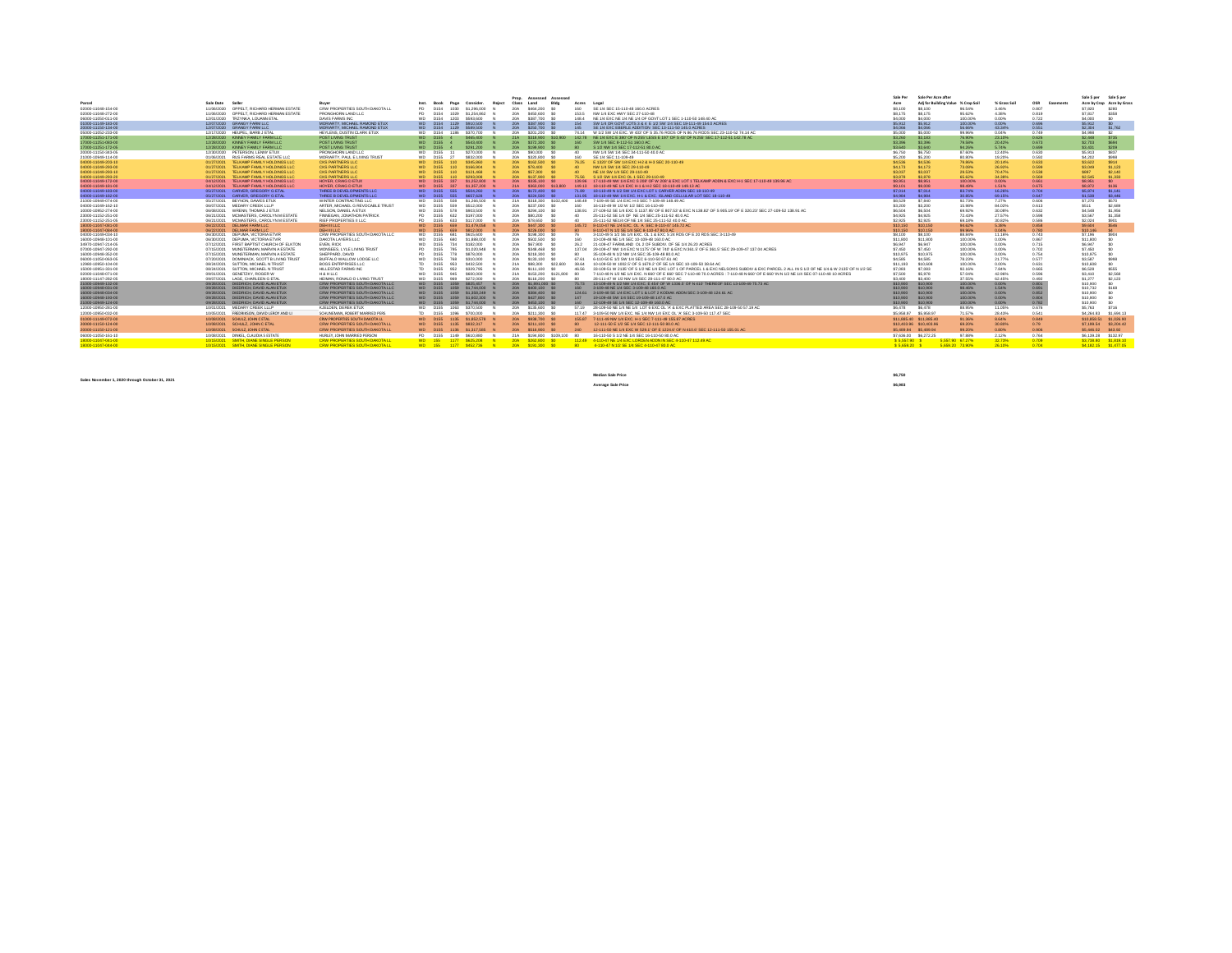|                                                                                             |                                                     |                                                                 |            | Prop. Assessed Assessed        |               |                                                                                                                                           | Sale Per            | Sale Per Acre after               |                  |                  |                  | Sale S per          | Sale S per                 |
|---------------------------------------------------------------------------------------------|-----------------------------------------------------|-----------------------------------------------------------------|------------|--------------------------------|---------------|-------------------------------------------------------------------------------------------------------------------------------------------|---------------------|-----------------------------------|------------------|------------------|------------------|---------------------|----------------------------|
| Parcel<br>Sale Date                                                                         | Buyer                                               | Pane<br>Consider                                                | Class      |                                | Acres         |                                                                                                                                           | Arro                | Adi for Building Value % Crop Soi |                  | % Grass Soil     | OSR<br>Fasements |                     | Acre by Crop Acre by Grass |
| OPPELT, RICHARD HERMAN ESTATE<br>02000-11048-154-00<br>11/08/2020                           | CRW PROPERTIES SOUTH DAKOTA LL                      | PD.<br>D154<br>1030<br>\$1,296,000                              | 20A        | \$464,200<br>-50               | 160           | SE 1/4 SEC 15-110-48 160.0 ACRES                                                                                                          | \$8.100             | \$8,100                           | 96.54%           | 3.46%            | 0.807            | \$7.820             | \$280                      |
| 02000-11048-272-00<br>11/06/2020<br>OPPELT, RICHARD HERMAN ESTATE                           | PRONGHORN LAND LLC                                  | <b>PD</b><br>D154<br>1029<br>\$1,254,862                        | 20A        | \$450,600<br>50                | 153.5         | NW 1/4 EXC HWY SEC 27-110-48                                                                                                              | \$8.175             | \$8.175                           | 95.62%           | 4.38%            | 0.819            | \$7,817             | \$358                      |
| 06000-11050-011-00<br>TRZYNKA, LOUANN ETAL<br>12/01/2020                                    | DAVIS FARMS INC                                     | <b>WD</b><br>D154<br>1203<br>\$593,600                          | 20A        | \$387,700 \$0                  | 148.4         | NE 1/4 EXC NE 1/4 NE 1/4 OF GOVT LOT 1 SEC 1-110-50 148.40 AC                                                                             | \$4,000             | \$4,000                           | 100,00%          | 0.00%            | 0.722            | \$4,000             |                            |
| 12/07/2020 GRANGY FARM LLC<br>01000-11149-183-00                                            | MORIARTY, MICHAEL RAMOND ETUX                       | WD D154<br>1129<br>\$910,500                                    | 20A        | \$387,900                      | 154           | SW 1/4 OR GOVT LOTS 3 & 4 E 1/2 SW 1/4 SEC 18-111-49 154.0 ACRES                                                                          | \$5,912             | \$5.912                           | 100.00%          | 0.00%            | 0.696            | \$5,912             |                            |
| 20000-11150-134-00<br>12/07/2020 GRANGY FARM LLC                                            | MORIARTY, MICHAEL RAMOND ETUX                       | WD D154<br>1129<br>\$589,500                                    | 20A        | \$250,700                      | 145           | SE 1/4 EXC EBERLE ADDITION SEC 13-111-50 145.0 ACRES                                                                                      | \$4,066             | \$4,066                           | 56,66%           | 43.34%           | 0.551            | \$2,304             | \$1,762                    |
| 05000-11052-233-00<br>12/17/2020 HEUPEL, BARB J ETAL                                        | HEYLENS, DUSTIN CLARK ETUX                          | WD D154<br>1196                                                 | 204        |                                | 74 14         | W 1/2 SW 1/4 EXC, W 433' OF S 35.76 RODS OF N 86.76 RODS SEC 23-110-52 74.14 A                                                            | \$5,000             | \$5,000                           | 99,96%           | 0.04%            | 0.749            | \$4,998             | 62                         |
| 17000-11251-171-00<br>KINNEY FAMILY FARM LLC<br>12/28/2020                                  | POST LIVING TRUST                                   | WD D155 4<br>\$465,400                                          | 21A        | \$318,900 \$10,900             | 142.78        | NE 1/4 EXC E 380' OF N 255' LESS E 197' OF S 43' OF N 255' SEC 17-112-51 142.78 AC                                                        | \$3,260             | \$3,183                           | 76,90%           | 23.10%           | 0.626            | \$2,448             | \$735                      |
| 17000-11251-083-00<br>12/28/2020<br>KINNEY FAMILY FARM LLC                                  | POST LIVING TRUST                                   | WD D155<br>\$543,400                                            | 20A        | \$372,300                      | 160           | SW 1/4 SEC 8-112-51 160.0 AC                                                                                                              | \$3,396             | \$3,396                           | 79,58%           | 20.42%           | 0.673            | \$2,703             | <b>S694</b>                |
| 17000-11251-172-05<br>12/28/2020 KINNEY FAMILY FARM LLC                                     | PORT LIMING TRUST                                   | WD D155 4<br>\$291,200                                          |            | 204 \$199,900 \$0              |               | S 1/2 NW 1/4 SEC 17-112-51 80 0 AC                                                                                                        | <b>GAS2</b>         | 53 640                            | 94.26%           | 5.74%            | 0.699            | \$3,431             | \$209                      |
| 20000-11150-343-05<br>PETERSON, LENNY ETUX<br>12/30/2020                                    | PRONGHORN LAND LLC                                  | \$270,000<br><b>WD</b><br>D155 11                               | 20A        | \$90,000<br>- 50               | 40            | NW 1/4 SW 1/4 SEC 34-111-50 40.0 AC                                                                                                       | \$6,750             | \$6,750                           | 87 60%           | 12,40%           | 0.630            | \$5,913             | \$837                      |
| 21000-10949-114-00<br>01/06/2021<br>RUS FARMS REAL ESTATE LLC                               | MORIARTY, PAUL E LIVING TRUST                       | WD D155<br>\$832,000<br>27                                      | 20A        | \$320,800 \$0                  | 160           | SE 1/4 SEC 11-109-49                                                                                                                      | \$5,200             | \$5,200                           | 80,80%           | 19,20%           | 0.592            | \$4,202             | \$998                      |
| 04000-11049-203-10<br>01/27/2021<br>TELKAMP FAMILY HOLDINGS LLC                             | CKS PARTNERS LLC                                    | <b>WD D155</b><br>110<br>\$345,880                              | 20A        | \$162,500 \$0                  | 76.25         | E 1320' OF SW 1/4 EXC H-2 & H-3 SEC 20-110-49                                                                                             | \$4,536             | \$4,536                           | 79,86%           | 2014%            | 0.633            | \$3,622             | S914                       |
| 04000-11049-293-00<br>01/27/2021<br>TELKAMP FAMILY HOLDINGS LLC                             | CKS PARTNERS LLC                                    | D <sub>155</sub><br>110<br>\$166,904                            | 20A        | \$78,400                       |               | NW 1/4 SW 1/4 SEC 29-110-49                                                                                                               | \$4,173             | S4.173                            | 73.08%           | 26.92%           | 0.599            | \$3.049             | \$1,123                    |
| TELKAMP FAMILY HOLDINGS LLC<br>01/27/2021<br>04000-11049-293-10                             | CKS PARTNERS LLC                                    | D155 110 \$121,468                                              | 20A        | \$57,300                       |               | NE 1/4 SW 1/4 SEC 29-110-49                                                                                                               | \$3.037             | \$3.037                           | 29.53%           | 70.47%           | 0.538            | \$897               | S2.140                     |
| 01/27/2021<br>TELKAMP FAMILY HOLDINGS LLC<br>04000-11049-293-20                             | CKS PARTNERS LLC                                    | D155<br>\$293,008<br>110                                        | <b>20A</b> | \$137,900                      | 75.56         | S 1/2 SW 1/4 EXC OL 1 SEC 29-110-49                                                                                                       | \$3,878             | \$3,878                           | 65.62%           | 34.38%           | 0.589            | \$2.545             | \$1,333                    |
| 04000-11049-172-00<br>04/12/2021<br>TELKAMP FAMILY HOLDINGS LLC                             | HOYER, CRAIG D ETUX                                 | WD D155<br>337<br>\$1,252,800                                   | 20A        | \$335,100 \$0                  | 139.96        | 17-110-49 NW 1/4 EXC S 208' OF W 208' & EXC LOT 1 TELKAMP ADDN & EXC H-1 SEC 17-110-49 139.96 AC                                          | \$8,951             | \$8,951                           | 100,00%          | 0.00%            | 0.661            | \$8,951             | SO.                        |
| 04000-11049-181-00<br>TELKAMP FAMILY HOLDINGS LLC<br>04/12/2021                             | HOYER, CRAIG D ETUX                                 | D <sub>155</sub><br>337<br>\$1,357,200                          | 21A        | \$383,000 \$13,800             | 149.13        | 18-110-49 NE 1/4 EXC H-1 & H-2 SEC 18-110-49 149.13 AC                                                                                    | \$9,101             | \$9,008                           | 98.49%           | 1,51%            | 0.675            | \$8,872             | \$136                      |
| CARVER, GREGORY G ETAL<br>04000-11049-183-00<br>05/27/2021                                  | THREE B DEVELOPMENTS LLC                            | WD D155 555<br>\$504,280                                        | 20A        | \$172,400 \$0                  | 71.89         | 18-110-49 N 1/2 SW 1/4 EXC LOT 1 CARVER ADDN SEC 18-110-49                                                                                | \$7.014             | \$7,014                           | 83.74%           | 16.26%           | 0.704            | \$5,874             | S1.141                     |
| 04000-11049-182-00<br>05/27/2021<br>CARVER, GREGORY G ETAL                                  | THREE B DEVELOPMENTS LLC                            | <b>SAS7 828</b><br>D155                                         | 204        | \$224,500                      |               | 131.95 18-110-49 NW 1/4 EXC. H-1 & EXC. ISLAND CELLULAR LOT SEC 18-110-49                                                                 | 3.80.3.2            | \$4,984                           | 30,85%           | 69.15%           | 0.647            | \$1,538             | 53,446                     |
| 21000-10949-074-00<br>05/27/2021 BEYNON, DAWES ETUX                                         | WINTER CONTRACTING LLC                              | \$1,266,500<br>D155<br>508<br><b>WD</b>                         | 21A        | \$318,300 \$102,400<br>- so    |               | 148.49 7-109-49 SE 1/4 EXC H-3 SEC 7-109-49 148.49 AC                                                                                     | \$8,529             | \$7,840                           | 92,73%           | 7.27%            | 0.606            | \$7,270             | \$570                      |
| MEDARY CREEK LLLP<br>04000-11049-162-10<br>06/07/2021                                       | ARTER MICHAEL G REVOCABLE TRUST                     | D155<br>559<br>\$512,000<br><b>WD</b><br><b>WD</b><br>\$903,500 | 20A        | \$237,000<br>\$294,100<br>- SO | 160<br>138.91 | 16-110-49 W 1/2 W 1/2 SEC 16-110-49                                                                                                       | \$3,200             | \$3,200<br>\$6,504                | 15,98%           | 84.02%           | 0.613            | \$511<br>\$4,548    | \$2,689                    |
| WRENN, THOMAS J ETUX<br>10000-10952-274-00<br>06/08/2021                                    | NELSON, DANIEL A ETUX<br>FINNEGAN, JONATHON PATRICK | D155<br>578<br>\$197,000<br><b>PD</b><br>D155<br>632            | 20A<br>20A | \$80,200                       |               | 27-109-52 SE 1/4 EXC S 1137.95 OF E 807.53' & EXC N 138.82' OF S 905.19' OF E 320.23' SEC 27-109-52 138.91 AC                             | \$6,504<br>\$4,925  | \$4,925                           | 69,92%<br>72,43% | 30.08%<br>27.57% | 0.632<br>0.598   | \$3,567             | \$1,956<br>\$1,358         |
| 23000-11152-251-00<br>06/21/2021<br>MCMASTERS, CAROLYN M ESTATE                             |                                                     |                                                                 |            |                                |               | 25-111-52 SE 1/4 OF NE 1/4 SEC 25-111-52 40.0 AC                                                                                          |                     |                                   |                  |                  |                  |                     |                            |
| 23000-11152-251-05<br>06/21/2021<br>MCMASTERS, CAROLYN M ESTATE<br>18000-11047-081-00       | RIEF PROPERTIES II LLC<br><b>DEHIILLC</b>           | D155<br>PD.<br>633<br>\$117,000<br>WD D155 659<br>\$1,479,058   | 20A<br>20A | \$78,650<br>\$447,300 \$0      | 145.72        | 25-111-52 NE1/4 OF NE 1/4 SEC 25-111-52 40.0 AC<br>8-110-47 NE 1/4 EXC, OL A SEC 8-110-47 145.72 AC                                       | \$2,925<br>\$10,150 | \$2.925<br>\$10,150               | 69,18%<br>94.62% | 30.82%<br>5.38%  | 0.586<br>0.858   | \$2.024<br>\$9,604  | \$901<br><b>S546</b>       |
| 06/22/2021<br><b>DELMAR FARM LLC</b><br>18000-11047-084-00<br>DELMAR FARM LLC<br>06/22/2021 | <b>DEHILLIC</b>                                     | 659<br>WD D155<br>\$812,000                                     | 204        | \$226,000 \$0                  |               | 8-110-47 N 1/2 SE 1/4 SEC 8-110-47 80.0 AC                                                                                                | \$10,150            | \$10,150                          | 99.96%           | 0.04%            | 0.780            | \$10,146            |                            |
| DEPUMA VICTORIA ETVIR<br>04000-11049-034-10<br>06/30/2021                                   | CRW PROPERTIES SOUTH DAKOTA LLC                     | <b>WD</b><br>D155<br>\$615,600<br>681                           | 20A        | \$198,300 \$0                  |               | 3-110-49 S 1/2 SE 1/4 EXC, OL 1 & EXC S 24 RDS OF E 20 RDS SEC 3-110-49                                                                   | \$8,100             | \$8,100                           | 88, 84%          | 11.16%           | 0.743            | \$7,196             | \$904                      |
| DEPUMA VICTORIA ETVIR<br>16000-10948-101-00<br>06/30/2021                                   | <b>DAKOTA LAYERS LLC</b>                            | <b>WD</b><br>D155<br>\$1,888,000<br>680                         | 204        | \$502,500<br>50                | 160           | 10-109-48 NF 1/4 SEC 10-109-48 160.0 AC                                                                                                   | \$11,800            | \$11,800                          | 100,00%          | 0.00%            | 0.867            | \$11,800            | SO <sub>1</sub>            |
| 34970-10947-214-05<br>07/12/2021<br>FIRST BAPTIST CHURCH OF ELKTON                          | EVEN RICK                                           | D155<br>WD<br>734<br>\$182,000                                  | 20A        | \$67,900                       | 26.2          | 21-109-47 FARMLAND OL 2 OF SUBDIV, OF SE 1/4 26.20 ACRES                                                                                  | \$6,947             | \$6,947                           | 100.00%          | 0.00%            | 0.715            | \$6,947             |                            |
| 07000-10947-292-00<br>07/15/2021<br>MUNSTERMAN, MARVIN A ESTATE                             | MONSEES, LYLE LIVING TRUST                          | D155<br>795<br>\$1,020,948                                      | 20A        | \$348,468                      | 137.04        | 29-109-47 NW 1/4 EXC N 1175' OF W 740' & EXC N 361.5' OF E 361.5' SEC 29-109-47 137.04 ACRES                                              | \$7,450             | \$7,450                           | 100.00%          | 0.00%            | 0.702            | \$7,450             |                            |
| MUNRTERMAN, MARVIN A ESTATE<br>16000-10948-352-00<br>07/15/2021                             | SHEPPARD DAVID                                      | D155<br>778<br>\$878,000                                        | 20A        | \$218,300                      |               | 35-109-48 N 1/2 NW 1/4 SEC 35-109-48 80.0 AC                                                                                              | \$10.975            | \$10.975                          | 100,00%          | 0.00%            | 0.754            | \$10,975            |                            |
| DOMINACK, SCOTT B LIVING TRUST<br>06000-11050-063-05<br>07/20/2021                          | BUFFALO WALLOW LODGE LLC                            | \$310,000<br>wn.<br>D155<br>768                                 | 20A        | \$133,100<br>- 50              | 67.61         | 6-110-50 E 1/2 SW 1/4 SEC 6-110-50 67.61 AC                                                                                               | 282.88              | \$4,585                           | 78.23%           | 21.77%           | 0.577            | \$3,587             | \$998                      |
| 12980-10950-104-00<br>08/24/2021<br>SUTTON, MICHAEL N TRUST                                 | BOGS ENTRPRISES LLC                                 | 953<br>\$432,500<br>TD.<br>D155                                 | 21A        | \$88,300<br>\$22,600           | 38.64         | 10-109-50 W 1002.5' OF S 1679.2' OF SE 1/4 SEC 10-109-50 38.64 AC                                                                         | \$11,193            | \$10,608                          | 100,00%          | 0.00%            | 0.631            | \$10,608            | so.                        |
| 15000-10951-331-00<br>SUTTON MICHAEL N TRUST<br>08/24/2021                                  | <b>HILLESTAD FARMS INC.</b>                         | TD.<br>D155<br>\$329,795<br>952                                 | 20A        | \$111,100<br>50                | 46.56         | 33-109-51 W 2135' OF S 1/2 NE 1/4 EXC LOT 1 OF PARCEL 1 & EXC NELSON'S SUBDIV & EXC PARCEL 2 ALL IN S 1/2 OF NE 1/4 & W 2135' OF N 1/2 SE | \$7.083             | \$7,083                           | 92.16%           | 7.84%            | 0.665            | \$6,528             | \$555                      |
| GENETZKY, ROGER W<br>02000-11048-071-00<br>09/01/2021                                       | <b>H&amp; HLLC</b>                                  | D155<br>945<br><b>WD</b><br>\$600,000                           | 21A        | \$153,200 \$121,800            | 80            | 7-110-48 N 1/2 NE 1/4 EXC. N 660' OF E 660' SEC 7-110-48 70.0 ACRES : 7-110-48 N 660' OF E 660' IN N 1/2 NE 1/4 SEC 07-110-48 10 ACRES    | \$7,500             | \$5,978                           | 57.04%           | 42.96%           | 0.596            | \$3,410             | \$2,568                    |
| 09/07/2021<br>18000-11147-282-05<br>LAGE, CHARLEEN G ETAL                                   | HEIMAN, RONALD D LIVING TRUST                       | D155<br>\$272,000<br><b>WD</b><br>969                           | 20A        | \$116,200                      |               | 28-111-47 W 1/2 NW 1/4 SEC 28-111-47 80.0 AC                                                                                              | \$3,400             | \$3,400                           | 37 55%           | 62.45%           | 0.492            | \$1,277             | \$2,123                    |
| 21000-10949-132-00<br>09/28/2021<br>DIEDRICH DAVID ALAN ETLD                                | CRW PROPERTIES SOUTH DAKOTA LLC                     |                                                                 | 20A        | \$1,891,000 \$0                | 75.73         | 13-109-49 N 1/2 NW 1/4 EXC. E 454' OF W 1336 5' OF N 410' THEREOF SEC 13-109-49 75 73 40                                                  | \$10,900            | \$10,900                          | 100,00%          | 0.00%            | 0.801            | \$10,900            | 50                         |
| 16000-10948-031-00<br>09/28/2021<br>DIEDRICH, DAVID ALAN ETUX                               | CRW PROPERTIES SOUTH DAKOTA LLC                     | WD D155<br>\$1,744,000                                          | 20A        | \$400,100 \$0                  | 160           | 3-109-48 NE 1/4 SEC 3-109-48 160.0 AC                                                                                                     | \$10,900            | \$10,900                          | 98,46%           | 1.54%            | 0.691            | \$10,732            | \$168                      |
| 16000-10948-034-00<br>DIEDRICH, DAVID ALAN ETUX<br>09/28/2021                               | CRW PROPERTIES SOUTH DAKOTA LLC                     | \$1,358,249<br>WD D155                                          | 20A        | \$384,400 \$0                  | 124.61        | 3-109-48 SE 1/4 EXC LOT 1 & LOT 2 KODIAK ADDN SEC 3-109-48 124.61 AC                                                                      | \$10,900            | \$10,900                          | 100,00%          | 0.00%            | 0.852            | \$10,900            | S0                         |
| 09/28/2021<br>DIEDRICH, DAVID ALAN ETUX<br>16000-10948-193-00                               | CRW PROPERTIES SOUTH DAKOTA LLC                     | WD D155 1059<br>\$1,602,300                                     | 20A        | \$427,800 \$0                  | 147           | 19-109-48 SW 1/4 SEC 19-109-48 147.0 AC                                                                                                   | \$10,900            | \$10,900                          | 100,00%          | 0.00%            | 0.804            | \$10,900            | so.                        |
| DIEDRICH DAVID ALAN ETUX<br>21000-10949-124-00<br>09/28/2021                                | CRW PROPERTIES SOUTH DAKOTA LLC                     | \$1,744,000<br>WD D155                                          | 204        | \$453,100 \$0                  | $-460-$       | 12-109-49 SE 1/4 SEC 12-109-49 160 0 AC                                                                                                   | \$10,900            | \$10,930                          | 100,00%          | 0.00%            | 0.782            | \$10,900            | 50                         |
| 12000-10950-281-00<br>10/01/2021<br>MEDARY CREEK LLLP                                       | KJELDEN, DEREK ETUX                                 | WD D155 1063 \$370,500                                          |            | 20A \$135,600 \$0              |               | 57.19 28-109-50 NE 1/4 NE 1/4 LOT 6 EXC OL 'A' & EXC PLATTED AREA SEC 28-109-50 57.19 AC                                                  | \$6,478             | S6.478                            | 88,95%           | 11.05%           | 0.676            | \$5,763             | S716                       |
| FREDRIKSON, DAVID LEROY AND L<br>12000-10950-032-00<br>10/05/2021                           | SCHLINEMAN, ROBERT MARRIED PERS.                    | TD.<br>D155<br>1096<br>\$700,000                                | 20A        | \$211,300                      | 117.47        | 3-109-50 NW 1/4 EXC, NE 1/4 NW 1/4 EXC OL 'A' SEC 3-109-50 117.47 SEC                                                                     |                     | \$5,958.97 \$5,958.97             | 71.57%           | 28,43%           | 0.541            | <b>FA 364 93</b>    | \$1,694.13                 |
| 01000-11149-072-00<br>10/08/2021 SCHULZ, JOHN C ETAL                                        | CRW PROPERTIES SOUTH DAKOTA LL                      | WD D155 1135 \$1,852,578                                        | 20A        | \$938.700 \$0                  |               | 155.87 7-111-49 NW 1/4 EXC. H-1 SEC 7-111-49 155.87 ACRES                                                                                 |                     | \$11,885.40 \$11,885.40           | 91.36%           | 8.64%            | 0.849            |                     | \$10,858.51 \$1,026.90     |
| 20000-11150-124-00<br>SCHULZ, JOHN C ETAL<br>10/08/2021                                     | CRW PROPERTIES SOUTH DAKOTA LI                      | WD D155 1135<br>\$832.317                                       | 20A        | \$211,100 \$0                  |               | 12-111-50 E 1/2 SE 1/4 SEC 12-111-50 80.0 AC                                                                                              |                     | \$10,403.96 \$10,403.96           | 69,20%           | 30.80%           | 0.79             |                     | \$7.199.54 \$3.204.42      |
| SCHULZ, JOHN C ETAL<br>20000-11150-121-00<br>10/08/2021                                     | CRW PROPERTIES SOUTH DAKOTA LI                      | WD D155 1136 \$1,317,585                                        |            | 20A \$516,900                  | 240           | 12-111-50 NE 1/4 EXC W 529.1' OF E 1224.6' OF N 410.6' SEC 12-111-50 155.01 AC                                                            |                     | \$5,489.94 \$5,489.94             | 99.20%           | 0.80%            | 0.906            | \$5,446.02 \$43.92  |                            |
|                                                                                             |                                                     |                                                                 |            |                                |               |                                                                                                                                           |                     |                                   |                  |                  |                  |                     |                            |
| 06000-11050-161-10<br>10/08/2021 DINKEL, CLAUDIA S ESTATE                                   | HURLEY, JOHN MARRIED PERSON.                        | PD D155 1149 \$610.880                                          |            | 21A \$194,800 \$109,100 80     |               | 16-110-50 S 1/2 NF 1/4 SEC 16-110-50 80 0 40                                                                                              |                     | \$7,636.00 \$6,272.25             | 97.88%           | 2.12%            | 0.764            | \$6,139.28 \$132.97 |                            |
| 18000-11047-041-00<br>10/15/2021 SMITH DIANE SINGLE PERSON                                  | <b>CRW PROPERTIES SOUTH DAKOTA LL</b>               | WD 155 1177 \$625.208                                           |            | 20A \$262,800 \$0              |               | 112.49 4-110-47 NE 1/4 EXC LORDEN ADDN IN SEC 4-110-47 112.49 AC                                                                          | \$5,557.90 \$       |                                   | 5.557.90 67.27%  | 32.73%           | 0.709            |                     | \$3,738.80 \$1,819.10      |
| 18000-11047-044-00<br>10/15/2021 SMITH DIANE SINGLE PERSON                                  | <b>CRW PROPERTIES SOUTH DAKOTA LL</b>               | WD 155 1177 \$452.736 N                                         |            | 20A \$191,300 SO               |               | 80 4-110-47 N 1/2 SE 1/4 SEC 4-110-47 80.0 AC                                                                                             | \$5,659.20 \$       |                                   | 5.659.20 73.90%  | 26.10%           | 0.704            |                     | \$4.182.15 \$1.477.06      |

**Sales November 1, 2020 through October 31, 2021**

**Median Sale Price \$6,750 Average Sale Price \$6,983**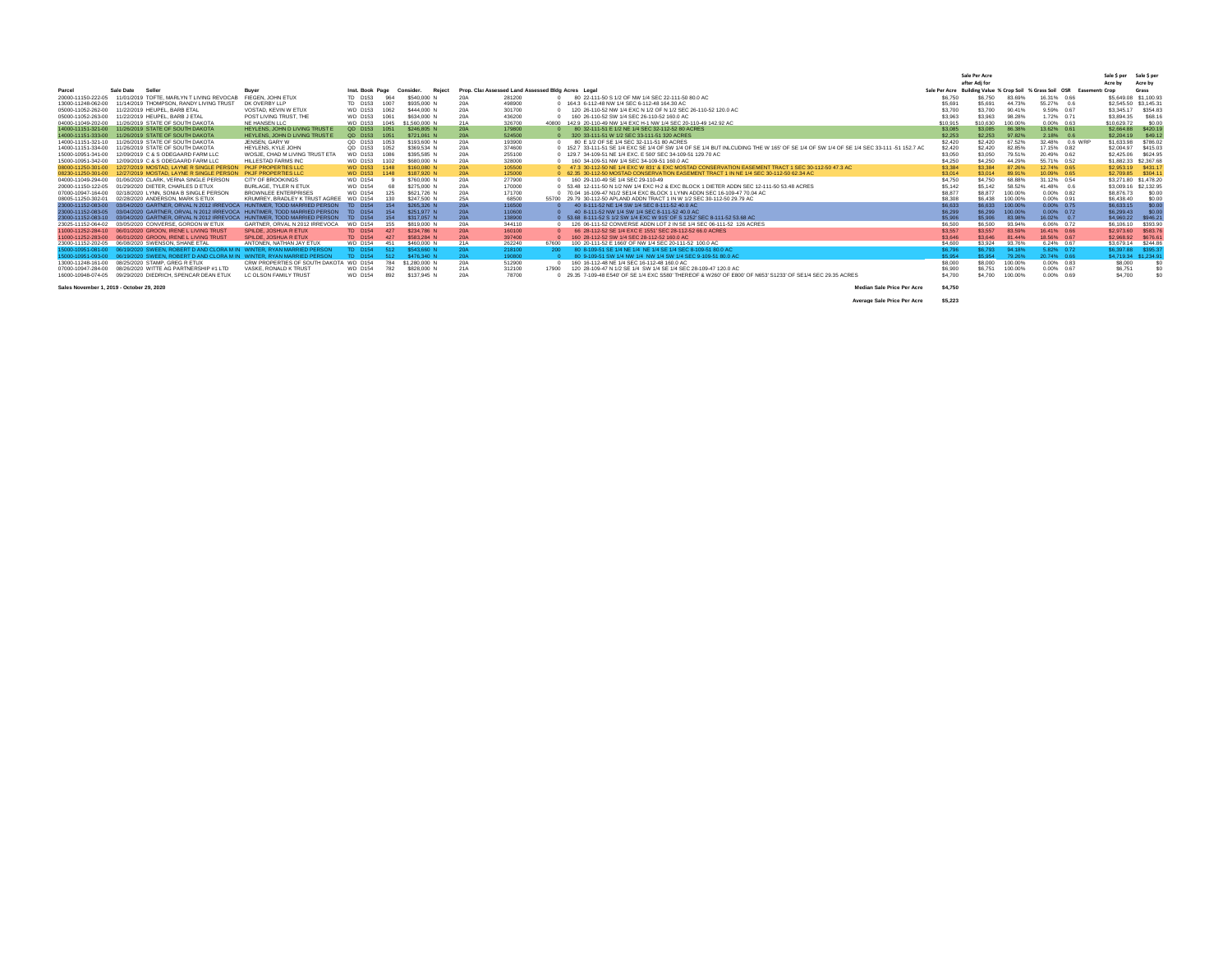|                                           |                                                                         |                                |                            |      |                     |                 |                                                    |       |                                                                                                                                       |          | Sale Per Acre                                                            |         |                 |                | Sale S per  | Sale \$ per           |
|-------------------------------------------|-------------------------------------------------------------------------|--------------------------------|----------------------------|------|---------------------|-----------------|----------------------------------------------------|-------|---------------------------------------------------------------------------------------------------------------------------------------|----------|--------------------------------------------------------------------------|---------|-----------------|----------------|-------------|-----------------------|
|                                           |                                                                         |                                |                            |      |                     |                 |                                                    |       |                                                                                                                                       |          | after Adi for                                                            |         |                 |                | Acre by     | Acre by               |
| Parcel                                    | Sale Date<br>Seller                                                     | Buyer                          | Inst. Book Page            |      | Consider.<br>Reject |                 | Prop. Cla: Assessed Land Assessed Bldg Acres Legal |       |                                                                                                                                       |          | Sale Per Acre Building Value % Crop Soil % Grass Soil OSR Easements Crop |         |                 |                |             | Grass                 |
| 20000-11150-222-05                        | 11/01/2019 TOFTE, MARLYN T LIVING REVOCAL                               | FIEGEN, JOHN ETUX              | TD D153                    | 964  | \$540,000           | 20f             | 281200                                             |       | 80 22-111-50 S 1/2 OF NW 1/4 SEC 22-111-50 80.0 AC                                                                                    | \$6,750  | \$6,750                                                                  | 83 69%  | 16.31% 0.66     |                |             | \$5,649.08 \$1,100.93 |
| 13000-11248-062-00                        | 11/14/2019 THOMPSON, RANDY LIVING TRUST                                 | DK OVERBY LLP                  | TD D153                    | 1007 | \$935,000 N         | 20A             | 498900                                             |       | 164.3 6-112-48 NW 1/4 SEC 6-112-48 164.30 AC                                                                                          | \$5,691  | \$5,691                                                                  | 44.73%  | 55.27% 0.6      |                |             | \$2,545.50 \$3,145.31 |
| 05000-11052-262-00                        | 11/22/2019 HEUPEL, BARB ETAL                                            | VOSTAD, KEVIN W ETUX           | <b>WD D153</b>             | 1062 | \$444,000 N         | 20 <sub>f</sub> | 301700                                             |       | 120 26-110-52 NW 1/4 EXC N 1/2 OF N 1/2 SEC 26-110-52 120.0 AC                                                                        | \$3,700  | \$3,700                                                                  | 90.41%  | 9.59% 0.67      |                | \$3,345.17  | \$354.83              |
| 05000-11052-263-00                        | 11/22/2019 HEUPEL, BARB J ETAL                                          | POST LIVING TRUST. THE         | <b>WD D153</b>             | 1061 | \$634,000 N         | 20 <sub>f</sub> | 436200                                             |       | 160 26-110-52 SW 1/4 SEC 26-110-52 160.0 AC                                                                                           | \$3,963  | \$3,963                                                                  | 98,28%  | 1.72% 0.71      |                | \$3,894.35  | \$68.16               |
| 04000-11049-202-00                        | 11/26/2019 STATE OF SOUTH DAKOTA                                        | NE HANSEN LLC                  | <b>WD D153</b>             | 1045 | \$1,560,000 N       | 21A             | 326700                                             | 40800 | 142.9 20-110-49 NW 1/4 EXC H-1 NW 1/4 SEC 20-110-49 142.92 AC                                                                         | \$10.915 | \$10,630                                                                 | 100.00% | 0.00% 0.63      |                | \$10,629.72 | \$0.00                |
| 14000-11151-321-00                        | 11/26/2019 STATE OF SOUTH DAKOTA                                        | HEYLENS, JOHN D LIVING TRUST E | QD D153                    | 1051 | \$246,805 N         | <b>20A</b>      | 179800                                             |       | 80 32-111-51 F 1/2 NF 1/4 SEC 32-112-52 80 ACRES                                                                                      | \$3,085  | \$3,085                                                                  | 86,38%  | 13.62% 0.61     |                | \$2,664.88  | \$420.19              |
| 14000-11151-333-00                        | 11/26/2019 STATE OF SOUTH DAKOTA                                        | HEYLENS JOHN D LIVING TRUST E  | OD D153                    | 1051 | \$721,061 N         | 20f             | 524500                                             |       | 320 33-111-51 W 1/2 SEC 33-111-51 320 ACRES                                                                                           | \$2,253  | \$2,253                                                                  | 97 82%  | 2.18% 0.6       |                | \$2,204.19  | \$49.12               |
| 14000-11151-321-10                        | 11/26/2019 STATE OF SOUTH DAKOTA                                        | JENSEN, GARY W                 | QD D153                    | 1053 | \$193,600 N         | 20f             | 193900                                             |       | 80 E 1/2 OF SE 1/4 SEC 32-111-51 80 ACRES                                                                                             | \$2,420  | \$2,420                                                                  | 67.52%  |                 | 32 48% 0.6 WRI | \$1,633.98  | \$786.02              |
| 14000-11151-334-00                        | 11/26/2019 STATE OF SOUTH DAKOTA                                        | HEYLENS KYLE JOHN              | OD D153                    | 1052 | \$369,534 N         | 20A             | 374600                                             |       | 152 7 33-111-51 SE 1/4 EXC SE 1/4 OF SW 1/4 OF SE 1/4 BUT INI CUDING THE WI165' OF SE 1/4 OF SW 1/4 OF SE 1/4 SEC 33-111 -51 152 7 AC | \$2,420  | \$2,420                                                                  | 8285%   | 17.15% 0.82     |                | \$2,004.97  | \$415.03              |
| 15000-10951-341-00                        | 12/09/2019 C & S ODEGAARD FARM LLC                                      | WOSJE, CHAD M LIVING TRUST ETA | <b>WD D153</b>             | 1086 | \$395,585 N         | 20A             | 255100                                             |       | 129.7 34-109-51 NE 1/4 EXC, E 500' SEC 34-109-51 129.70 AC                                                                            | \$3,050  | \$3,050                                                                  | 79.51%  | 20.49% 0.62     |                | \$2,425.06  | \$624.95              |
| 15000-10951-342-00                        | 12/09/2019 C & S ODEGAARD FARM LLC                                      | HILLESTAD FARMS INC            | <b>WD D153</b>             | 1102 | \$680,000 N         | 20A             | 328000                                             |       | 160 34-109-51 NW 1/4 SEC 34-109-51 160.0 AC                                                                                           | \$4,250  | \$4,250                                                                  | 44.29%  | 55.71% 0.52     |                |             | \$1,882.33 \$2,367.68 |
| 08000-11250-301-00                        | 12/27/2019 MOSTAD LAYNE R SINGLE PERSON                                 | PK.IF PROPERTIES LLC.          | <b>WD D153</b>             | 1148 | \$160,080 N         | <b>20A</b>      | 105500                                             |       | 47.3 30-112-50 NE 1/4 EXC W 831' & EXC MOSTAD CONSERVATION EASEMENT TRACT 1 SEC 30-112-50 47.3 AC                                     | \$3,384  | \$3,384                                                                  |         | 12.74% 0.65     |                | \$2,953.19  | \$431.17              |
| 08230-11250-301-00                        | 12/27/2019 MOSTAD, LAYNE R SINGLE PERSON                                | PK.IF PROPERTIES LLC.          | <b>WD D153</b>             | 1148 | \$187,920 N         | <b>20A</b>      | 125000                                             |       | 0 62.35 30-112-50 MOSTAD CONSERVATION EASEMENT TRACT 1 IN NE 1/4 SEC 30-112-50 62.34 AC                                               | \$3,014  | \$3,014                                                                  | 89.919  | 10.09% 0.65     |                | \$2,709.85  | \$304.11              |
| 04000-11049-294-00                        | 01/06/2020 CLARK, VERNA SINGLE PERSON                                   | <b>CITY OF BROOKINGS</b>       | <b>WD D154</b>             |      | \$760,000 N         | 20 <sub>f</sub> | 277900                                             |       | 160 29-110-49 SE 1/4 SEC 29-110-49                                                                                                    | \$4,750  | \$4,750                                                                  | 68.88%  | 31.12% 0.54     |                |             | \$3,271.80 \$1,478.20 |
| 20000-11150-122-05                        | 01/29/2020 DIETER, CHARLES D ETUX                                       | BURLAGE. TYLER N ETUX          | <b>WD D154</b>             | 68   | \$275,000 N         | 20A             | 170000                                             |       | 0 53.48 12-111-50 N 1/2 NW 1/4 EXC H-2 & EXC BLOCK 1 DIETER ADDN SEC 12-111-50 53.48 ACRES                                            | \$5,142  | \$5,142                                                                  | 58.52%  | 41.48% 0.6      |                |             | \$3,009.16 \$2,132.95 |
| 07000-10947-164-00                        | 02/18/2020 LYNN, SONIA B SINGLE PERSON                                  | <b>BROWNLEE ENTERPRISES</b>    | <b>WD D154</b>             | 125  | \$621,726 N         | 20A             | 171700                                             |       | 0 70.04 16-109-47 N1/2 SE1/4 EXC BLOCK 1 LYNN ADDN SEC 16-109-47 70.04 AC                                                             | \$8,877  | \$8,877                                                                  | 100.00% | 0.00% 0.82      |                | \$8,876.73  | \$0.00                |
| 08005-11250-302-01                        | 02/28/2020 ANDERSON, MARK S ETUX                                        | KRUMREY, BRADLEY K TRUST AGREE | <b>WD D154</b>             |      | \$247,500 N         | 25A             | 68500                                              |       | 55700 29.79 30-112-50 APLAND ADDN TRACT 1 IN W 1/2 SEC 30-112-50 29.79 AC                                                             | \$8,308  | \$6,438                                                                  | 100.00% | 0.00% 0.91      |                | \$6,438.40  | \$0.00                |
| 23000-11152-083-00                        | 03/04/2020 GARTNER ORVAL N 2012 IRREVOCA HUNTIMER TODD MARRIED PERSON   |                                | TD D154                    | 154  | \$265,326 N         | 20A             | 116500                                             |       | 40 8-111-52 NF 1/4 SW 1/4 SEC 8-111-52 40 0 AC                                                                                        | \$6,633  | \$6,633                                                                  | 100,00% | 0.00% 0.75      |                | \$6,633,15  | \$00                  |
| 23000-11152-083-05                        | 03/04/2020 GARTNER, ORVAL N 2012 IRREVOCA HUNTIMER, TODD MARRIED PERSON |                                | TD D154                    |      | \$251.977 N         | <b>20A</b>      | 110600                                             |       | 40 8-111-52 NW 1/4 SW 1/4 SEC 8-111-52 40.0 AC                                                                                        | \$6,299  | \$6,299                                                                  | 100,00% | 0.00% 0.72      |                | \$6,299.43  | \$0.00                |
| 23000-11152-083-10                        | 03/04/2020 GARTNER ORVAL N 2012 IRREVOCA HUNTIMER TODD MARRIED PERSON   |                                | TD D154                    |      | \$317 057 N         | <b>20A</b>      | 138900                                             |       | 0 53 68 8-111-52 S 1/2 SW 1/4 FXC W 915' OF S 1252' SEC 8-111-52 53 68 AC                                                             | \$5,906  | \$5,906                                                                  | 83.98%  | 16.02% 0.7      |                | \$4,960.22  | \$946.21              |
|                                           | 23025-11152-064-02  03/05/2020 CONVERSE, GORDON W ETUX                  | GARTNER, ORVAL N 2012 IRREVOCA | <b>WD D154</b>             |      | \$819,000 N         | 20A             | 344110                                             |       | 126 06-111-52 CONVERSE ADDN LOT 2 IN SE 1/4 SEC 06-111-52 126 ACRES                                                                   | \$6,500  | \$6,500                                                                  | 93.94%  | 6.06% 0.72      |                | \$6,106.10  | \$393.90              |
| 11000-11252-284-10                        | 06/01/2020 GROON IRENE I I IVING TRUST                                  | SPILDE JOSHUAR ETUX            | <b>TD</b> D <sub>154</sub> | 427  | \$234 786 N         | <b>20A</b>      | 160100                                             |       | 66 28-112-52 SE 1/4 EXC E 1551' SEC 28-112-52 66 0 ACRES                                                                              | \$3,557  | \$3,557                                                                  | 83.59%  | 16.41% 0.66     |                | \$2,973.60  | \$583.76              |
|                                           | 11000-11252-283-00 06/01/2020 GROON IRENE LIJUING TRUST                 | SPILDE JOSHUAR ETUX            | TD D154                    | 427  | \$583.284 N         | <b>20A</b>      | 397400                                             |       | 160 28-112-52 SW 1/4 SEC 28-112-52 160 0 AC                                                                                           | \$3,646  | \$3,646                                                                  | 81 44%  | 18.56% 0.67     |                | \$2,968.92  | \$676.61              |
|                                           | 23000-11152-202-05    06/08/2020 SWENSON, SHANE ETAL                    | ANTONEN. NATHAN JAY ETUX       | <b>WD D154</b>             | 451  | \$460,000 N         | 21A             | 262240                                             |       | 100 20-111-52 E 1660' OF NW 1/4 SEC 20-111-52 100.0 AC                                                                                | \$4,600  | \$3,924                                                                  | 93.76%  | 6.24% 0.67      |                | \$3,679.14  | \$244.86              |
| 5000-10951-081-00                         | 06/19/2020 SWEEN ROBERT D AND CLORA M IN WINTER RYAN MARRIED PERSOL     |                                | TD D154                    | 512  | \$543,660 N         | 20A             | 218100                                             |       | 80 8-109-51 SE 1/4 NE 1/4 NE 1/4 SE 1/4 SEC 8-109-51 80.0 AC                                                                          | \$6,796  | \$6,793                                                                  |         | 5.82% 0.72      |                | \$6,397.88  | \$395.37              |
| 15000-10951-093-00                        | 06/19/2020 SWEEN ROBERT D AND CLORA M IN                                | WINTER RYAN MARRIED PERSOL     | <b>TD</b> D <sub>154</sub> | 512  | \$476,340 N         | 20A             | 190800                                             |       | 80 9-109-51 SW 1/4 NW 1/4 NW 1/4 SW 1/4 SEC 9-109-51 80.0 AC                                                                          | \$5,954  | \$5,954                                                                  | 79.26%  | 20.74% 0.66     |                |             | \$4,719.34 \$1,234.91 |
|                                           | 13000-11248-161-00  08/25/2020 STAMP, GREG R ETUX                       | CRW PROPERTIES OF SOUTH DAKOTA | <b>WD D154</b>             | 784  | \$1,280,000 N       | 20A             | 512900                                             |       | 160 16-112-48 NE 1/4 SEC 16-112-48 160.0 AC                                                                                           | \$8,000  | \$8,000                                                                  | 100.00% | 0.00% 0.83      |                | \$8,000     |                       |
| 07000-10947-284-00                        | 08/26/2020 WITTE AG PARTNERSHIP #1 I TD                                 | VASKE RONALD K TRUST           | <b>WD D154</b>             | 782  | \$828,000 N         | 21A             | 312100                                             | 17900 | 120 28-109-47 N 1/2 SE 1/4 SW 1/4 SE 1/4 SEC 28-109-47 120 0 AC                                                                       | \$6,900  | \$6,751                                                                  | 100.00% | 0.00% 0.67      |                | \$6,751     |                       |
|                                           | 16000-10948-074-05  09/29/2020 DIEDRICH, SPENCAR DEAN ETUX              | LC OLSON FAMILY TRUST          | <b>WD D154</b>             | 892  | \$137,945 N         | 20A             | 78700                                              |       | 0 29.35 7-109-48 E540' OF SE 1/4 EXC S580' THEREOF & W260' OF E800' OF N653' S1233' OF SE1/4 SEC 29.35 ACRES                          | \$4,700  | \$4,700                                                                  | 100.00% | $0.00\%$ $0.69$ |                | \$4,700     |                       |
|                                           |                                                                         |                                |                            |      |                     |                 |                                                    |       |                                                                                                                                       |          |                                                                          |         |                 |                |             |                       |
| Sales November 1, 2019 - October 29, 2020 |                                                                         |                                |                            |      |                     |                 |                                                    |       | <b>Median Sale Price Per Acre</b>                                                                                                     | \$4,750  |                                                                          |         |                 |                |             |                       |

**Average Sale Price Per Acre \$5,223**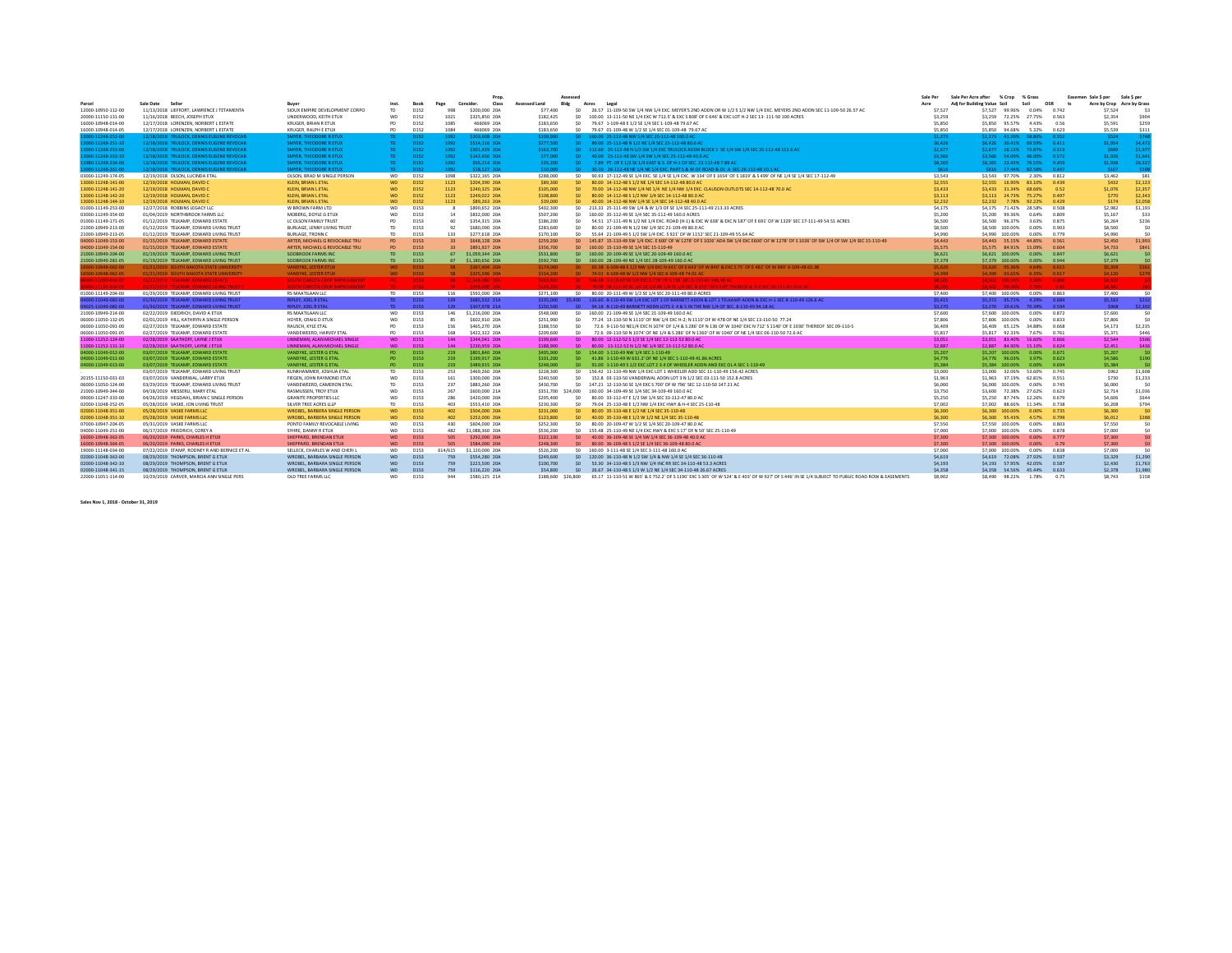|                                          |                                                                                  |                                                                |                 |                     |                 | Prop                | Assessed              |      |                                                                                                                                                 | Sale Per      | Sale Per Acre after         | % Crop                             | % Grass                     |                | Sale \$ per<br>Easemen Sale S per |             |
|------------------------------------------|----------------------------------------------------------------------------------|----------------------------------------------------------------|-----------------|---------------------|-----------------|---------------------|-----------------------|------|-------------------------------------------------------------------------------------------------------------------------------------------------|---------------|-----------------------------|------------------------------------|-----------------------------|----------------|-----------------------------------|-------------|
| Parcel                                   | Sale Date Seller                                                                 | <b>Buye</b>                                                    | Inst            | <b>Book</b>         | Page            | Consider.<br>Class  | Bldg<br>Assessed Land |      | Acres<br>Legal                                                                                                                                  | Acre          | Adi for Building Value Soil |                                    | Soil                        | OSR            | Acre by Crop Acre by Grass        |             |
| 12000-10950-112-00                       | 11/13/2018 LIEFFORT, LAWRENCE J TETAMENTA                                        | SIOUX EMPIRE DEVELOPMENT CORPO                                 | TD              | D152                | 998             | \$200,000 20A       | \$77,400              | -50  | 26.57 11-109-50 SW 1/4 NW 1/4 EXC. MEYER'S 2ND ADDN OR W 1/2 S 1/2 NW 1/4 EXC. MEYERS 2ND ADDN SEC 11-109-50 26.57 AC                           | \$7.527       | \$7.527                     | 99.96%                             | 0.04%                       | 0.742          | \$7.524                           |             |
| 20000-11150-131-00                       | 11/16/2018 BEECH, JOSEPH ETUX                                                    | UNDERWOOD, KEITH ETUX                                          | WD              | D152                | 1021            | \$325,850 20A       | \$182,425             | SO.  | 100.00 13-111-50 NE 1/4 EXC W 712.5' & EXC S 808' OF E 646' & EXC LOT H-2 SEC 13-111-50 100 ACRES                                               | \$3,259       | \$3,259                     | 72.25% 27.75%                      |                             | 0.563          | \$2,354                           | \$904       |
| 16000-10948-014-00                       | 12/17/2018 LORENZEN, NORBERT L ESTATE                                            | KRUGER, BRIAN R ETUX                                           | PD              | D152                | 1085            | 466069 20A          | \$183,650             | SO.  | 79.67 1-109-48 E 1/2 SE 1/4 SEC 1-109-48 79.67 AC                                                                                               | \$5,850       | \$5,850                     | 95.57%                             | 4.43%                       | 0.56           | \$5,591                           | \$259       |
| 16000-10948-014-05                       | 12/17/2018 LORENZEN, NORBERT L ESTATE                                            | KRUGER, RALPH E ETUX                                           | <b>PD</b>       | D152                | 1084            | 466069 20A          | \$183,650             |      | \$0 79.67 01-109-48 W 1/2 SE 1/4 SEC 01-109-48 79.67 AC                                                                                         | \$5,850       | \$5,850                     | 94.68%                             | 5.32%                       | 0.623          | \$5,539                           | \$311       |
| 3000-11248-252-00                        | 12/18/2018 TRULOCK, DENNIS EUGENE REVOCAB                                        | <b>SMYER, THEODORE R ETUX</b>                                  | TD.             | D152                | 1092            | \$203,608 20A       | \$109,900             |      | \$0 160.00 25-112-48 NW 1/4 SEC 25-112-48 160.0 AC                                                                                              | \$1,273       |                             |                                    | \$1.273 41.20% 58.80% 0.552 |                | \$524                             | \$748       |
| 3000-11248-251-10                        | 12/18/2018 TRULOCK, DENNIS EUGENE REVOCAB                                        | <b>SMYER, THEODORE R ETUX</b>                                  | TD.             | D <sub>152</sub>    | 1092            | \$514,116 20A       | \$277,500             |      | \$0 80.00 25-112-48 N 1/2 NE 1/4 SEC 25-112-48 80.0 AC                                                                                          | \$6,426       |                             |                                    | S6.426 30.41% 69.59%        | 0.411          | \$1,954                           | \$4,472     |
| 3000-11248-253-00                        | 12/18/2018 TRULOCK, DENNIS EUGENE REVOCAB                                        | <b>SMYER, THEODORE R ETUX</b>                                  | TD.             | D <sub>152</sub>    | 1092            | \$301.429 20A       | \$162,700             |      | \$0 112.60 25-112-48 N 1/2 SW 1/4 EXC TRULOCK ADDN BLOCK 1 SE 1/4 SW 1/4 SEC 25-112-48 112.6 AC                                                 | \$2,677       |                             | \$2.677 26.13% 73.87%              |                             | 0.519          | \$699                             | \$1.977     |
| 3000-11248-253-10                        | 12/18/2018 TRULOCK, DENNIS EUGENE REVOCAB                                        | <b>SMYER, THEODORE R ETUX</b>                                  | TD.             | D <sub>152</sub>    | 1092            | \$142,656 20A       | \$77,000              | SO.  | 40.00 25-112-48 SW 1/4 SW 1/4 SEC 25-112-48 40.0 AC                                                                                             | \$3,566       | \$3.566                     | 54.00%                             | 46.00%                      | 0.572          | \$1.926                           | \$1.641     |
| 980-11248-234-00                         | 12/18/2018 TRULOCK, DENNIS EUGENE REVOCAB                                        | <b>SMYER, THEODORE R ETUX</b>                                  | TD.             | D <sub>152</sub>    | 1092            | \$65.214 20A        | \$35,200              |      | 7.89 PT, OF E 1/2 SE 1/4 EAST & S, OF H-1 OF SEC, 23-112-48 7.89 AC                                                                             | \$8,265       |                             |                                    | S8.265 23.45% 76.55%        | 0.459          | \$1,938                           | \$6.327     |
| 000-11248-261-00                         | 12/18/2018 TRULOCK, DENNIS EUGENE REVOCAB                                        | <b>SMYER. THEODORE R ETUX</b>                                  | TD.             | D <sub>152</sub>    | 1092            | \$18,527 20A        | \$10,000              |      | 30.10 26-112-48 NE 1/4 NE 1/4 EXC, PART S & W OF ROAD & OL A SEC 26-112-48 30.1 AC                                                              | S616          |                             |                                    | \$616 17.44% 82.56%         | 0.447          | \$107                             | \$508       |
| 03000-11249-174-05                       | 12/19/2018 OLSON, LUCINDA ETAL                                                   | OLSON, BRAD M SINGLE PERSON                                    | <b>WD</b>       | D152                | 1098            | \$322,165 20A       | \$288,000             | SO.  | 90.93 17-112-49 SE 1/4 EXC. SE 1/4 SE 1/4 EXC. W 334' OF E 1654' OF S 1819' & S 499' OF NE 1/4 SE 1/4 SEC 17-112-49                             | \$3,543       |                             | \$3.543 97.70% 2.30%               |                             | 0.812          | \$3,462                           | <b>S81</b>  |
| 13000-11248-141-00                       | 12/19/2018 HOLMAN, DAVID C                                                       | <b>KLEIN, BRIAN L ETAL</b>                                     | WD              | <b>D152</b>         | 1123            | \$204,390 20A       | \$89,300              | SO.  | 80.00 14-112-48 S 1/2 NE 1/4 SEC 14-112-48 80.0 AC                                                                                              | \$2,555       | \$2.555                     | 16.90%                             | 83.10%                      | 0.439          | \$432                             | \$2.123     |
| 13000-11248-141-20                       | 12/19/2018 HOLMAN, DAVID C                                                       | <b>KLEIN, BRIAN L ETAL</b>                                     | WD              | D152                | 1123            | \$240,325 20A       | \$105,000             | SO.  | 70.00 14-112-48 NW 1/4 NE 1/4 NE 1/4 NW 1/4 EXC. CLAUSON OUTLOTS SEC 14-112-48 70.0 AC                                                          | \$3,433       | \$3,433                     | 31.34%                             | 68.66%                      | 0.52           | \$1,076                           | \$2.357     |
| 13000-11248-142-20                       | 12/19/2018 HOLMAN, DAVID C                                                       | <b>KLEIN, BRIAN L ETAL</b>                                     | <b>WD</b>       | D152                | 1123            | \$249,022 20A       | \$108,800             | SO.  | 80.00 14-112-48 S 1/2 NW 1/4 SEC 14-112-48 80.0 AC                                                                                              | \$3,113       | \$3.113                     |                                    | 24.73% 75.27%               | 0.497          | \$770                             | \$2,343     |
| 13000-11248-144-10                       | 12/19/2018 HOLMAN, DAVID C                                                       | <b>KLEIN, BRIAN L ETAL</b>                                     | WD              | D152                | 1123            | \$89,263 20A        | \$39,000              | SO.  | 40.00 14-112-48 NW 1/4 SE 1/4 SEC 14-112-48 40.0 AC                                                                                             | \$2,232       | \$2,232                     |                                    | 7.78% 92.22%                | 0.429          | \$174                             | \$2,058     |
| 01000-11149-253-00                       | 12/27/2018 ROBBINS LEGACY LLC                                                    | W BROWN FARM LTD                                               | WD              | D153                | $\mathbf{R}$    | \$890,652 20A       | \$402,300             |      | \$0 213.33 25-111-49 SW 1/4 & W 1/3 OF SE 1/4 SEC 25-111-49 213.33 ACRES                                                                        | \$4,175       | S4.175                      |                                    | 71.42% 28.58%               | 0.508          | \$2,982                           | \$1,193     |
| 03000-11249-354-00                       | 01/04/2019 NORTHBROOK FARMS LLC                                                  | MOBERG, DOYLE G ETUX                                           | WD              | D153                | 14              | \$832,000 20A       | \$507,200             |      | \$0 160.00 35-112-49 SE 1/4 SEC 35-112-49 160.0 ACRES                                                                                           | \$5,200       | \$5,200                     | 99.36%                             | 0.64%                       | 0.809          | \$5.167                           | \$33        |
| 01000-11149-171-05                       | 01/12/2019 TELKAMP. EDWARD ESTATE                                                | LC OLSON FAMILY TRUST                                          | PD              | D153                | 60              | \$354,315 20A       | \$186,200             | SO.  | 54.51 17-111-49 N 1/2 NE 1/4 EXC. ROAD (H-1) & EXC W 638' & EXC N 187' OF E 691' OF W 1329' SEC 17-111-49 54.51 ACRES                           | \$6,500       | \$6.500                     | 96.37%                             | 3.63%                       | 0.875          | \$6.264                           | \$236       |
| 21000-10949-213-00                       | 01/12/2019 TELKAMP, EDWARD LIVING TRUST                                          | BURLAGE, LENNY LIVING TRUST                                    | TD              | D153                | 92              | \$680,000 20A       | \$283,600             | SO.  | 80.00 21-109-49 N 1/2 SW 1/4 SEC 21-109-49 80.0 AC                                                                                              | \$8,500       | \$8,500                     | 100.00%                            | 0.00%                       | 0.903          | \$8,500                           | -SO         |
| 21000-10949-213-05                       | 01/12/2019 TELKAMP, EDWARD LIVING TRUST                                          | <b>BURLAGE, TRONN C</b>                                        | TD              | D153                | 133             | \$277,618 20A       | \$170,100             | SO.  | 55.64 21-109-49 S 1/2 SW 1/4 EXC. S 921' OF W 1152' SEC 21-109-49 55.64 AC                                                                      | \$4,990       | \$4,990                     | 100.00%                            | 0.00%                       | 0.779          | \$4,990                           | -SO         |
| 04000-11049-153-00                       | 01/15/2019 TELKAMP, EDWARD ESTATE                                                | ARTER, MICHAEL G REVOCABLE TRU                                 | <b>PD</b>       | <b>D153</b>         | 33 <sup>2</sup> | \$648,128 20A       | \$259,200             |      | \$0 145.87 15-110-49 SW 1/4 EXC. E 600' OF W 1278' OF S 1026' ADA SW 1/4 EXC E600' OF W 1278' OF S 1026' OF SW 1/4 OF SW 1/4 SEC 15-110-49      | \$4,443       |                             | S4.443 55.15%                      | 44.85%                      | 0.561          | \$2,450                           | \$1.993     |
| 04000-11049-154-00                       | 01/15/2019 TELKAMP, EDWARD ESTATE                                                | ARTER, MICHAEL G REVOCABLE TRU                                 | <b>PD</b>       | D <sub>153</sub>    | 33              | \$891.927 20A       | \$356,700             | SO - | 160.00 15-110-49 SE 1/4 SEC 15-110-49                                                                                                           | \$5.575       | \$5.575                     | 84 91%                             | 15.09%                      | 0.604          | \$4,733                           | \$841       |
| 21000-10949-204-00                       | 01/19/2019 TELKAMP, EDWARD LIVING TRUST                                          | SOOBROOK FARMS INC                                             | <b>TD</b>       | D <sub>153</sub>    | 67              | \$1,059,344 20A     | \$531,800             |      | \$0 160.00 20-109-49 SE 1/4 SEC 20-109-49 160.0 AO                                                                                              | \$6,621       |                             | \$6.621 100.00%                    | 0.00%                       | 0.847          | \$6,621                           | \$0         |
| 21000-10949-281-05                       | 01/19/2019 TELKAMP, EDWARD LIVING TRUST                                          | SOOBROOK FARMS INC                                             | TD.             | D <sub>153</sub>    | 67              | \$1,180,656 20A     | \$592,700             |      | \$0 160.00 28-109-49 NE 1/4 SEC 28-109-49 160.0 AO                                                                                              | \$7,379       |                             | \$7,379 100,00%                    | 0.00%                       | 0.944          | \$7,379                           | \$0         |
| 6000-10948-062-00                        | 01/21/2019 SOUTH DAKOTA STATE UNIVERSITY                                         | <b>VANDYKE, LESTER ETUX</b>                                    | <b>WD</b>       | D <sub>153</sub>    | 58              | \$367,404 20A       | \$174,000             |      | \$0 65.38 6-109-48 E 1/2 NW 1/4 EXC N 641' OF E 643' OF W 840' & EXC S 75' OF E 482' OF W 840' 6-109-48 65.38                                   | \$5,620       |                             |                                    | \$5.620 95.36% 4.64% 0.615  |                | \$5,359                           | \$261       |
| 16000-10948-062-05                       | 01/21/2019 SOUTH DAKOTA STATE UNIVERSITY                                         | <b>VANDYKE, LESTER ETUX</b>                                    |                 | WD D153             |                 | 58 \$325,596 20A    |                       |      | \$154,200 \$0 74.01 6-109-48 W 1/2 NW 1/4 SEC 6-109-48 74.01 AC                                                                                 | \$4,399       |                             |                                    | \$4,399 93.65% 6.35% 0.617  |                | \$4,120                           |             |
| 6000-11050-034-00                        | 01/22/2019 TELKAMP, EDWARD ESTATE                                                | <b>SOUTH DAKOTA CROP IMPROVEMENT</b>                           | PD <sub>1</sub> | D153                |                 | 68 \$1,245,080 20A  | \$463,400             |      | \$0 146.48 3-110-50 SE 1/4 EXC E 779' OF \$ 756' SEC 3-110-50 146.48 AC                                                                         | \$8,500       |                             |                                    | \$8,500 100,00% 0.00% 0.806 |                | <b>S8.500</b>                     |             |
| 00-11150-264-0                           | 01/22/2019 TELKAMP EDIKAPO INGNO TRIKTE                                          | <b>COLITIA DAVOTA CROD IMADROVIEMENT</b>                       | TO.             | 10152               | 70              | <b>CCOC 000 20A</b> | 5000.000              |      | 70.00 26-111-50 SF 1/4 SF 1/4 NF 1/4 SF 1/4 FXC N 91S' OF F 400' THEREOF & H-2 SFC 26-111-50 Z0 0 AC                                            | ce son :      |                             | CRISION GO 20%                     | <b>DOM:</b>                 | <b>In ex-</b>  | CO AA1                            |             |
| 01000-11149-204-00                       | 01/29/2019 TELKAMP, EDWARD LIVING TRUST                                          | RS MAATILAAN LLC                                               | TD T            | <b>D153</b>         | 116             | \$592,000 20A       | \$271.100             |      | \$0 80.00 20-111-49 W 1/2 SE 1/4 SEC 20-111-49 80.0 ACRES                                                                                       | \$7,400       |                             |                                    | \$7,400 100.00% 0.00% 0.863 |                | \$7,400                           | S0          |
| 04000-11049-083-00                       | 01/30/2019 TELKAMP, EDWARD LIVING TRUST                                          | <b>RIPLEY, JOEL R ETAL</b>                                     | TD.             | D <sub>153</sub>    | 129             | \$685,532 21A       |                       |      | \$335.000 \$5.400 126.60 8-110-49 SW 1/4 EXC LOT 1 OF BARNETT ADDN & LOT 1 TELKAMP ADDN & EXC H-1 SEC 8-110-49 126.6 AC                         | <b>SS.415</b> |                             |                                    | \$5.372 95.71% 4.29% 0.684  |                | <b>SS.183</b>                     | \$232       |
| 14025-11049-082-00                       | 01/30/2019 TELKAMP, EDWARD LIVING TRUST                                          | <b>RIPLEY, JOEL R ETAL</b>                                     | TD.             | D <sub>153</sub>    | 129             | \$307,978 21A       | \$150,500             |      | \$0 94.18 8-110-49 BARNETT ADDN LOTS 3 4 & 5 IN THE NW 1/4 OF SEC. 8-110-49 94.18 AC                                                            | \$3,270       |                             |                                    | \$3,270 29.61% 70.39% 0.594 |                | \$968                             | \$2.302     |
| 21000-10949-214-00                       | 02/22/2019 DIEDRICH, DAVID A ETUX                                                | RS MAATILAAN LLC                                               | WD              | D153                | 146             | \$1,216,000 20A     | \$548,000             |      | \$0 160.00 21-109-49 SE 1/4 SEC 21-109-49 160.0 AC                                                                                              | \$7,600       |                             | \$7,600 100,00%                    | 0.00%                       | 0.872          | \$7,600                           | S0          |
| 06000-11050-132-05                       | 02/01/2019 HILL KATHRYN A SINGLE PERSON                                          | HOYER, CRAIG D ETUX                                            | WD              | D153                | 85              | \$602,910 20A       | \$251,900             | SO.  | 77.24 13-110-50 N 1110' OF NW 1/4 EXC H-2: N 1110' OF W 478 OF NE 1/4 SEC 13-110-50 77.24                                                       | \$7,806       |                             | \$7,806 100,00%                    | 0.00%                       | 0.833          | \$7,806                           | S0          |
| 06000-11050-091-00                       | 02/27/2019 TELKAMP, EDWARD ESTATI                                                | RAUSCH, KYLE ETAL                                              | PD              | D153                | 156             | \$465,270 20A       | \$188,550             | SO   | 72.6 9-110-50 NE1/4 EXC N 1074' OF 1/4 & S 286' OF N 136 OF W 1040' EXC N 712' S 1140' OF E 1030' THEREOF SEC 09-110-5                          | \$6,409       | \$6,409                     | 65.12% 34.88%                      |                             | 0.668          | \$4.173                           | \$2,235     |
| 06000-11050-091-05                       | 02/27/2019 TELKAMP, EDWARD ESTATI                                                | VANDEWEERD. HARVEY ETAL                                        | PD              | D153                | 168             | \$422,322 20A       | \$209,600             | SO.  | 72.6 09-110-50 N 1074' OF NE 1/4 & S 286' OF N 1360' OF W 1040' OF NE 1/4 SEC 06-110-50 72.6 AC                                                 | \$5,817       | \$5.817                     | 92.33%                             | 7.67%                       | 0.761          | \$5.371                           | \$446       |
| 11000-11252-124-00                       | 02/28/2019 SAATHOFF, LAYNE J ETUX                                                | LINNEMAN, ALAN MICHAEL SINGLE                                  | WD              | D <sub>153</sub>    | 144             | \$244.041 20A       | \$199,600             | so.  | 80.00 12-112-52 S 1/2 SE 1/4 SEC 12-112-52 80.0 AC                                                                                              | \$3,051       | \$3.051                     | 83.40%                             | 16.60%                      | 0.666          | \$2,544                           | \$506       |
| 11000-11252-131-10                       | 02/28/2019 SAATHOFF, LAYNE J ETUX                                                | LINNEMAN, ALAN MICHAEL SINGLI                                  | <b>WD</b>       | <b>D153</b>         | 144             | \$230,959 20A       | \$188,900             | -so- | 80.00 13-112-52 N 1/2 NE 1/4 SEC 13-112-52 80.0 AO                                                                                              | \$2,887       | \$2,887                     | 84.90%                             | 15.10%                      | 0.624          | \$2,451                           | \$436       |
| 04000-11049-012-00                       | 03/07/2019 TELKAMP, EDWARD ESTATI                                                | VANDYKE, LESTER G ETAI                                         | <b>PD</b>       | D <sub>153</sub>    | 219             | \$801.840 20A       | \$405,900             | SO.  | 154.00 1-110-49 NW 1/4 SEC 1-110-49                                                                                                             | \$5,207       | \$5.207                     | 100.00%                            | 0.00%                       | 0.671          | \$5.207                           | <b>SO</b>   |
| 04000-11049-011-00                       | 03/07/2019 TELKAMP, EDWARD ESTATE                                                | VANDYKE, LESTER G ETAL                                         | PD.             | D <sub>153</sub>    | 219             | \$199.917 20A       | \$101.200             | SO.  | 41.86 1-110-49 W 631.2' OF NE 1/4 SEC 1-110-49 41.86 ACRES                                                                                      | S4.776        |                             | S4.776 96.03%                      | 3.97%                       | 0.623          | \$4,586                           | \$190       |
| 04000-11049-013-00                       | 03/07/2019 TELKAMP, EDWARD ESTATE                                                | VANDYKE, LESTER G ETAL                                         | PD.             | D <sub>153</sub>    | 219             | \$489,915 20A       | \$248,000             | SO.  | 91.00 1-110-49 S 1/2 EXC LOT 2 3 4 OF WHEELER ADDN AND EXC OL A SEC 1-110-49                                                                    | \$5.384       |                             | \$5.384 100.00%                    | 0.00%                       | 0.694          | \$5,384                           | - \$0       |
|                                          | 03/07/2019 TELKAMP, EDWARD LIVING TRUST                                          | KLINKHAMMER, JOSHUA ETAL                                       | TD.             | D153                | 253             | \$469,260 20A       | \$228,300             |      | \$0 156.42 11-110-49 NW 1/4 EXC LOT 1 WHEELER ADD SEC 11-110-49 156.42 ACRES                                                                    | \$3,000       | \$3,000                     | 32.06%                             | 53.60%                      | 0.745          | \$962                             | \$1.608     |
| 20155-11150-031-03                       | 03/07/2019 VANDERWAL, LARRY ETUX                                                 | FIEGEN, JOHN RAYMOND ETUX                                      | WD              | D153                | 161             | \$300,000 20A       | \$240,500             | SO.  | 152.8 03-110-50 VANDERWAL ADDN LOT 3 N 1/2 SEC 03-111-50 152.8 ACRES                                                                            | \$1,963       | \$1,963                     | 37.19%                             | 62.81%                      | 0.551          | \$730                             | \$1.233     |
| 06000-11050-124-00                       | 03/29/2019 TELKAMP, EDWARD LIVING TRUST                                          | VANDEWEERD, CAMERON ETAL                                       | TD              | D153                | 237             | \$883,260 20A       | \$430,700             | SO   | 147.21 12-110-50 SE 1/4 EXC S 700' OF W 796' SEC 12-110-50 147.21 AC                                                                            | \$6,000       |                             | \$6,000 100.00%                    | 0.00%                       | 0.745          | \$6,000                           | S0          |
| 21000-10949-344-00                       | 04/18/2019 MESSERLI, MARY ETAL                                                   | RASMUSSEN, TROY ETUX                                           | WD              | D153                | 267             | \$600,000 21A       |                       |      | \$351,700 \$24,000 160,00 34-109-49 SE 1/4 SEC 34-109-49 160.0 AC                                                                               | \$3,750       | \$3,600                     | 72.38% 27.62%                      |                             | 0.623          | \$2,714                           | \$1.036     |
| 09000-11247-333-00                       | 04/26/2019 HEGDAHL, BRIAN C SINGLE PERSON                                        | <b>GRANITE PROPERTIES LLC</b>                                  | WD              | D153                | 286             | \$420,000 20A       | \$205,400             | SO.  | 80.00 33-112-47 E 1/2 SW 1/4 SEC 33-112-47 80.0 AC                                                                                              | \$5,250       | \$5.250                     | 87.74%                             | 12.26%                      | 0.679          | \$4,606                           | <b>S644</b> |
| 02000-11048-252-05                       | 05/28/2019 VASKE, JON LIVING TRUST                                               | SILVER TREE ACRES LLLP                                         | TD.             | D153                | 403             | \$553,410 20A       | \$230,300             | SO.  | 79.04 25-110-48 E 1/2 NW 1/4 EXC HWY & H-4 SEC 25-110-48                                                                                        | \$7,002       |                             |                                    | \$7.002 88.66% 11.34%       | 0.738          | \$6,208                           | \$794       |
| 02000-11048-351-00                       | 05/28/2019 VASKE FARMS LLC                                                       | <b>WROBEL, BARBERA SINGLE PERSON</b>                           | <b>WD</b>       | <b>D153</b>         | 402             | \$504,000 20A       | \$231,000             |      | \$0 80.00 35-110-48 E 1/2 NE 1/4 SEC 35-110-48                                                                                                  | \$6,300       |                             | \$6.300 100.00%                    | 0.00%                       | 0.735          | \$6,300                           | <b>SO</b>   |
| 02000-11048-351-10                       | 05/28/2019 VASKE FARMS LLC                                                       | <b>WROBEL, BARBERA SINGLE PERSON</b>                           | <b>WD</b>       | <b>D153</b>         | 402             | \$252,000 20A       | \$123,800             | SO.  | 40.00 35-110-48 E 1/2 W 1/2 NE 1/4 SEC 35-110-48                                                                                                | \$6,300       | \$6,300                     | 95.43%                             | 4.57%                       | 0.799          | \$6.012                           | \$288       |
| 07000-10947-204-05                       | 05/31/2019 VASKE FARMS LLC                                                       | PONTO FAMILY REVOCABLE LIVING                                  | WD              | D153                | 430             | \$604,000 20A       | \$252,300             | SO.  | 80.00 20-109-47 W 1/2 SE 1/4 SEC 20-109-47 80.0 AC                                                                                              | \$7,550       |                             | \$7,550 100,00%                    | 0.00%                       | 0.803          | \$7,550                           | -SO         |
| 04000-11049-251-00                       | 06/17/2019 FRIEDRICH, COREY A                                                    | SYHRE, DANNY R ETUX                                            | WD              | D153                | 482             | \$1,088,360 20A     | \$536,200             |      | \$0 155.48 25-110-49 NE 1/4 EXC HWY & EXC S 17' OF N 50' SEC 25-110-49                                                                          | \$7,000       |                             | \$7,000 100,00%                    | 0.00%                       | 0.878          | \$7,000                           | S0          |
| 16000-10948-363-05                       | 06/20/2019 PARKS, CHARLES H ETUX                                                 | SHEPPARD, BRENDAN ETUX                                         | WD              | <b>D153</b>         | 505             | \$292,000 20A       | \$122,100             |      | \$0 40.00 36-109-48 SE 1/4 SW 1/4 SEC 36-109-48 40.0 AC                                                                                         | \$7,300       |                             | \$7,300 100,00%                    | 0.00%                       | 0.777          | \$7,300                           | <b>SO</b>   |
| 16000-10948-364-05                       |                                                                                  |                                                                | WD              |                     | 505             | \$584,000 20A       | \$248,300             |      | \$0 80.00 36-109-48 \$1/2 SE 1/4 SEC 36-109-48 80.0 AC                                                                                          | \$7,300       |                             |                                    | 0.00%                       | 0.79           | \$7,300                           | sn.         |
|                                          | 06/20/2019 PARKS, CHARLES H ETUX<br>07/22/2019 STAMP, RODNEY R AND BERNICE ET AL | SHEPPARD, BRENDAN ETUX<br>SELLECK. CHARLES W AND CHERI L       | WD              | <b>D153</b><br>D153 | 614/615         | \$1,120,000 20A     | \$526,200             |      | \$0 160.00 3-111-48 SE 1/4 SEC 3-111-48 160.0 AC                                                                                                | \$7,000       |                             | \$7,300 100,00%<br>\$7,000 100,00% | 0.00%                       | 0.838          | \$7,000                           | S0          |
| 19000-11148-034-00                       |                                                                                  |                                                                | WD              | D <sub>153</sub>    | 759             | \$554,280 20A       | \$249,600             |      | \$0 120.00 36-110-48 N 1/2 SW 1/4 & NW 1/4 SE 1/4 SEC 36-110-48                                                                                 | \$4,619       |                             |                                    |                             |                | \$3,329                           | \$1.290     |
| 02000-11048-363-00<br>02000-11048-342-10 | 08/29/2019 THOMPSON, BRENT G ETUX<br>08/29/2019 THOMPSON, BRENT G ETUX           | WROBEL, BARBARA SINGLE PERSON<br>WROBEL, BARBARA SINGLE PERSON | WD              | D <sub>153</sub>    | 759             | \$223,500 20A       | \$100,700             | SO.  | 53.30 34-110-48 S 1/3 NW 1/4 INC RR SEC 34-110-48 53.3 ACRES                                                                                    | \$4,193       | \$4.193                     | 57.95% 42.05%                      | S4.619 72.08% 27.92%        | 0.597<br>0.587 | \$2,430                           | \$1,763     |
| 02000-11048-341-15                       | 08/29/2019 THOMPSON, BRENT G ETUX                                                | WROBEL, BARBARA SINGLE PERSON                                  | WD              | D <sub>153</sub>    | 759             | \$116,220 20A       | \$54,800              |      | \$0 26.67 34-110-48 \$1/3 W 1/2 NE 1/4 SEC 34-110-48 26.67 ACRES                                                                                | \$4,358       |                             |                                    | \$4.358  54.56%  45.44%     | 0.633          | \$2,378                           | \$1,980     |
|                                          |                                                                                  |                                                                |                 |                     | 944             |                     |                       |      |                                                                                                                                                 | <b>SR 902</b> |                             |                                    |                             |                |                                   |             |
| 22000-11051-114-00                       | 10/29/2019 CARVER, MARCIA ANN SINGLE PERS                                        | OLD TREE FARMS LLC                                             | WD              | D153                |                 | \$580.125 21A       | \$188,600 \$26,800    |      | 65.17 11-110-51 W 865' & E 752.2' OF S 1190' EXC S 305' OF W 524' & E 403' OF W 927' OF S 446' IN SE 1/4 SUBJECT TO PUBLIC ROAD ROW & EASEMENTS |               |                             | \$8.490 98.22% 1.78%               |                             | 0.75           | \$8,743                           | \$158       |

**Sales Nov 1, 2018 - October 31, 2019**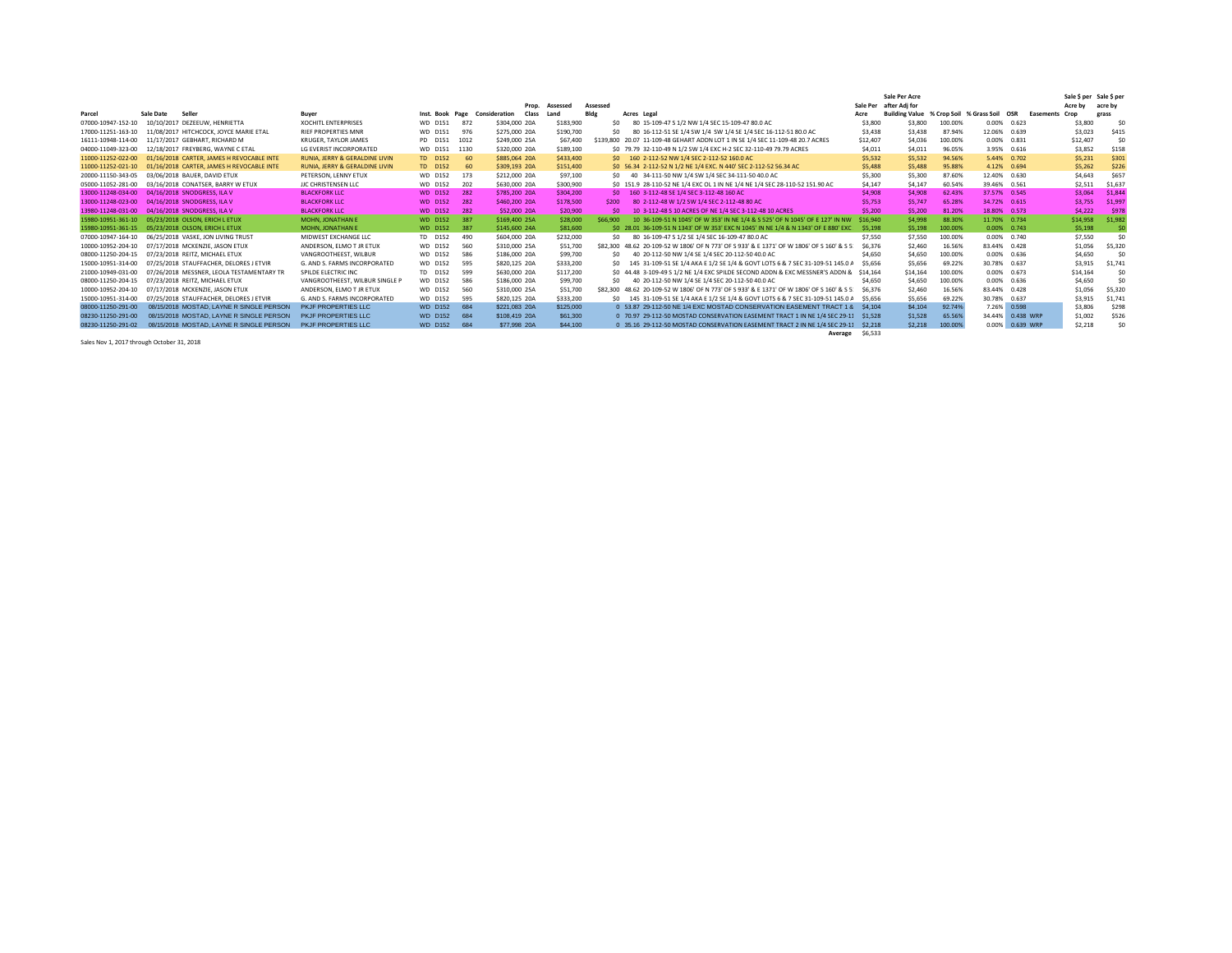|                    |                                           |                                |                 |      |                        |           |           |      |                                                                              |                                                                                           |          | Sale Per Acre                               |         |              |             |                   | Sale \$ per Sale \$ per |
|--------------------|-------------------------------------------|--------------------------------|-----------------|------|------------------------|-----------|-----------|------|------------------------------------------------------------------------------|-------------------------------------------------------------------------------------------|----------|---------------------------------------------|---------|--------------|-------------|-------------------|-------------------------|
|                    |                                           |                                |                 |      | Prop.                  | Assessed  | Assessed  |      |                                                                              |                                                                                           | Sale Per | after Adi for                               |         |              |             | Acre by           | acre by                 |
| Parcel             | Sale Date<br>Seller                       | Buyer                          | Inst. Book Page |      | Consideration<br>Class | Land      | Bldg      |      | Acres Legal                                                                  |                                                                                           | Acre     | Building Value % Crop Soil % Grass Soil OSR |         |              |             | Easements<br>Crop | grass                   |
| 07000-10947-152-10 | 10/10/2017 DEZEEUW, HENRIETTA             | <b>XOCHITL ENTERPRISES</b>     | WD D151         | 872  | \$304,000 20A          | \$183,900 |           | Ś٥   | 80 15-109-47 S 1/2 NW 1/4 SEC 15-109-47 80.0 AC                              |                                                                                           | \$3,800  | \$3,800                                     | 100.00% | 0.00%        | 0.623       | \$3,800           | S0                      |
| 17000-11251-163-10 | 11/08/2017 HITCHCOCK, JOYCE MARIE ETAL    | <b>RIEF PROPERTIES MNR</b>     | WD D151         | 976  | \$275,000 20A          | \$190,700 |           | Ś٥   | 80 16-112-51 SE 1/4 SW 1/4 SW 1/4 SE 1/4 SEC 16-112-51 80.0 AC               |                                                                                           | \$3,438  | \$3,438                                     | 87.94%  | 12.06%       | 0.639       | \$3,023           | \$415                   |
| 16111-10948-114-00 | 11/17/2017 GEBHART, RICHARD M             | KRUGER, TAYLOR JAMES           | PD D151         | 1012 | \$249,000 25A          | \$67,400  | \$139,800 |      | 20.07 11-109-48 GEHART ADDN LOT 1 IN SE 1/4 SEC 11-109-48 20.7 ACRES         |                                                                                           | \$12,407 | \$4,036                                     | 100.00% | 0.00%        | 0.831       | \$12,407          | \$0                     |
| 04000-11049-323-00 | 12/18/2017 FREYBERG, WAYNE C ETAL         | LG EVERIST INCORPORATED        | WD D151         | 1130 | \$320,000 20A          | \$189,100 |           |      | \$0 79.79 32-110-49 N 1/2 SW 1/4 EXC H-2 SEC 32-110-49 79.79 ACRES           |                                                                                           | \$4,011  | \$4,011                                     | 96.05%  |              | 3.95% 0.616 | \$3,852           | \$158                   |
| 11000-11252-022-00 | 01/16/2018 CARTER, JAMES H REVOCABLE INTE | RUNIA, JERRY & GERALDINE LIVIN | TD D152         | 60   | \$885,064 20A          | \$433,400 |           | SO.  | 160 2-112-52 NW 1/4 SEC 2-112-52 160.0 AC                                    |                                                                                           | \$5,532  | \$5,532                                     | 94.56%  |              | 5.44% 0.702 | \$5,231           | \$301                   |
| 11000-11252-021-10 | 01/16/2018 CARTER, JAMES H REVOCABLE INTE | RUNIA, JERRY & GERALDINE LIVIN | TD D152         | 60   | \$309,193 20A          | \$151,400 |           |      | \$0 56.34 2-112-52 N 1/2 NE 1/4 EXC. N 440' SEC 2-112-52 56.34 AC            |                                                                                           | \$5,488  | \$5,488                                     | 95.88%  |              | 4.12% 0.694 | \$5,262           | \$226                   |
| 20000-11150-343-05 | 03/06/2018 BAUER, DAVID ETUX              | PETERSON, LENNY ETUX           | WD D152         | 173  | \$212,000 20A          | \$97,100  |           | \$0  | 40 34-111-50 NW 1/4 SW 1/4 SEC 34-111-50 40.0 AC                             |                                                                                           | \$5,300  | \$5,300                                     | 87,60%  | 12.40%       | 0.630       | \$4,643           | \$657                   |
| 05000-11052-281-00 | 03/16/2018 CONATSER, BARRY W ETUX         | JJC CHRISTENSEN LLC            | WD D152         | 202  | \$630,000 20A          | \$300,900 |           |      | \$0 151.9 28-110-52 NE 1/4 EXC OL 1 IN NE 1/4 NE 1/4 SEC 28-110-52 151.90 AC |                                                                                           | \$4,147  | \$4,147                                     | 60.54%  | 39.46% 0.561 |             | \$2,511           | \$1,637                 |
| 13000-11248-034-00 | 04/16/2018 SNODGRESS, ILA V               | <b>BLACKFORK LLC</b>           | <b>WD D152</b>  | 282  | \$785,200 20A          | \$304,200 |           | SO.  | 160 3-112-48 SE 1/4 SEC 3-112-48 160 AC                                      |                                                                                           | \$4,908  | \$4,908                                     | 62.43%  | 37.57% 0.545 |             | \$3,064           | \$1,844                 |
| 13000-11248-023-00 | 04/16/2018 SNODGRESS, ILA V               | <b>BLACKFORK LLC</b>           | <b>WD D152</b>  | 282  | \$460,200 20A          | \$178,500 | \$200     |      | 80 2-112-48 W 1/2 SW 1/4 SEC 2-112-48 80 AC                                  |                                                                                           | \$5,753  | \$5,747                                     | 65.28%  | 34.72% 0.615 |             | \$3,755           | \$1,997                 |
| 13980-11248-031-00 | 04/16/2018 SNODGRESS, ILA V               | <b>BLACKFORK LLC</b>           | <b>WD D152</b>  | 282  | \$52,000 20A           | \$20,900  |           | SO.  | 10 3-112-48 S 10 ACRES OF NE 1/4 SEC 3-112-48 10 ACRES                       |                                                                                           | \$5,200  | \$5,200                                     | 81.20%  | 18.80% 0.573 |             | \$4,222           | \$978                   |
| 15980-10951-361-10 | 05/23/2018 OLSON, ERICH L ETUX            | <b>MOHN. JONATHAN E</b>        | <b>WD D152</b>  | 387  | \$169,400 25A          | \$28,000  | \$66,900  |      |                                                                              | 10 36-109-51 N 1045' OF W 353' IN NE 1/4 & S 525' OF N 1045' OF E 127' IN NW              | \$16,940 | \$4,998                                     | 88.30%  | 11.70% 0.734 |             | \$14,958          | \$1,982                 |
| 15980-10951-361-15 | 05/23/2018 OLSON, ERICH L ETUX            | <b>MOHN. JONATHAN E</b>        | <b>WD D152</b>  | 387  | \$145,600 24A          | \$81,600  |           |      |                                                                              | \$0 28.01 36-109-51 N 1343' OF W 353' EXC N 1045' IN NE 1/4 & N 1343' OF E 880' EXC       | \$5,198  | \$5,198                                     | 100.00% |              | 0.00% 0.743 | \$5,198           |                         |
| 07000-10947-164-10 | 06/25/2018 VASKE, JON LIVING TRUST        | MIDWEST EXCHANGE LLC           | TD D152         | 490  | \$604,000 20A          | \$232,000 |           | sn.  | 80 16-109-47 S 1/2 SE 1/4 SEC 16-109-47 80.0 AC                              |                                                                                           | \$7,550  | \$7,550                                     | 100.00% |              | 0.00% 0.740 | \$7.550           | \$0                     |
| 10000-10952-204-10 | 07/17/2018 MCKENZIE, JASON ETUX           | ANDERSON, ELMO T JR ETUX       | WD D152         | 560  | \$310,000 25A          | \$51,700  |           |      |                                                                              | \$82,300 48,62 20-109-52 W 1806' OF N 773' OF S 933' & E 1371' OF W 1806' OF S 160' & S 5 | \$6,376  | \$2,460                                     | 16.56%  | 83.44%       | 0.428       | \$1,056           | \$5,320                 |
| 08000-11250-204-15 | 07/23/2018 REITZ, MICHAEL ETUX            | VANGROOTHEEST, WILBUR          | WD D152         | 586  | \$186,000 20A          | \$99,700  |           | \$0  | 40 20-112-50 NW 1/4 SE 1/4 SEC 20-112-50 40.0 AC                             |                                                                                           | \$4,650  | \$4,650                                     | 100.00% | 0.00%        | 0.636       | \$4,650           | \$0                     |
| 15000-10951-314-00 | 07/25/2018 STAUFFACHER, DELORES J ETVIR   | G. AND S. FARMS INCORPORATED   | WD D152         | 595  | \$820,125 20A          | \$333,200 |           | \$O  |                                                                              | 145 31-109-51 SE 1/4 AKA E 1/2 SE 1/4 & GOVT LOTS 6 & 7 SEC 31-109-51 145.0 A             | \$5.656  | \$5,656                                     | 69.22%  | 30.78% 0.637 |             | \$3,915           | \$1,741                 |
| 21000-10949-031-00 | 07/26/2018 MESSNER, LEOLA TESTAMENTARY TF | SPILDE ELECTRIC INC            | TD D152         | 599  | \$630,000 20A          | \$117,200 |           | \$O. |                                                                              | 44.48 3-109-49 S 1/2 NE 1/4 EXC SPILDE SECOND ADDN & EXC MESSNER'S ADDN &                 | \$14,164 | \$14,164                                    | 100.00% | 0.00%        | 0.673       | \$14.164          | \$0                     |
| 08000-11250-204-15 | 07/23/2018 REITZ, MICHAEL ETUX            | VANGROOTHEEST. WILBUR SINGLE P | WD D152         | 586  | \$186,000 20A          | \$99,700  |           | Ś۵   | 40 20-112-50 NW 1/4 SE 1/4 SEC 20-112-50 40.0 AC                             |                                                                                           | \$4,650  | \$4,650                                     | 100.00% | 0.00%        | 0.636       | \$4,650           | \$0                     |
| 10000-10952-204-10 | 07/17/2018 MCKENZIE, JASON ETUX           | ANDERSON, ELMO T JR ETUX       | WD D152         | 560  | \$310,000 25A          | \$51,700  |           |      |                                                                              | \$82,300 48.62 20-109-52 W 1806' OF N 773' OF S 933' & E 1371' OF W 1806' OF S 160' & S 5 | \$6,376  | \$2,460                                     | 16.56%  | 83.44%       | 0.428       | \$1,056           | \$5,320                 |
| 15000-10951-314-00 | 07/25/2018 STAUFFACHER, DELORES J ETVIR   | G. AND S. FARMS INCORPORATED   | WD D152         | 595  | \$820.125 20A          | \$333,200 |           | \$0  |                                                                              | 145 31-109-51 SE 1/4 AKA E 1/2 SE 1/4 & GOVT LOTS 6 & 7 SEC 31-109-51 145.0 /             | \$5,656  | \$5,656                                     | 69.22%  | 30.78%       | 0.637       | \$3,915           | \$1,741                 |
| 08000-11250-291-00 | 08/15/2018 MOSTAD, LAYNE R SINGLE PERSON  | PKJF PROPERTIES LLC            | <b>WD D152</b>  | 684  | \$221,083 20A          | \$125,000 |           |      |                                                                              | 0 53.87 29-112-50 NE 1/4 EXC MOSTAD CONSERVATION EASEMENT TRACT 1 8                       | \$4,104  | \$4,104                                     | 92.74%  | 7.26%        | 0.598       | \$3,806           | \$298                   |
| 08230-11250-291-00 | 08/15/2018 MOSTAD, LAYNE R SINGLE PERSON  | PKJF PROPERTIES LLC            | <b>WD D152</b>  | 684  | \$108,419 20A          | \$61,300  |           |      |                                                                              | 0 70.97 29-112-50 MOSTAD CONSERVATION EASEMENT TRACT 1 IN NE 1/4 SEC 29-1:                | \$1,528  | \$1,528                                     | 65.569  | 34.44%       | 0.438 WRP   | \$1,002           | \$526                   |
| 08230-11250-291-02 | 08/15/2018 MOSTAD, LAYNE R SINGLE PERSON  | <b>PKJF PROPERTIES LLC</b>     | <b>WD D152</b>  | 684  | \$77,998 20A           | \$44,100  |           |      |                                                                              | 0 35.16 29-112-50 MOSTAD CONSERVATION EASEMENT TRACT 2 IN NE 1/4 SEC 29-1:                | \$2,218  | \$2,218                                     | 100,00% | 0.00%        | 0.639 WRP   | \$2,218           | \$0                     |
|                    |                                           |                                |                 |      |                        |           |           |      |                                                                              |                                                                                           |          |                                             |         |              |             |                   |                         |

Sales Nov 1, 2017 through October 31, 2018

**Average** \$6,533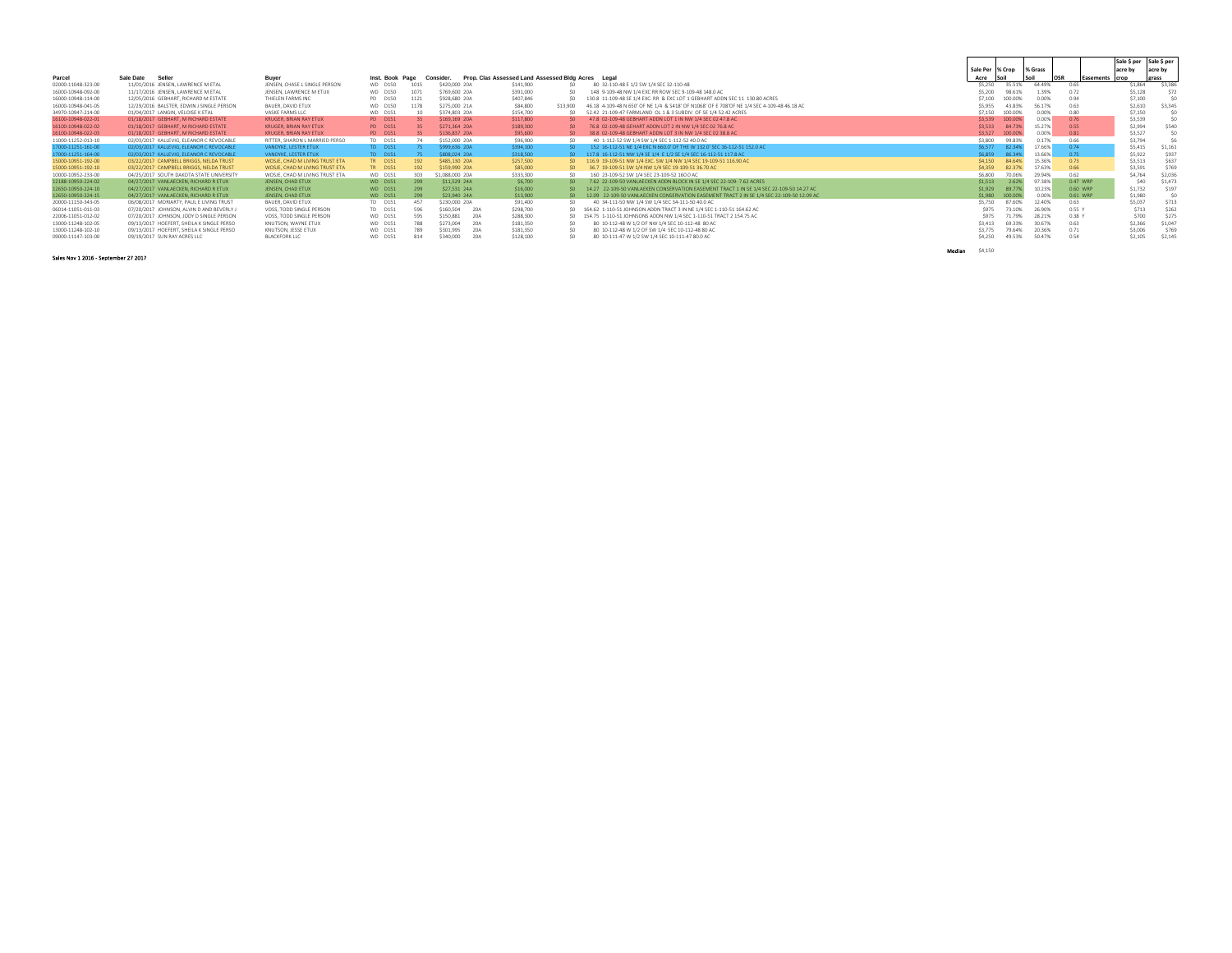|                    |                                           |                                |                 |      |                     |                                                    |                 |    |                                                                                            |        |                    |         |        |                   | Sale \$ per Sale \$ per |         |         |
|--------------------|-------------------------------------------|--------------------------------|-----------------|------|---------------------|----------------------------------------------------|-----------------|----|--------------------------------------------------------------------------------------------|--------|--------------------|---------|--------|-------------------|-------------------------|---------|---------|
|                    |                                           |                                |                 |      |                     |                                                    |                 |    |                                                                                            |        | Sale Per % Crop    | % Grass |        |                   | acre by                 | acre by |         |
| Parcel             | Sale Date<br>Seller                       | Buyer                          | Inst. Book Page |      | Consider.           | Prop. Clas Assessed Land Assessed Bidg Acres Legal |                 |    |                                                                                            | Acre   |                    |         | OSR    | <b>Fasements</b>  | <b>Crop</b>             | grass   |         |
| 02000-11048-323-00 | 11/01/2016 JENSEN, LAWRENCE M ETAL        | JENSEN, CHASE L SINGLE PERSON  | WD D150         | 1015 | S420,000 20A        | \$141,900                                          | SO <sub>1</sub> |    | 80 32-110-48 E 1/2 SW 1/4 SEC 32-110-48                                                    |        | \$5,250            | 35.51%  | 64,493 | 0.65              | \$1.864                 |         | \$3,386 |
| 16000-10948-092-00 | 11/17/2016 JENSEN, LAWRENCE M ETAL        | JENSEN, LAWRENCE M ETUX        | WD D150         | 107  | S769.600 20A        | \$391,000                                          | ۹n              |    | 148 9-109-48 NW 1/4 EXC RR ROW SEC 9-109-48 148.0 AC                                       |        | \$5,200            | 98.61%  | 1.39%  | 0.72              | \$5,128                 |         | \$72    |
| 16000-10948-114-00 | 12/05/2016 GEBHART, RICHARD M ESTATE      | THIELEN FARMS INC              | PD D150         | 1121 | \$928,680 20A       | S407.846                                           | S.              |    | 130 S. 11-109-48 SE 1/4 EXC. RR. & EXC LOT 1 GERHART ADDN SEC 11, 130 SO ACRES             |        | \$7,100            | 100,00% | 0.00%  | 0.94              | \$7,100                 |         | Sn      |
| 16000-10948-041-05 | 12/29/2016 BALSTER, EDWIN J SINGLE PERSON | BAUER, DAVID ETUX              | WD D150         |      | S275,000 21A        | S84,800                                            | \$13,900        |    | 46 18 4-109-48 N 650' OF NE 1/4 & S418' OF N1068' OF F 708'OF NE 1/4 SEC 4-109-48 46 18 AC |        | \$5,955            | 43.83%  | 56.179 | 0.63              | \$2,610                 |         | \$3,345 |
| 34970-10947-214-00 | 01/04/2017 LANGIN, VELOISE K ETAL         | VASKE FARMS LLC                | WD D151         | 10   | \$374,803 20A       | \$154,700                                          | SO              |    | 52.42 21-109-47 FARMLAND OL 1 & 3 SUBDIV. OF SE 1/4 52.42 ACRES                            |        | \$7,150<br>100,00% |         | 0.00%  | 0.80              | \$7.150                 |         | Sn      |
| 16100-10948-022-01 | 01/18/2017 GEBHART, M RICHARD ESTATE      | <b>KRUGER, BRIAN RAY ETUX</b>  | PD D151         |      | S169.169 20A        | S117,800                                           | S <sub>0</sub>  |    | 47.8 02-109-48 GEBHART ADDN LOT 1 IN NW 1/4 SEC 02 47.8 AC                                 |        | \$3,539            | 100,00% | 0.00%  | 0.76              | \$3,539                 |         | \$0     |
| 16100-10948-022-02 | 01/18/2017 GEBHART, M RICHARD ESTATE      | <b>KRUGER, BRIAN RAY ETUX</b>  | PD D151         |      | S271.364 20A        | S189.300                                           | SO.             |    | 76.8 02-109-48 GEHART ADDN LOT 2 IN NW 1/4 SEC 02 76.8 AC                                  |        | \$3,533            | 84,739  | 15.27% | 0.55              | \$2.994                 |         | \$540   |
| 16100-10948-022-03 | 01/18/2017 GEBHART, M RICHARD ESTATE      | <b>KRUGER, BRIAN RAY ETUX</b>  | PD D151         |      | S136,837 20A        | \$95,600                                           | S <sub>0</sub>  |    | 38.8 02-109-48 GEBHART ADDN LOT 3 IN NW 1/4 SEC 02 38.8 AC                                 |        | \$3,527<br>100,009 |         | 0.00%  | 0.81              | \$3,527                 |         | Sn      |
| 11000-11252-013-10 | 02/03/2017 KALLEVIG, ELEANOR C REVOCABLE  | RITTER, SHARON L MARRIED PERSO | TD D151         |      | S152,000 20A        | \$96,900                                           | SO <sub>1</sub> |    | 40 1-112-52 SW 1/4 SW 1/4 SEC 1-112-52 40.0 AC                                             |        | \$3,800            | 99.83%  |        | 0.66              | \$3.794                 |         |         |
| 17000-11251-161-00 | 02/03/2017 KALLEVIG, ELEANOR C REVOCABLE  | VANDYKE, LESTER ETUX           | TD D151         |      | S999.636 20A        | S394.100                                           |                 |    | 152 16-112-51 NE 1/4 EXC N 660.0' OF THE W 132.0' SEC 16-112-51 152.0 AC                   |        | \$6,577            | 82.34%  | 17.66% | 0.74              | \$5.415                 |         | \$1.161 |
| 17000-11251-164-00 | 02/03/2017 KALLEVIG, ELEANOR C REVOCABLE  | VANDYKE, LESTER ETUX           | TD D151         |      | <b>SROB 024 204</b> | S318.500                                           |                 |    | 117.8 16-112-51 NW 1/4 SE 1/4 E 1/2 SE 1/4 SEC 16-112-51 117.8 AC                          |        | \$6,859<br>86 349  |         | 13.66% | 0.75              | \$5.922                 |         | \$937   |
| 15000-10951-192-00 | 03/22/2017 CAMPBELL BRIGGS, NELDA TRUST   | WOSJE, CHAD M LIVING TRUST ETA | TR D151         | 192  | S485.130 20A        | \$257,500                                          |                 | SO | 116.9 19-109-51 NW 1/4 EXC, SW 1/4 NW 1/4 SEC 19-109-51 116.90 AC                          |        | \$4,150            | 84.64%  | 15.36% | 0.73              | \$3.513                 |         | \$637   |
| 15000-10951-192-10 | 03/22/2017 CAMPBELL BRIGGS, NELDA TRUST   | WOSJE, CHAD M LIVING TRUST ETA | TR D151         | 192  | S159,990 20A        | \$85,000                                           | S <sub>0</sub>  |    | 36.7 19-109-51 SW 1/4 NW 1/4 SEC 19-109-51 36.70 AC                                        |        | \$4,359            | 82 37%  | 17.63% | 0.66              | \$3.591                 |         | \$769   |
| 10000-10952-233-00 | 04/25/2017 SOUTH DAKOTA STATE UNIVERSITY  | WOSJE, CHAD M LIVING TRUST ETA | WD D151         | 303  | 1.088.000 204       | \$333,300                                          | SO <sub>1</sub> |    | 160 23-109-52 SW 1/4 SEC 23-109-52 160 0 AC                                                |        | \$6,800            | 70.06%  | 29 949 | 0.62              | \$4.76                  |         | \$2,036 |
| 12188-10950-224-02 | 04/27/2017 VANLAECKEN, RICHARD R ETUX     | JENSEN, CHAD ETUX              | <b>WD D151</b>  | 299  | \$11,529 24A        | \$6,700                                            |                 |    | 7.62 22-109-50 VANLAECKEN ADDN BLOCK IN SE 1/4 SEC 22-109- 7.62 ACRES                      |        | \$1.513            | 2.62%   | 97 38% | 0.47 WRP          |                         | \$40    | \$1,473 |
| 12650-10950-224-10 | 04/27/2017 VANLAECKEN, RICHARD R ETUX     | JENSEN, CHAD ETUX              | <b>WD D151</b>  | 299  | \$27,531 24A        | \$16,000                                           | SO.             |    | 14.27 22-109-50 VANLAEKEN CONSERVATION EASEMENT TRACT 1 IN SE 1/4 SEC 22-109-50 14.27 AC   |        | \$1,929            | 89.77%  | 10.23% | 0.60 WRP          | \$1,73                  |         | \$197   |
| 12650-10950-224-15 | 04/27/2017 VANLAECKEN RICHARD R FTUX      | JENSEN, CHAD ETUX              | <b>WD D151</b>  | 299  | \$23,940 24A        | \$13,900                                           | SO.             |    | 12.09 22-109-50 VANLAECKEN CONSERVATION EASEMENT TRACT 2 IN SE 1/4 SEC 22-109-50 12.09 AC  |        | \$1,980<br>100,009 |         | 0.00%  | 0.61 WRP          | \$1,980                 |         | Sn      |
| 20000-11150-343-05 | 06/08/2017 MORIARTY, PAUL E LIVING TRUST  | BAUER, DAVID ETUX              | TD D151         | 457  | \$230,000 20A       | S91.400                                            | SO              |    | 40 34-111-50 NW 1/4 SW 1/4 SEC 34-111-50 40.0 AC                                           |        | \$5,750            | 87.60%  | 12,40% | 0.63              | \$5.03                  |         | \$713   |
| 06014-11051-011-03 | 07/20/2017 JOHNSON, ALVIN D AND BEVERLY J | VOSS. TODD SINGLE PERSON       | TD D151         | 596  | \$160,504           | 20A<br>S298.700                                    |                 |    | 164.62 1-110-51 JOHNSON ADDN TRACT 3 IN NE 1/4 SEC 1-110-51 164.62 AC                      |        | \$975              |         | 26,90% | 0.55 Y            | \$713                   |         | \$262   |
| 22006-11051-012-02 | 07/20/2017 JOHNSON, JODY D SINGLE PERSON  | VOSS, TODD SINGLE PERSON       | WD D151         | 595  | \$150,881           | 20A<br>\$288,300                                   |                 |    | 154.75 1-110-51 JOHNSONS ADDN NW 1/4 SEC 1-110-51 TRACT 2 154.75 AC                        |        | \$975              |         | 28.219 | O <sub>38</sub> Y | \$700                   |         | \$275   |
| 13000-11248-102-05 | 09/13/2017 HOEFERT, SHEILA K SINGLE PERSO | KNUTSON, WAYNE ETUX            | WD D151         | 788  | \$273,004           | 20A<br>\$181,350                                   | SO              |    | 80 10-112-48 W 1/2 OF NW 1/4 SEC 10-112-48 80 AC                                           |        | \$3,413            | 69 33%  | 30.67% | 0.63              | \$2,366                 |         | \$1.047 |
| 13000-11248-102-10 | 09/13/2017 HOEFERT, SHEILA K SINGLE PERSO | KNUTSON, JESSE ETUX            | WD D151         | 789  | \$301.995           | 20A<br>\$181,350                                   | SO              |    | 80 10-112-48 W 1/2 OF SW 1/4 SEC 10-112-48 80 AC                                           |        | \$3,775            | 79.64%  | 20.369 | 0.71              | \$3,006                 |         | \$769   |
| 09000-11147-103-00 | 09/19/2017 SUN RAY ACRES LLC              | <b>BLACKFORK LLC</b>           | WD D151         | 814  | \$340,000           | 204<br>S128.100                                    | SO <sub>1</sub> |    | 80 10-111-47 W 1/2 SW 1/4 SEC 10-111-47 80.0 AC                                            |        | \$4,250            | 49.53%  | 50.47% | 0.54              | \$2.105                 |         | \$2.145 |
|                    |                                           |                                |                 |      |                     |                                                    |                 |    |                                                                                            | Median | \$4,150            |         |        |                   |                         |         |         |

Sales Nov 1 2016 - September 27 2017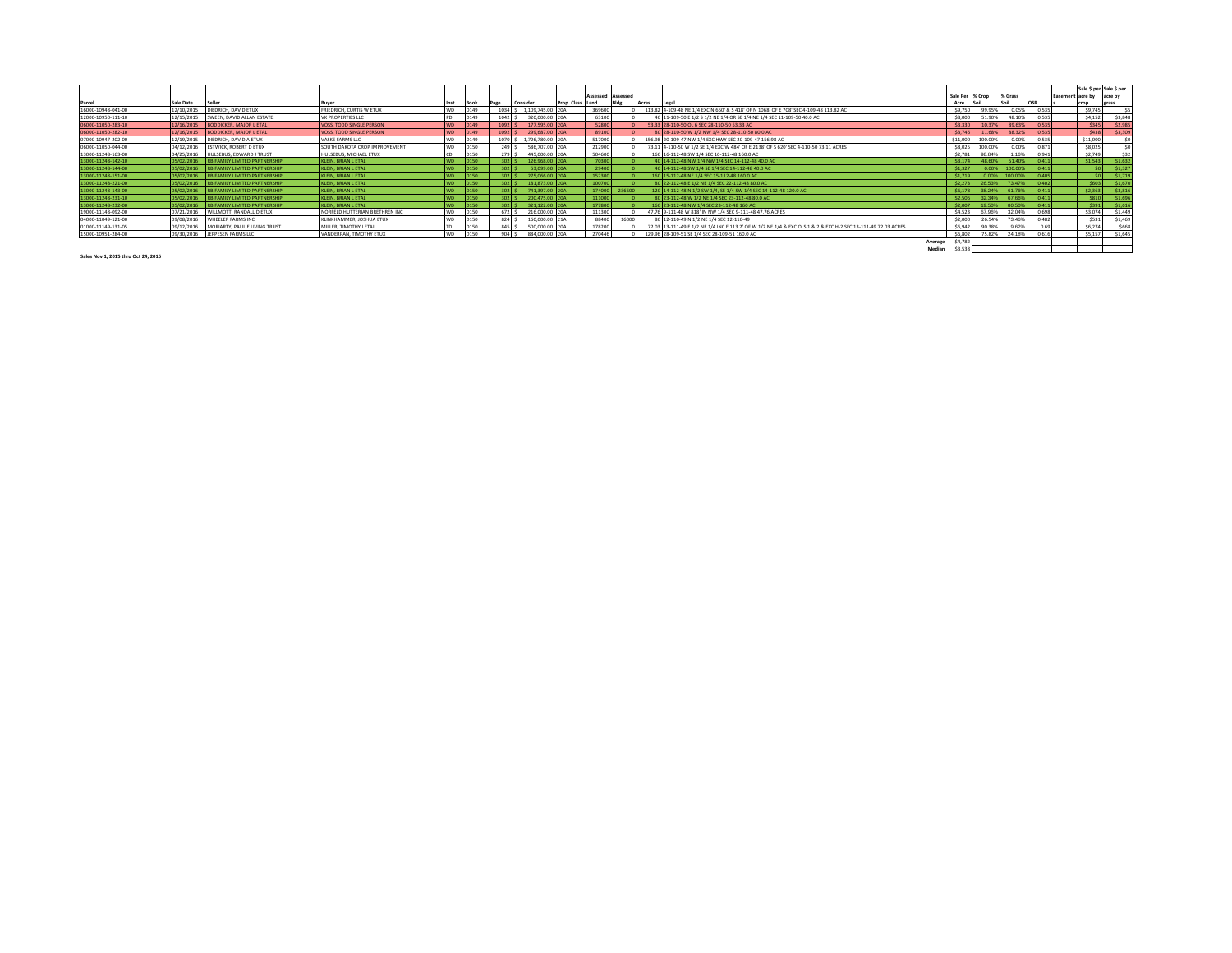|                    |                  |                                      |                                 |            |             |               |                  |               | Assessed Assessed |        |                                                                                                               |         |          | Sale Per % Crop | % Grass |       | <b>Fasemer</b> | Sale \$ per Sale \$ per<br>t acre by acre by |         |
|--------------------|------------------|--------------------------------------|---------------------------------|------------|-------------|---------------|------------------|---------------|-------------------|--------|---------------------------------------------------------------------------------------------------------------|---------|----------|-----------------|---------|-------|----------------|----------------------------------------------|---------|
| Parcel             | <b>Sale Date</b> | Seller                               | Ruver                           |            |             | Page          | Consider.        | Prop. Class I | Land              | Acres  |                                                                                                               |         | Acre     |                 |         |       |                |                                              | grass   |
| 16000-10948-041-00 | 12/10/2015       | DIEDRICH, DAVID ETUX                 | FRIEDRICH, CURTIS W ETUX        |            |             | $1034$ $\leq$ | 1.109.745.00 20A |               | 369600            |        | 113.82 4-109-48 NE 1/4 EXC N 650' & S 418' OF N 1068' OF E 708' SEC 4-109-48 113.82 AC                        |         | \$9,750  | 99.95           | 0.05%   | 0.535 |                | S9.745                                       |         |
| 12000-10950-111-10 | 12/15/2015       | SWEEN, DAVID ALLAN ESTATE            | VK PROPERTIES LLC               | PD         | 1149        | 1042          | 320,000.00 20A   |               | 63100             |        | 40 11-109-50 E 1/2 S 1/2 NE 1/4 OR SE 1/4 NE 1/4 SEC 11-109-50 40.0 AC                                        |         | \$8,000  | 51,90%          | 48.10%  | 0.535 |                | \$4,152                                      | \$3,848 |
| 06000-11050-283-10 | 12/16/2015       | <b>BODDICKER, MAJOR L ETAL</b>       | VOSS, TODD SINGLE PERSON        |            | 9149        | $1092$ $\leq$ | 177,595.00 20A   |               | 52800             |        | 53.33 28-110-50 OL 6 SEC 28-110-50 53.33 AC                                                                   |         | \$3,330  | 10.379          | 89.63%  | 0.535 |                | \$345                                        | \$2,985 |
| 06000-11050-282-10 | 12/16/2015       | <b>BODDICKER, MAJOR L ETAL</b>       | VOSS, TODD SINGLE PERSON        |            | D149        | $1092$ S      | 299,687.00 20A   |               | 89100             |        | 80 28-110-50 W 1/2 NW 1/4 SEC 28-110-50 80.0 AC                                                               |         | \$3,746  | 11.68%          | 88.32%  | 0.535 |                | \$438                                        | \$3.30  |
| 07000-10947-202-00 | 12/19/2015       | DIEDRICH, DAVID A ETUX               | VASKE FARMS LLC                 | <b>M/D</b> |             |               | 1.726.780.00 20A |               | 517000            |        | 156.98 20-109-47 NW 1/4 EXC HWY SEC 20-109-47 156.98 AC                                                       |         | \$11,000 | 100,00          | 0.003   | 0.535 |                | \$11,000                                     |         |
| 06000-11050-044-00 | 04/12/2016       | <b>ESTWICK, ROBERT D ETUX</b>        | SOUTH DAKOTA CROP IMPROVEMENT   | WD         | D150        | 249           | 586,707.00 20A   |               | 212900            |        | 73.11 4-110-50 W 1/2 SE 1/4 EXC W 484' OF E 2138' OF S 620' SEC 4-110-50 73.11 ACRES                          |         | \$8,025  | 100,00%         | 0.00%   | 0.871 |                | \$8,025                                      |         |
| 13000-11248-163-00 |                  | 04/25/2016 HULSEBUS, EDWARD J TRUST  | HULSEBUS, MICHAEL ETUX          |            | <b>150</b>  | 279           | 445,000.00 20A   |               | 504600            |        | 160 16-112-48 SW 1/4 SEC 16-112-48 160.0 AC                                                                   |         | \$2,781  | 98.84%          | 1 1 6%  | 0.941 |                | \$2.749                                      |         |
| 13000-11248-142-10 | 05/02/2016       | <b>RB FAMILY LIMITED PARTNERSHIP</b> | <b>KLEIN, BRIAN L ETAL</b>      |            | 0150        | $302$ S       | 126,968.00 20A   |               | 70300             |        | 40 14-112-48 NW 1/4 NW 1/4 SEC 14-112-48 40.0 AC                                                              |         | \$3,174  | 48,60%          | 51.40%  | 0.411 |                | S1.543                                       | \$1,63  |
| 13000-11248-144-00 | 05/02/2016       | <b>RB FAMILY LIMITED PARTNERSHIP</b> | KLEIN, BRIAN L ETAL             |            |             |               | 53.099.00 20A    |               | 29400             |        | 40 14-112-48 SW 1/4 SE 1/4 SEC 14-112-48 40.0 AC                                                              |         | \$1,327  |                 |         | 0.411 |                |                                              |         |
| 13000-11248-151-00 | 05/02/2016       | <b>RB FAMILY LIMITED PARTNERSHIP</b> | KLEIN, BRIAN L ETAL             |            | <b>D150</b> | 302<          | 275,066,00 20A   |               | 152300            |        | 160 15-112-48 NE 1/4 SEC 15-112-48 160.0 AC                                                                   |         | \$1,719  | 0.00%           | 100.00% | 0.405 |                | sol                                          | S1.71   |
| 13000-11248-221-00 | 05/02/2016       | <b>RB FAMILY LIMITED PARTNERSHIP</b> | KLEIN, BRIAN L ETAL             |            | D150        | 302 S         | 181,873.00 20A   |               | 100700            |        | 80 22-112-48 E 1/2 NE 1/4 SEC 22-112-48 80.0 AC                                                               |         | \$2,273  | 26.53%          | 73.47%  | 0.402 |                | S603                                         | \$1.67  |
| 13000-11248-143-00 | 05/02/2016       | <b>RB FAMILY LIMITED PARTNERSHIP</b> | <b>KLEIN, BRIAN L ETAL</b>      |            | D150        | 302 S         | 741.397.00 20A   |               | 174000            | 236500 | 120 14-112-48 N 1/2 SW 1/4. SE 1/4 SW 1/4 SEC 14-112-48 120.0 AC                                              |         | S6.178   | 38.24%          | 61.76%  | 0.411 |                | \$2.363                                      | \$3.81  |
| 13000-11248-231-10 | 05/02/2016       | <b>RB FAMILY LIMITED PARTNERSHIP</b> | <b>KLEIN, BRIAN L ETAL</b>      |            | D150        | 302 S         | 200,475.00 20A   |               | 111000            |        | 80 23-112-48 W 1/2 NE 1/4 SEC 23-112-48 80.0 AC                                                               |         | \$2,506  | 32.34%          | 67.66%  | 0.411 |                | \$810                                        | \$1,69  |
| 13000-11248-232-00 | 05/02/2016       | <b>RB FAMILY LIMITED PARTNERSHIP</b> | KLEIN, BRIAN L ETAL             |            | 0150        | 302<          | 321.122.00 20A   |               | 177800            |        | 160 23-112-48 NW 1/4 SEC 23-112-48 160 AC                                                                     |         | \$2,007  | 19.50%          | 80.50%  | 0.411 |                | S391                                         | \$1.61  |
| 19000-11148-092-00 | 07/21/2016       | WILLMOTT, RANDALL D ETUX             | NORFELD HUTTERIAN BRETHREN INC. | WD         | <b>D150</b> | $672$ $\leq$  | 216,000.00 20A   |               | 111300            |        | 47.76 9-111-48 W 818' IN NW 1/4 SEC 9-111-48 47.76 ACRES                                                      |         | \$4,523  | 67.96%          | 32.04%  | 0.698 |                | \$3,074                                      | \$1,449 |
| 04000-11049-121-00 | 09/08/2016       | WHEELER FARMS INC                    | KLINKHAMMER, JOSHUA ETUX        | WD         | D150        | 824 9         | 160,000.00 21A   |               | 88400             | 16000  | 80 12-110-49 N 1/2 NE 1/4 SEC 12-110-49                                                                       |         | \$2,000  | 26.54%          | 73.46%  | 0.482 |                | \$531                                        | \$1,469 |
| 01000-11149-131-05 | 09/12/2016       | MORIARTY, PAUL E LIVING TRUST        | MILLER, TIMOTHY I ETAL          |            | D150        | 845           | 500,000.00 20A   |               | 178200            |        | 72.03 13-111-49 E 1/2 NE 1/4 INC E 113.2' OF W 1/2 NE 1/4 & EXC OLS 1 & 2 & EXC H-2 SEC 13-111-49 72.03 ACRES |         | \$6,942  | 90.38           | 9.62%   | 0.69  |                | S6.274                                       | \$668   |
| 15000-10951-284-00 | 09/30/2016       | JEPPESEN FARMS LLC                   | VANDERPAN, TIMOTHY ETUX         | <b>WD</b>  | 0150        | 904           | 884,000.00 20A   |               | 270446            |        | 129.96 28-109-51 SE 1/4 SEC 28-109-51 160.0 AC                                                                |         | \$6,802  | 75.87%          | 24 18%  | 0.616 |                | \$5,157                                      | \$1,645 |
|                    |                  |                                      |                                 |            |             |               |                  |               |                   |        |                                                                                                               | Average | \$4,782  |                 |         |       |                |                                              |         |
|                    |                  |                                      |                                 |            |             |               |                  |               |                   |        |                                                                                                               | Median  | \$3,538  |                 |         |       |                |                                              |         |

**Sales Nov 1, 2015 thru Oct 24, 2016**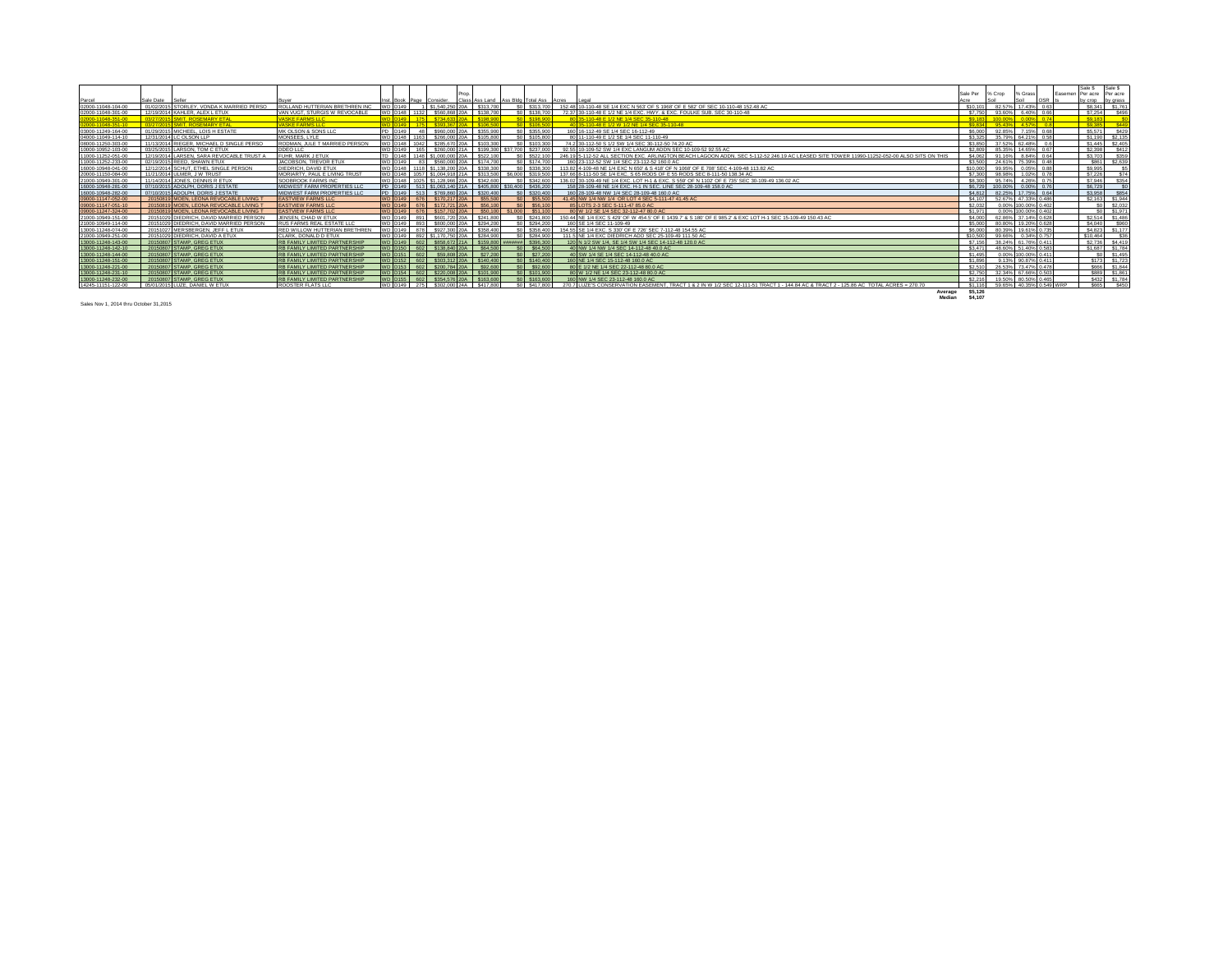|                    |                                           |                                      |                |              |                                                          |                                         |  |                    |                                                                                                                                             |              |                                             |                     |     |         | Sale \$           | Sale S                            |
|--------------------|-------------------------------------------|--------------------------------------|----------------|--------------|----------------------------------------------------------|-----------------------------------------|--|--------------------|---------------------------------------------------------------------------------------------------------------------------------------------|--------------|---------------------------------------------|---------------------|-----|---------|-------------------|-----------------------------------|
|                    |                                           |                                      |                |              |                                                          |                                         |  |                    |                                                                                                                                             | Sale Per     | % Crop                                      | % Grass             |     | Fasemen | Per acre Per acre |                                   |
| Parcel             | Sale Date<br>Seller                       |                                      |                |              | Inst. Book Page Consider.                                | Class Ass Land Ass Bidg Total Ass Acres |  |                    | I enal                                                                                                                                      | Acre         |                                             |                     | OSR |         | by crop by grass  |                                   |
| 02000-11048-104-00 | 01/02/2015 STORLEY, VONDA K MARRIED PERSO | ROLLAND HUTTERIAN BRETHREN INC       | <b>ND D149</b> |              | 1 \$1,540,250 20A \$313,700                              |                                         |  | $$0$ $$313,700$    | 152.48 10-110-48 SE 1/4 EXC N 563' OF S 1968' OF E 582' OF SEC 10-110-48 152.48 AC                                                          | \$10 101     | 82.57%                                      | 17 43% 0.6          |     |         |                   | \$8,341 \$1,761                   |
| 02000-11048-301-00 | 12/19/2014 KAHLER, ALEX L ETUX            | VAN VUGT. STURGIS W REVOCABLE        |                |              | WD D148 1132 \$560,868 20A \$138,700                     |                                         |  | \$0 \$138,700      | 72.37 30-110-48 E 1/2 NE 1/4 EXC. HWY, & EXC. FOULKE SUB, SEC 30-110-48                                                                     | \$7,750      |                                             | 93.60% 6.40% 0.66   |     |         | \$7,254           | S496                              |
| 2000-11048-351-00  | 03/27/2015 SMIT, ROSEMARY ETAL            | <b>VASKE FARMS LLC</b>               |                |              | 175 \$734 633 20A                                        |                                         |  | \$0 \$198,900      | 80 35-110-48 E 1/2 NE 1/4 SEC 35-110-48                                                                                                     | CO 183       | 100.00%                                     | 0.00% 0.74          |     |         | \$9,183           |                                   |
| 02000-11048-351-10 | 03/27/2015 SMIT ROSEMARY FTAL             | <b>VASKE FARMS LLC</b>               |                |              | <b>CROS BRY DOA</b>                                      |                                         |  | $\frac{1}{21065}$  | 35-110-48 E 1/2 W 1/2 NF 1/4 SEC 35-110-48                                                                                                  | <b>CORRA</b> | 05.43%                                      | 4.57% 0.8           |     |         | <b>CO 3RS</b>     | CAA                               |
| 03000-11249-164-00 | 01/29/2015 MICHEEL, LOIS H ESTATE         | MK OLSON & SONS LLC                  | PD D149        |              | 48 \$960,000 20A                                         | \$355,900                               |  | \$0 \$355,900      | 160 16-112-49 SE 1/4 SEC 16-112-49                                                                                                          | \$6,000      | 92.85%                                      | 715% 0.68           |     |         | \$5,571           | \$429                             |
| 04000-11049-114-10 | 12/31/2014 LC OLSON LLP                   | MONSEES, LYLE                        |                |              | WD D148 1163 \$266,000 20A \$105,800                     |                                         |  | \$0 \$105,800      | 80 11-110-49 E 1/2 SE 1/4 SEC 11-110-49                                                                                                     |              | \$3.325 35.79% 64.21% 0.58                  |                     |     |         | \$1,190 \$2,135   |                                   |
| 08000-11250-303-00 | 11/13/2014 RIEGER, MICHAEL D SINGLE PERSO | RODMAN, JULE T MARRIED PERSON        |                | WD D148 1042 | \$285,670 20A \$103,300                                  |                                         |  | \$0 \$103,300      | 74.2 30-112-50 S 1/2 SW 1/4 SEC 30-112-50 74.20 AC                                                                                          | \$3,850      |                                             | 37.52% 62.48% 0.6   |     |         |                   | \$1,445 \$2,405                   |
| 10000-10952-103-00 | 03/25/2015 LARSON, TOM C ETUX             | DDEO LLC                             | WD D149        | 165          | \$260,000 21A                                            | \$199,300                               |  | \$37,700 \$237,000 | 92.55 10-109-52 SW 1/4 EXC LANGUM ADDN SEC 10-109-52 92.55 AC                                                                               | \$2,809      |                                             | 85 35% 14 65% 0.67  |     |         | \$2,398           | S412                              |
| 11000-11252-051-00 | 12/19/2014 LARSEN, SARA REVOCABLE TRUST   | FUHR, MARK J ETUX                    |                |              | TD D148 1148 \$1,000,000 20A \$522,100                   |                                         |  | \$0 \$522,100      | 246.19 5-112-52 ALL SECTION EXC. ARLINGTON BEACH LAGOON ADDN, SEC 5-112-52 246.19 AC LEASED SITE TOWER 11990-11252-052-00 ALSO SITS ON THIS | \$4,062      |                                             | 91.16% 8.84% 0.64   |     |         | \$3,703           | \$359                             |
| 11000-11252-233-00 | 02/19/2015 REED, SHAWN ETUX               | JACOBSON, TREVOR ETU:                | <b>WD D149</b> |              | 83 \$560,000 20A \$174,700                               |                                         |  | \$0 \$174,700      | 160 23-112-52 SW 1/4 SEC 23-112-52 160.0 AC                                                                                                 | \$3,500      |                                             | 24 61% 75 39% 0.48  |     |         | S861              | \$2,639                           |
| 16000-10948-041-00 | 12/12/2014 SCHUT, ETHEL SINGLE PERSON     | DIEDRICH, DAVID ETUX                 | WD D148        |              | 1118 \$1,138,200 20A                                     | \$338.30                                |  | \$338,300          | 113.82 4-109-48 NE 1/4 EXC N 650' & S 418' OF N 1068' OF E 708' SEC 4-109-48 113.82 AC                                                      | \$10,000     | 99.95%                                      | 0.05% 0.88          |     |         | \$9,995           |                                   |
| 20000-11150-084-00 | 11/21/2014 ULMER, J W TRUST               | MORIARTY, PAUL E LIVING TRUS'        | <b>WD D148</b> |              | 1057 \$1,004,918 21A \$313,500                           |                                         |  | \$6,000 \$319,500  | 137.66 8-111-50 SE 1/4 EXC. S 65 RODS OF E 55 RODS SEC 8-111-50 138.34 AC                                                                   | \$7,300      | 98.98%                                      | 1.02% 0.78          |     |         | \$7,226           | C7A                               |
| 21000-10949-301-00 | 11/14/2014 JONES, DENNIS R ETUX           | SOOBROOK FARMS INC                   | WD D148        |              | 1025 \$1.128.966 204 \$342.600                           |                                         |  | \$0 \$342,600      | 136.02 30-109-49 NE 1/4 EXC. LOT H-1 & EXC. S 559' OF N 1102' OF E 735' SEC 30-109-49 136.02 AC                                             | \$8,300      | 95.74%                                      | 4.26% 0.75          |     |         | \$7,946           | \$354                             |
| 16000-10948-281-00 | 07/10/2015 ADOLPH, DORIS J ESTATE         | MIDWEST FARM PROPERTIES LLC          |                |              | PD D149 513 \$1,063,140 21A \$405,800 \$30,400 \$436,200 |                                         |  |                    | 158 28-109-48 NE 1/4 EXC. H-1 IN SEC. LINE SEC 28-109-48 158.0 AC                                                                           |              | \$6,729 100,00% 0,00% 0.76                  |                     |     |         | \$6,729           |                                   |
| 16000-10948-282-00 | 07/10/2015 ADOLPH, DORIS J ESTATE         | MIDWEST FARM PROPERTIES LLC          |                |              | PD D149 513 \$769,860 20A \$320,400                      |                                         |  | \$0 \$320,400      | 160 28-109-48 NW 1/4 SEC 28-109-48 160.0 AC                                                                                                 | \$4,812      | 82 25% 17 75% 0.64                          |                     |     |         | \$3,958           | \$854                             |
| 09000-11147-052-00 | 20150819 MOEN, LEONA REVOCABLE LIVING T   | <b>EASTVIEW FARMS LLC</b>            |                |              | WD D149 676 \$170,217 20A                                | \$55,500                                |  | \$0 \$55,500       | 41.45 NW 1/4 NW 1/4 OR LOT 4 SEC 5-111-47 41.45 AC                                                                                          | \$4,107      |                                             | 52.67% 47.33% 0.486 |     |         |                   | \$2,163 \$1,944                   |
| 09000-11147-051-10 | 20150819 MOEN, LEONA REVOCABLE LIVING     | <b>EASTVIEW FARMS LLC</b>            | <b>WD D149</b> |              | 676 \$172,721 20A                                        | \$56,100                                |  | \$56,100           | 85 LOTS 2-3 SEC 5-111-47 85.0 AC                                                                                                            | \$2,032      |                                             | 0.00% 100.00% 0.402 |     |         |                   | \$2.03                            |
| 09000-11247-324-00 | 20150819 MOEN, LEONA REVOCABLE LIVING     | <b>EASTVIEW FARMS LLC</b>            | <b>WD D149</b> |              | 676 \$157,702 20A                                        | \$50,100                                |  | \$1,000 \$51,100   | 80 W 1/2 SE 1/4 SEC 32-112-47 80.0 AC                                                                                                       | \$1,971      |                                             | 0.00% 100.00% 0.402 |     |         |                   | \$0 \$1.97                        |
| 21000-10949-151-00 | 20151029 DIEDRICH, DAVID MARRIED PERSO    | JENSEN, CHAD W ETUX                  | <b>WD D149</b> |              | 891 S601 720 20A                                         | \$241,80                                |  | \$241,800          | 150.44 NE 1/4 EXC S 429' OF W 454.5' OF E 1439.7' & S 180' OF E 985.2' & EXC LOT H-1 SEC 15-109-49 150.43 AC                                | \$4,000      |                                             | 62.86% 37.14% 0.628 |     |         |                   | \$2,514 \$1,486                   |
| 21000-10949-114-00 | 20151029 DIEDRICH, DAVID MARRIED PERSON   | RUS FARMS REAL ESTATE LLC            | WD D149        | <b>R93</b>   | \$800,000 20A                                            | \$294,200                               |  | \$0 \$294 200      | 160 SE 1/4 SEC 11-109-49                                                                                                                    | \$5,000      |                                             | 80 80% 19 20% 0 628 |     |         | \$4,040           | S960                              |
| 13000-11248-074-00 | 20151027 MERSBERGEN, JEFF L ETUX          | RED WILLOW HUTTERIAN BRETHREN        |                |              | WD D149 878 \$927,300 20A \$358,400                      |                                         |  | \$0 \$358,400      | 154.55 SE 1/4 EXC, S 330' OF E 726' SEC 7-112-48 154.55 AC                                                                                  |              | \$6,000 80,39% 19,61% 0.735                 |                     |     |         |                   | \$4,823 \$1,177                   |
| 21000-10949-251-00 | 20151029 DIEDRICH, DAVID A ETUX           | CLARK, DONALD D ETUX                 | WD D149        |              | 892 \$1,170,750 20A \$284,900                            |                                         |  | \$0 \$284,900      | 111.5 NE 1/4 EXC DIEDRICH ADD SEC 25-109-49 111.50 AC                                                                                       | \$10,500     | 99.66%                                      | 0.34% 0.757         |     |         | \$10,464          | \$36                              |
| 13000-11248-143-00 | 20150807 STAMP, GREG ETUX                 | <b>RB FAMILY LIMITED PARTNERSHIP</b> |                |              | WD D149 602 \$858,672 21A \$159,800                      |                                         |  | ###### \$396.300   | 120 N 1/2 SW 1/4, SE 1/4 SW 1/4 SEC 14-112-48 120.0 AC                                                                                      | \$7.156      |                                             | 38.24% 61.76% 0.411 |     |         |                   | \$2,736 \$4,419                   |
| 13000-11248-142-10 | 20150807 STAMP, GREG ETUX                 | <b>RB FAMILY LIMITED PARTNERSHIP</b> |                |              | WD D150 602 \$138,840 20A \$64,500                       |                                         |  | \$0 \$64,500       | 40 NW 1/4 NW 1/4 SEC 14-112-48 40.0 AC                                                                                                      | \$3,471      |                                             | 48 60% 51 40% 0 583 |     |         | \$1,687 \$1,78    |                                   |
| 13000-11248-144-00 | 20150807 STAMP, GREG ETUX                 | <b>RB FAMILY LIMITED PARTNERSHIP</b> |                |              | WD D151 602 \$59,808 20A                                 | \$27,200                                |  | \$0 \$27,200       | 40 SW 1/4 SE 1/4 SEC 14-112-48 40.0 AC                                                                                                      | \$1,495      |                                             | 0.00% 100.00% 0.411 |     |         |                   | \$0 \$1,49                        |
| 13000-11248-151-00 | 20150807 STAMP, GREG ETUX                 | <b>RB FAMILY LIMITED PARTNERSHIP</b> |                |              | VD 0152 602 \$303.312 20A \$140.40                       |                                         |  | \$0 \$140,400      | 160 NE 1/4 SEC 15-112-48 160.0 AC                                                                                                           | \$1,896      |                                             | 9.13% 90.87% 0.411  |     |         |                   | S <sub>173</sub> S <sub>172</sub> |
| 13000-11248-221-00 | 20150807 STAMP, GREG ETUX                 | <b>RB FAMILY LIMITED PARTNERSHIP</b> | <b>ND D153</b> |              | 602 \$200,784 20A                                        | \$92.60                                 |  | \$0 \$92,600       | 80 E 1/2 NE 1/4 SEC 22-112-48 80.0 AC                                                                                                       | \$2,510      |                                             | 26.53% 73.47% 0.478 |     |         | S666              | \$1,844                           |
| 13000-11248-231-10 | 20150807 STAMP, GREG ETUX                 | <b>RB FAMILY LIMITED PARTNERSHIP</b> |                |              | WD D154 602 \$220,008 20A \$101,900                      |                                         |  | \$0 \$101,900      | 80 W 1/2 NE 1/4 SEC 23-112-48 80.0 AC                                                                                                       |              | \$2,750 32,34% 67,66% 0.503                 |                     |     |         |                   | S889 \$1.86                       |
| 13000-11248-232-00 | 20150807 STAMP, GREG ETUX                 | <b>RB FAMILY LIMITED PARTNERSHIP</b> |                |              | WD D155 602 \$354.576 20A \$163.60                       |                                         |  | \$0 \$163,60       | 160 NW 1/4 SEC 23-112-48 160.0 AC                                                                                                           | \$2,216      |                                             | 19.50% 80.50% 0.465 |     |         |                   | \$432 \$1.78                      |
| 14245-11151-122-00 | 05/01/2015 LUZE, DANIEL W ETUX            | ROOSTER FLATS LLC                    |                |              | WD D149 275 \$302,000 24A \$417,800                      |                                         |  | \$0 \$417,800      | 270.7 LUZE'S CONSERVATION EASEMENT. TRACT 1 & 2 IN W 1/2 SEC 12-111-51 TRACT 1 - 144.84 AC & TRACT 2 - 125.86 AC TOTAL ACRES = 270.70       |              | \$1.116    59.65%    40.35%    0.549    WRP |                     |     |         |                   | S665 \$450                        |
|                    |                                           |                                      |                |              |                                                          |                                         |  |                    | Average                                                                                                                                     | \$5,126      |                                             |                     |     |         |                   |                                   |
|                    |                                           |                                      |                |              |                                                          |                                         |  |                    | Median                                                                                                                                      | \$4,107      |                                             |                     |     |         |                   |                                   |

Sales Nov 1, 2014 thru October 31,2015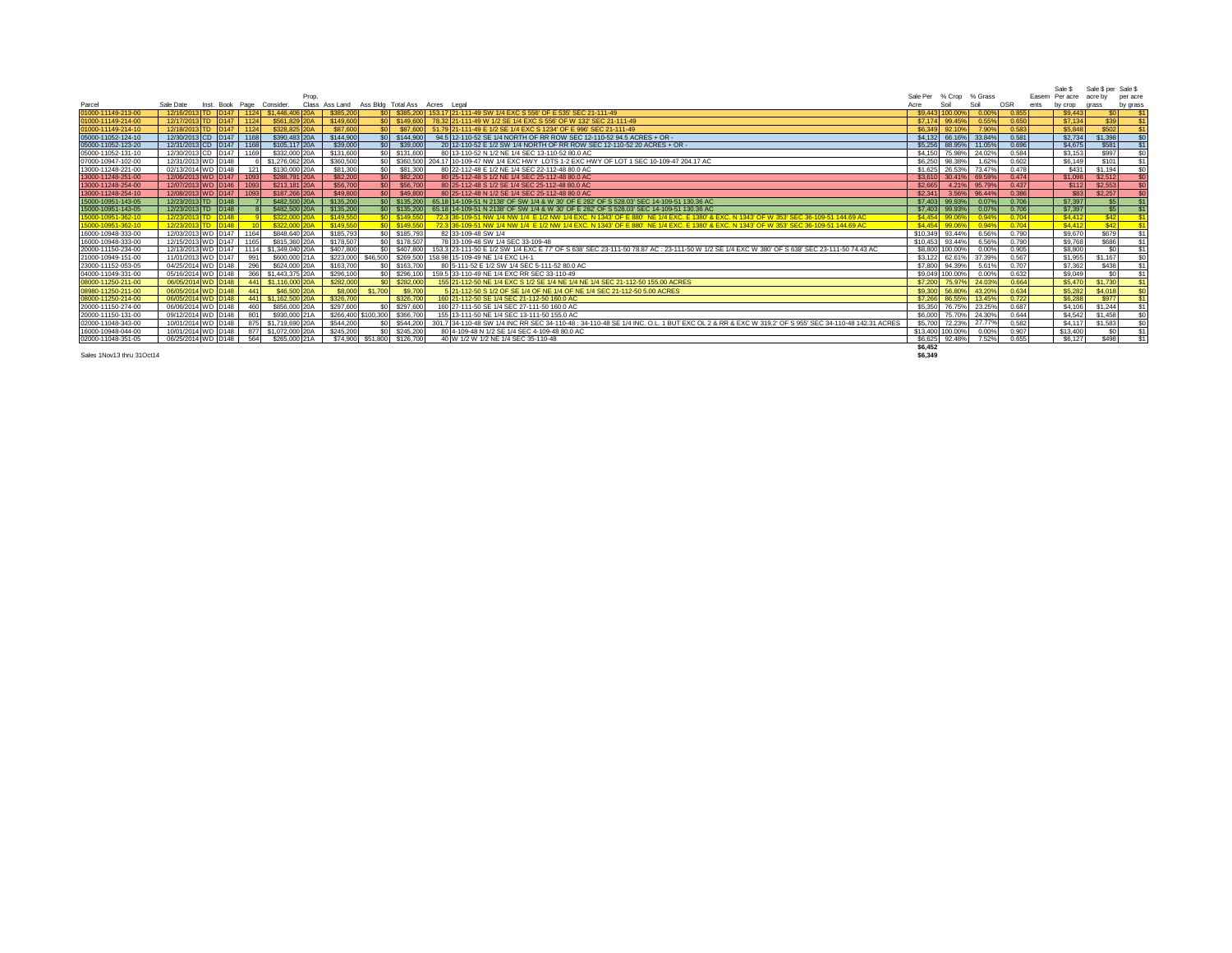|                    |                                               |                |                               |                              |                                                                                                                                                  |                  |                 |         |       | Sale S            | Sale \$ per Sale \$ |                |
|--------------------|-----------------------------------------------|----------------|-------------------------------|------------------------------|--------------------------------------------------------------------------------------------------------------------------------------------------|------------------|-----------------|---------|-------|-------------------|---------------------|----------------|
|                    | Prop.                                         |                |                               |                              |                                                                                                                                                  | Sale Per         | % Crop          | % Grass |       | Easem Per acre    | acre by             | per acre       |
| Parcel             | Sale Date<br>Inst. Book Page<br>Consider      | Class Ass Land |                               |                              | Ass Bldg Total Ass Acres Legal                                                                                                                   | Acre             | Soil            | Soil    | OSR   | ents<br>by crop   | grass               | by grass       |
| 01000-11149-213-00 | 12/16/2013 TD D147<br>1124 \$1,446,406 20A    | \$385,200      |                               |                              | \$0 \$385,200   153,17 21-111-49 SW 1/4 EXC S 556' OF E 535' SEC 21-111-49                                                                       |                  | \$9,443 100,009 | 0.00%   | 0.855 | \$9,443           |                     |                |
| 01000-11149-214-00 | 12/17/2013 TD D147<br>\$561,829 20A<br>1124   | \$149,600      |                               | \$0 \$149,600                | 78.32 21-111-49 W 1/2 SE 1/4 EXC S 556' OF W 132' SEC 21-111-49                                                                                  | \$7,174          | 99.45%          | 0.55%   | 0.650 | \$7,134           | \$39                |                |
| 01000-11149-214-10 | 12/18/2013 TD D147<br>\$328,825 20A<br>1124   | \$87,600       | SO <sub>2</sub>               | \$87,600                     | 51.79 21-111-49 E 1/2 SE 1/4 EXC S 1234' OF E 996' SEC 21-111-49                                                                                 | \$6,349          | 92.10%          | 7.90%   | 0.583 | \$5,848           | \$502               |                |
| 05000-11052-124-10 | 12/30/2013 CD D147<br>\$390,483 20A<br>1168   | \$144,900      |                               | $$0$ $$144,900$              | 94.5 12-110-52 SE 1/4 NORTH OF RR ROW SEC 12-110-52 94.5 ACRES + OR -                                                                            |                  | \$4,132 66.16%  | 33.84%  | 0.581 | \$2,734           | \$1,398             | \$0            |
| 05000-11052-123-20 | \$105,117 20A<br>12/31/2013 CD D147<br>1168   | \$39,000       | SO                            | \$39,000                     | 20 12-110-52 E 1/2 SW 1/4 NORTH OF RR ROW SEC 12-110-52 20 ACRES + OR -                                                                          |                  | \$5,256 88,95%  | 11.05%  | 0.696 | \$4,675           | \$581               |                |
| 05000-11052-131-10 | 12/30/2013 CD D147<br>\$332,000 20A<br>1169   | \$131,600      |                               | \$0 \$131,600                | 80 13-110-52 N 1/2 NE 1/4 SEC 13-110-52 80.0 AC                                                                                                  | \$4,150          | 75.98%          | 24.02%  | 0.584 | \$3,153           | \$997               |                |
| 07000-10947-102-00 | 12/31/2013 WD D148<br>\$1,276,062 20A         | \$360,500      |                               | \$0 \$360,500                | 204.17 10-109-47 NW 1/4 EXC HWY LOTS 1-2 EXC HWY OF LOT 1 SEC 10-109-47 204.17 AC                                                                | \$6,250          | 98.38%          | 1.62%   | 0.602 | S6.149            | \$101               |                |
| 13000-11248-221-00 | \$130,000 20A<br>02/13/2014 WD D148<br>121    | \$81,300       | \$0                           | \$81,300                     | 80 22-112-48 E 1/2 NE 1/4 SEC 22-112-48 80.0 AC                                                                                                  | \$1,625          | 26.53%          | 73.47%  | 0.478 | \$431             | \$1,194             | \$0            |
| 13000-11248-251-00 | 12/06/2013 WD D147<br>\$288,791 20A<br>1093   | \$82,200       | SO <sub>1</sub>               | \$82,200                     | 80 25-112-48 S 1/2 NE 1/4 SEC 25-112-48 80.0 AC                                                                                                  | \$3.610          | 30.41%          | 69.59%  | 0.474 | \$1.098           | \$2.512             |                |
| 13000-11248-254-00 | 12/07/2013 WD D146<br>\$213,181 20A<br>1093   | \$56,700       | SO <sub>1</sub>               | \$56,700                     | 80 25-112-48 S 1/2 SE 1/4 SEC 25-112-48 80.0 AC                                                                                                  | \$2,665          | 4.21%           | 95.79%  | 0.437 | \$112             | \$2,553             |                |
| 13000-11248-254-10 | 12/08/2013 WD D147<br>\$187,266 20A<br>1093   | \$49,800       | SO <sub>1</sub>               | \$49,800                     | 80 25-112-48 N 1/2 SE 1/4 SEC 25-112-48 80.0 AC                                                                                                  | \$2.341          | 3.56%           | 96,44%  | 0.386 | \$83              | \$2,257             |                |
| 15000-10951-143-05 | 12/23/2013 TD D148<br>\$482,500 20A           | \$135,200      |                               | \$0 \$135,200                | 65.18 14-109-51 N 2138' OF SW 1/4 & W 30' OF E 282' OF S 528.03' SEC 14-109-51 130.36 AC                                                         | \$7.403          | 99.93%          | 0.07%   | 0.706 | \$7,397           | \$5                 |                |
| 15000-10951-143-05 | 12/23/2013 TD D148<br>\$482,500 20A           | \$135,200      |                               | \$0 \$135,200                | 65.18 14-109-51 N 2138' OF SW 1/4 & W 30' OF E 282' OF S 528.03' SEC 14-109-51 130.36 AC                                                         |                  | \$7,403 99.93%  | 0.07%   | 0.706 | \$7,397           | \$5                 | \$1            |
| 15000-10951-362-10 | 12/23/2013 TD D148<br>\$322,000 20A           | \$149,550      |                               | \$0 \$149,550                | 72.3 36-109-51 NW 1/4 NW 1/4 E 1/2 NW 1/4 EXC, N 1343' OF E 880' NE 1/4 EXC, E 1380' & EXC, N 1343' OF W 353' SEC 36-109-51 144.69 AC            | \$4.454          | 99.069          | 0.94%   | 0.704 | \$4,412           | S42                 |                |
| 15000-10951-362-10 | 12/23/2013 TD D148<br>\$322,000               | \$149,550      |                               | $$0$ \$149.55                | 72.3 36-109-51 NW 1/4 NW 1/4 E 1/2 NW 1/4 EXC. N 1343' OF E 880' NE 1/4 EXC. E 1380' & EXC. N 1343' OF W 353' SEC 36-109-51 144.69 AC            | \$4,454          | 99.06           | 0.94%   | 0.704 | S <sub>4.41</sub> | \$42                |                |
| 16000-10948-333-00 | 12/03/2013 WD D147<br>\$848,640 20A<br>1164   | \$185,793      |                               | \$0 \$185,793                | 82 33-109-48 SW 1/4                                                                                                                              | \$10,349         | 93.44%          | 6.56%   | 0.790 | \$9,670           | \$679               | \$1            |
| 16000-10948-333-00 | 12/15/2013 WD D147<br>\$815,360 20A<br>1165   | \$178,507      |                               | \$0 \$178,507                | 78 33-109-48 SW 1/4 SEC 33-109-48                                                                                                                | \$10,453         | 93.44%          | 6.56%   | 0.790 | \$9,768           | <b>S686</b>         | \$1            |
| 20000-11150-234-00 | 12/13/2013 WD D147<br>\$1,349,040 20A<br>1114 | \$407,800      |                               | \$0 \$407,800                | 153.3 23-111-50 E 1/2 SW 1/4 EXC E 77" OF S 638' SEC 23-111-50 78.87 AC : 23-111-50 W 1/2 SE 1/4 EXC W 380' OF S 638' SEC 23-111-50 74.43 AC     |                  | \$8,800 100,00% | 0.00%   | 0.905 | \$8,800           | \$0                 |                |
| 21000-10949-151-00 | \$600,000 21A<br>11/01/2013 WD D147<br>991    |                |                               | \$223,000 \$46,500 \$269,500 | 158.98 15-109-49 NE 1/4 EXC LH-1                                                                                                                 |                  | \$3.122 62.61%  | 37.399  | 0.567 | \$1,955           | \$1,167             |                |
| 23000-11152-053-05 | 04/25/2014 WD D148<br>296<br>\$624,000 20A    | \$163,700      |                               | \$0 \$163,700                | 80 5-111-52 E 1/2 SW 1/4 SEC 5-111-52 80.0 AC                                                                                                    | \$7,800          | 94.39%          | 5.61%   | 0.707 | \$7,362           | \$438               |                |
| 04000-11049-331-00 | 05/16/2014 WD D148<br>366<br>\$1,443,375 20A  | \$296,100      |                               | \$0 \$296,100                | 159.5 33-110-49 NE 1/4 EXC RR SEC 33-110-49                                                                                                      | \$9,049          | 100.00%         | 0.00%   | 0.632 | \$9,049           | \$0                 | $\mathbf{S}$ 1 |
| 08000-11250-211-00 | \$1,116,000 20A<br>06/05/2014 WD D148<br>441  | \$282,000      |                               | \$0 \$282,000                | 155 21-112-50 NE 1/4 EXC S 1/2 SE 1/4 NE 1/4 NE 1/4 SEC 21-112-50 155.00 ACRES                                                                   | \$7,200          | 75.97%          | 24.03%  | 0.664 | \$5,470           | \$1,730             |                |
| 08980-11250-211-00 | \$46,500 20A<br>06/05/2014 WD D148<br>441     | \$8,000        | \$1,700                       | \$9,700                      | 5 21-112-50 S 1/2 OF SE 1/4 OF NE 1/4 OF NE 1/4 SEC 21-112-50 5.00 ACRES                                                                         | \$9,300          | 56,809          | 43.209  | 0.634 | \$5,282           | \$4,018             |                |
| 08000-11250-214-00 | 06/05/2014 WD D148<br>\$1,162,500 20A<br>441  | \$326,700      |                               | \$326,700                    | 160 21-112-50 SE 1/4 SEC 21-112-50 160.0 AC                                                                                                      | \$7,266          | 86.55%          | 13.45%  | 0.722 | \$6,288           | \$977               |                |
| 20000-11150-274-00 | \$856,000 20A<br>06/06/2014 WD D148<br>460    | \$297,600      |                               | \$0 \$297,600                | 160 27-111-50 SE 1/4 SEC 27-111-50 160.0 AC                                                                                                      | \$5,350          | 76.75%          | 23.25%  | 0.687 | \$4,106           | \$1,244             | \$1            |
| 20000-11150-131-00 | 09/12/2014 WD D148<br>801<br>\$930,000 21A    |                | \$266,400 \$100,300 \$366,700 |                              | 155 13-111-50 NE 1/4 SEC 13-111-50 155.0 AC                                                                                                      | \$6,000          | 75.70%          | 24.30%  | 0.644 | \$4,542           | \$1,458             |                |
| 02000-11048-343-00 | \$1,719,690 20A<br>10/01/2014 WD D148<br>875  | \$544,200      |                               | \$0 \$544,200                | 301.7 34-110-48 SW 1/4 INC RR SEC 34-110-48 : 34-110-48 SE 1/4 INC, O.L. 1 BUT EXC OL 2 & RR & EXC W 319.2' OF S 955' SEC 34-110-48 142.31 ACRES | \$5,700          | 72.23%          | 27.77%  | 0.582 | \$4,117           | \$1,583             |                |
| 16000-10948-044-00 | 10/01/2014 WD D148<br>877<br>\$1,072,000 20A  | \$245,200      |                               | \$0 \$245,200                | 80 4-109-48 N 1/2 SE 1/4 SEC 4-109-48 80.0 AC                                                                                                    | \$13,400 100.00% |                 | 0.00%   | 0.907 | \$13,400          | \$0                 | \$1            |
| 02000-11048-351-05 | 06/25/2014 WD D148<br>564<br>\$265,000 21A    |                | \$74,900 \$51,800 \$126,700   |                              | 40 W 1/2 W 1/2 NE 1/4 SEC 35-110-48                                                                                                              | \$6,625          | 92.48%          | 7.52%   | 0.655 | S6.127            | \$498               | \$1            |
|                    |                                               |                |                               |                              |                                                                                                                                                  | $A^0$            |                 |         |       |                   |                     |                |

Sales 1Nov13 thru 31Oct14 **\$6,349**

**\$6,452**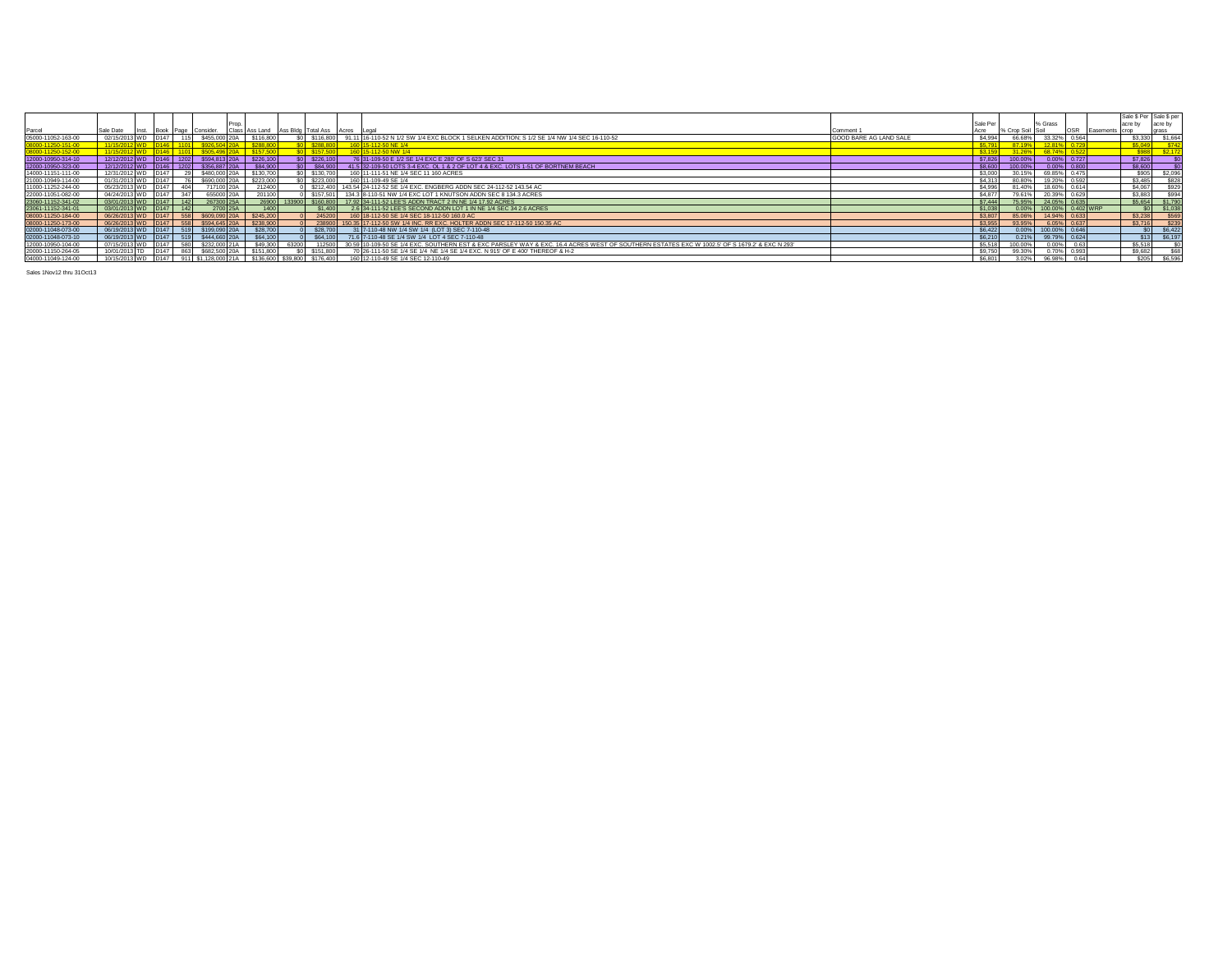|                    |                                     |                         |     |                                       |           |                |                              |                                                                                                                                               |                        |               |                  |                   |       |                | Sale \$ Per Sale \$ per |         |
|--------------------|-------------------------------------|-------------------------|-----|---------------------------------------|-----------|----------------|------------------------------|-----------------------------------------------------------------------------------------------------------------------------------------------|------------------------|---------------|------------------|-------------------|-------|----------------|-------------------------|---------|
|                    |                                     |                         |     |                                       |           |                |                              |                                                                                                                                               |                        | Sale Pe       |                  | % Grass           |       |                |                         | acre by |
| Parcel             | Sale Date Inst. Book Page Consider. |                         |     |                                       |           |                |                              | Class Ass Land Ass Bldg Total Ass Acres Legal                                                                                                 | Comment 1              |               | % Crop Soil Soil |                   |       | Easements crop |                         |         |
| 05000-11052-163-00 | 02/15/2013 WD                       | D <sub>147</sub>        | 115 | \$455,000 20A                         | \$116,800 |                |                              | \$0 \ \$116,800 \ 91.11 16-110-52 N 1/2 SW 1/4 EXC BLOCK 1 SELKEN ADDITION: S 1/2 SE 1/4 NW 1/4 SEC 16-110-52                                 | GOOD BARE AG LAND SALE | \$4,994       | 66.68%           | 33.32%            | 0.564 |                | \$3,330                 | \$1,664 |
| 08000-11250-151-00 | 11/15/2012 WD D146 1101             |                         |     |                                       | \$288.80  |                | <b>50 \$288,800</b>          | 160 15-112-50 NE 1/4                                                                                                                          |                        | <b>S5.791</b> | 87.19%           |                   |       |                | \$5,049                 |         |
| 8000-11250-152-00  |                                     |                         |     |                                       |           |                |                              | 60 15-112-50 NW 1/4                                                                                                                           |                        |               |                  |                   |       |                |                         |         |
| 12000-10950-314-10 |                                     |                         |     | 12/12/2012 WD D146 1202 \$594,813 20A | \$226,100 |                | $$0$ $$226,100$              | 76 31-109-50 E 1/2 SE 1/4 EXC E 280' OF S 623' SEC 31                                                                                         |                        | \$7,826       | 100.00%          | $0.00\%$ 0.727    |       |                | \$7,826                 |         |
| 12000-10950-323-00 | 12/12/2012 WD                       | D <sub>146</sub>   1202 |     | \$356 887 20A                         | S84,900   | S <sub>0</sub> | \$84,900                     | 41.5 32-109-50 LOTS 3-4 EXC, OL 1 & 2 OF LOT 4 & EXC, LOTS 1-51 OF BORTNEM BEACH                                                              |                        | \$8,600       | 100.00%          | $0.00\%$ 0.800    |       |                | S8.600                  |         |
| 14000-11151-111-00 | 12/31/2012 WD                       | D <sub>147</sub>        | 29  | \$480,000 20A                         | \$130,700 |                | \$0 \$130,700                | 160 11-111-51 NE 1/4 SEC 11 160 ACRES                                                                                                         |                        | \$3,000       | 30.15%           | 69.85% 0.475      |       |                | \$905                   | \$2,096 |
| 21000-10949-114-00 | 01/31/2013 WD                       | D <sub>147</sub>        | 76  | \$690,000 20A                         | \$223,000 |                | \$0 \$223,000                | 160 11-109-49 SE 1/4                                                                                                                          |                        | \$4,313       | 80.80%           | 19.20% 0.592      |       |                | \$3,485                 | \$828   |
| 11000-11252-244-00 | 05/23/2013 WD                       | D <sub>147</sub>        | 404 | 717100 20A                            | 212400    |                |                              | \$212,400 143.54 24-112-52 SE 1/4 EXC. ENGBERG ADDN SEC 24-112-52 143.54 AC                                                                   |                        | \$4,996       | 81.40%           | 18.60% 0.614      |       |                | \$4,067                 | \$929   |
| 22000-11051-082-00 | 04/24/2013 WD                       | D147                    | 347 | 655000 20A                            | 201100    |                |                              | \$157,501 134.3 8-110-51 NW 1/4 EXC LOT 1 KNUTSON ADDN SEC 8 134.3 ACRES                                                                      |                        | \$4,877       | 79.61%           | 20.39% 0.629      |       |                | \$3,883                 | \$994   |
| 23060-11152-341-02 | 03/01/2013 WD                       | D147                    | 142 | 267300 25A                            | 26900     | 133900         |                              | \$160,800 17.92 34-111-52 LEE'S ADDN TRACT 2 IN NE 1/4 17.92 ACRES                                                                            |                        | \$7,444       | 75.95%           | 24.05% 0.635      |       |                | \$5,654                 | \$1,790 |
| 23061-11152-341-01 | 03/01/2013 WD                       | D147                    | 142 | 2700 25A                              | 1400      |                | \$1,400                      | 2.6 34-111-52 LEE'S SECOND ADDN LOT 1 IN NE 1/4 SEC 34 2.6 ACRES                                                                              |                        | \$1,038       | 0.00%            | 100.00% 0.402 WRP |       |                |                         | \$1,038 |
| 08000-11250-184-00 | 06/26/2013 WD                       | D <sub>147</sub>        | 558 | \$609,090 20A                         | \$245,200 |                |                              | 245200 160 18-112-50 SE 1/4 SEC 18-112-50 160.0 AC                                                                                            |                        | \$3,807       | 85.06%           | 14.94% 0.633      |       |                | \$3,238                 | \$569   |
| 08000-11250-173-00 | 06/26/2013 WD                       | D <sub>147</sub>        | 558 | \$594,645 20A                         | \$238,900 |                |                              | 238900 150.35 17-112-50 SW 1/4 INC. RR EXC. HOLTER ADDN SEC 17-112-50 150.35 AC                                                               |                        | \$3,955       | 93.95%           | 6.05% 0.637       |       |                | \$3,716                 | \$239   |
| 02000-11048-073-00 | 06/19/2013 WD                       | D <sub>147</sub>        | 519 | \$199,090 20A                         | \$28,700  |                | \$28,700                     | 31 7-110-48 NW 1/4 SW 1/4 (LOT 3) SEC 7-110-48                                                                                                |                        | \$6,422       | 0.00%            | 100.00% 0.646     |       |                |                         | \$6,422 |
| 02000-11048-073-10 | 06/19/2013 WD                       | D147                    | 519 | \$444,660 20A                         | \$64,100  |                | \$64,100                     | 71.6 7-110-48 SE 1/4 SW 1/4 LOT 4 SEC 7-110-48                                                                                                |                        | \$6,210       | 0.21%            | 99.79% 0.624      |       |                | \$13                    | \$6,197 |
| 12000-10950-104-00 | 07/15/2013 WD                       | D147                    | 580 | \$232,000 21A                         | \$49,300  | 63200          | 112500                       | 30.59 10-109-50 SE 1/4 EXC. SOUTHERN EST & EXC PARSLEY WAY & EXC. 16.4 ACRES WEST OF SOUTHERN ESTATES EXC W 1002.5' OF S 1679.2' & EXC N 293' |                        | \$5,518       | 100.00%          | 0.00%             | 0.63  |                | S5.518                  |         |
| 20000-11150-264-05 | 10/01/2013 TD                       | D147                    | 863 | \$682,500 20A                         | \$151,800 |                | \$0 \$151,800                | 70 26-111-50 SE 1/4 SE 1/4 NE 1/4 SE 1/4 EXC. N 915' OF E 400' THEREOF & H-2                                                                  |                        | \$9,750       | 99.30%           | 0.70%             | 0.993 |                | \$9,682                 | \$68    |
| 04000-11049-124-00 | 10/15/2013 WD                       | D <sub>147</sub>        |     | 911 \$1,128,000 21A                   |           |                | \$136,600 \$39,800 \$176,400 | 160 12-110-49 SE 1/4 SEC 12-110-49                                                                                                            |                        | \$6,801       | 3.02%            | 96.98%            | 0.64  |                | \$205                   | S6,596  |
|                    |                                     |                         |     |                                       |           |                |                              |                                                                                                                                               |                        |               |                  |                   |       |                |                         |         |

Sales 1Nov12 thru 31Oct13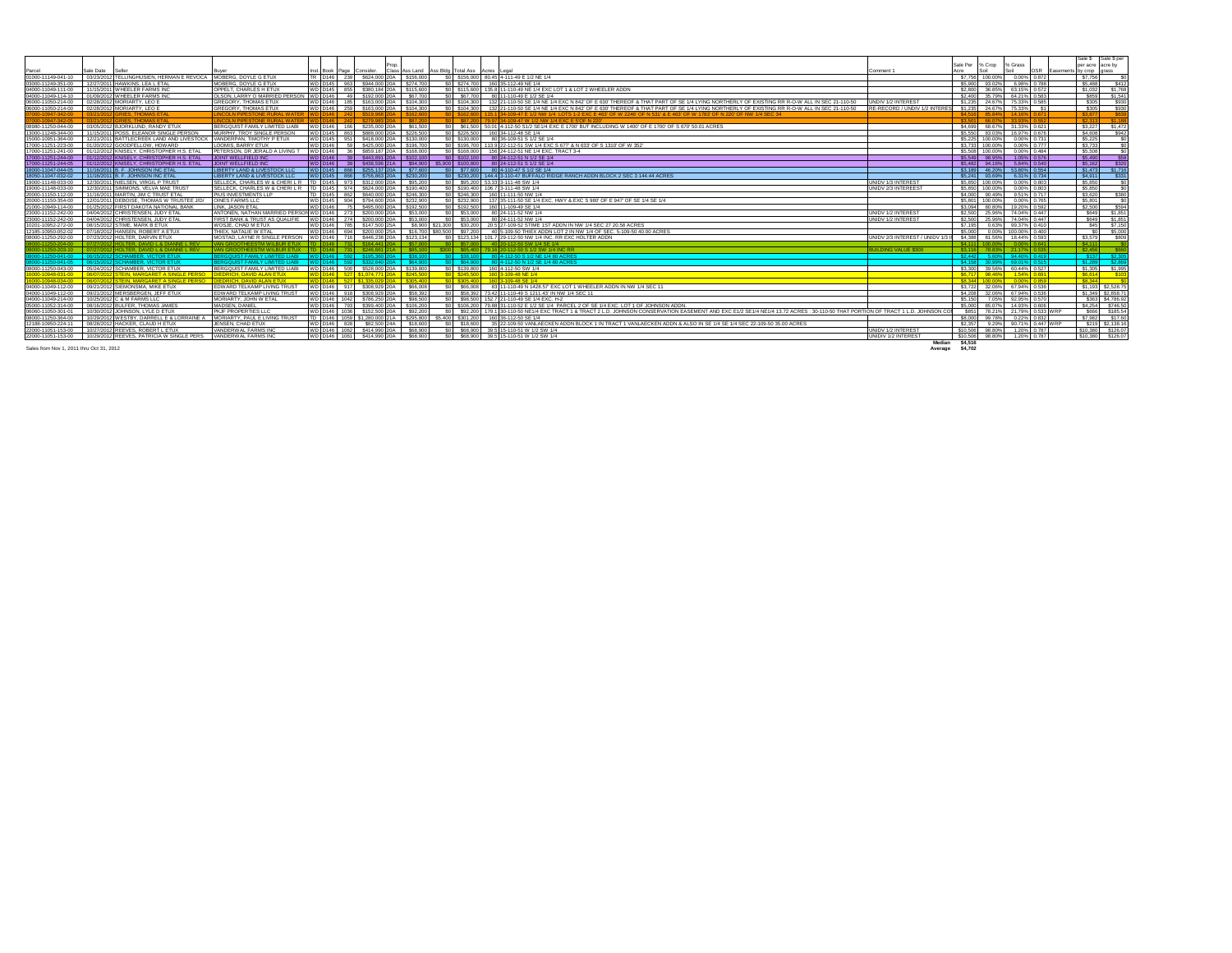|                                                   |                                                                                           |                                                                               |                                     |                                               |           |                                         |                                                                                                                                                                                       |                                                               |          |                           |                                |                             | Sale \$ Sale \$ per |
|---------------------------------------------------|-------------------------------------------------------------------------------------------|-------------------------------------------------------------------------------|-------------------------------------|-----------------------------------------------|-----------|-----------------------------------------|---------------------------------------------------------------------------------------------------------------------------------------------------------------------------------------|---------------------------------------------------------------|----------|---------------------------|--------------------------------|-----------------------------|---------------------|
|                                                   |                                                                                           |                                                                               |                                     |                                               |           |                                         |                                                                                                                                                                                       |                                                               | Sale Per | % Crop                    | % Grass                        | per acre acre by            |                     |
|                                                   |                                                                                           |                                                                               | Book Page Consider.                 |                                               |           | Class Ass Land Ass Bidg Total Ass Acres |                                                                                                                                                                                       | Comment 1                                                     |          |                           |                                | OSR Easements by crop grass |                     |
|                                                   | 01000-11149-041-10 03/23/2012 TELLINGHUSIEN, HERMAN E REVOCA MOBERG, DOYLE G ETUX         |                                                                               |                                     | TR D146 239 \$624,000 20A \$156.00            |           |                                         | 60 \$156,000 80.45 4-111-49 E 1/2 NE 1/4                                                                                                                                              |                                                               |          |                           | \$7,756 100,00% 0.00% 0.87     | \$7,756                     |                     |
| 03000-11249-351-00                                | 12/27/2011 HAWKINS. LEA L ETAL                                                            | <b>IOBERG, DOYLE G ETUX</b>                                                   |                                     | 963 \$944,000 20A                             | \$274.70  |                                         | \$0 \$274.700 160 35-112-49 NE 1/4                                                                                                                                                    |                                                               |          | \$5,900 93,02%            | 6.98% 0.78                     | \$5,488                     |                     |
|                                                   | 04000-11049-111-00 11/15/2011 WHEELER FARMS INC                                           | OPPELT. CHARLES H ETUX                                                        | WD D145 855 \$380,184 20A \$115,600 |                                               |           |                                         | \$0 \$115,600 135.8 11-110-49 NE 1/4 EXC LOT 1 & LOT 2 WHEELER ADDN                                                                                                                   |                                                               |          |                           | \$2,800 36,85% 63,15% 0.572    | \$1,032                     | \$1,76              |
|                                                   | 04000-11049-114-10   01/09/2012 WHEELER FARMS INC                                         | OLSON, LARRY O MARRIED PERSON WD D146 49 \$192,000 20A                        |                                     |                                               | \$67.70   |                                         | \$0 \$67,700 80 11-110-49 E 1/2 SE 1/4                                                                                                                                                |                                                               |          |                           | \$2,400 35,79% 64,21% 0.583    | <b>SR59</b>                 | \$1.54              |
|                                                   |                                                                                           | GREGORY, THOMAS ETUX                                                          |                                     | WD D146 185 \$163,000 20A \$104.30            |           |                                         | \$0 \$104,300 132 21-110-50 SE 1/4 NE 1/4 EXC N 842' OF E 630' THEREOF & THAT PART OF SE 1/4 LYING NORTHERLY OF EXISTING RR R-O-W ALL IN SEC 21-110-50                                | UNDIV 1/2 INTEREST                                            |          |                           | \$1,235 24,67% 75,33% 0.585    | \$305                       | \$93                |
| 06000-11050-214-00   02/28/2012   MORIARTY, LEO E |                                                                                           | <b>GREGORY, THOMAS ETUX</b>                                                   | WD D146 259 \$163,000 20A \$104,300 |                                               |           |                                         | \$0 \$104,300 132 21-110-50 SE 1/4 NE 1/4 EXC N 842' OF E 630' THEREOF & THAT PART OF SE 1/4 LYING NORTHERLY OF EXISTING RR R-O-W ALL IN SEC 21-110-50                                | RE-RECORD / UNDIV 1/2 INTERES \$1.235 24.67% 75.33%           |          |                           |                                | \$305                       | \$93                |
|                                                   | 33/21/2012 GRIES, THOMAS ETAI                                                             | <b>INCOLN PIPESTONE RURAL WATER</b>                                           |                                     |                                               |           |                                         | 3 \$162,600 115.1 34-109-47 E 1/2 NW 1/4 LOTS 1-2 EXC E 463' OF W 2246' OF N 531' & E 463' OF W 1783' OF N 220' OF NW 1/4 SEC 34                                                      |                                                               |          |                           |                                | \$3,877                     |                     |
|                                                   | 03/21/2012 GRIES THOMAS FTAL                                                              | <b>LINCOLN PIPESTONE RURAL WATER WI</b>                                       |                                     |                                               |           |                                         | 0 \$87,200 79.97 34-109-47 W 1/2 NW 1/4 EXC E 5 OF N 220                                                                                                                              |                                                               |          | <b>\$3501 6607% 3303%</b> |                                | $$2,313$ $$1,1$             |                     |
| 08980-11250-044-00                                | 03/05/2012 BJORKLUND, RANDY ETUX                                                          | BERGQUIST FAMILY LIMITED LIABI WD D146 166 \$235,000 20A \$61,500             |                                     |                                               |           |                                         | \$0 \$61,500 50.01 4-112-50 S1/2 SE1/4 EXC E 1700' BUT INCLUDING W 1400' OF E 1700' OF S 670' 50.01 ACRES                                                                             |                                                               |          |                           | \$4,699 68.67% 31.33% 0.621    |                             | \$3,227 \$1,47      |
| 13000-11248-344-00                                | 11/15/2011 POSS, ELEANOR SINGLE PERSON                                                    | MURPHY, TROY SINGLE PERSON                                                    | WD D145 863 \$888,000 20A \$226,50  |                                               |           |                                         | \$0 \$226,500 160 34-112-48 SE 1/4                                                                                                                                                    |                                                               |          |                           | \$5,550 83.03% 16.97% 0.676    | \$4,608                     |                     |
| 15000-10951-364-00                                | 12/21/2011 BATTLECREEK LAND AND LIVESTOCK VANDERPAN. TIMOTHY P ETUX                       |                                                                               | WD D145 951 \$418,000 20A \$130,000 |                                               |           |                                         | \$0 \$130,000 80 36-109-51 \$1/2 SE 1/4                                                                                                                                               |                                                               |          |                           | \$5,225 100,00% 0.00% 0.731    | \$5,225                     |                     |
|                                                   | 17000-11251-223-00   01/20/2012   GOODFELLOW, HOWARD                                      | LOOMIS, BARRY ETUX                                                            | WD D146                             | 59 \$425,000 20A \$196.70                     |           |                                         | \$0 \$196.700 113.9 22-112-51 SW 1/4 EXC S 677 & N 633' OF S 1310' OF W 352'                                                                                                          |                                                               |          |                           | \$3,733 100.00% 0.00% 0.777    | \$3,733                     |                     |
|                                                   |                                                                                           | PETERSON, DR JERALD A LIVING T   WD   D146   36   \$859,187   20A   \$168,000 |                                     |                                               |           |                                         | \$0 \$168,000 156 24-112-51 NE 1/4 EXC. TRACT 3-4                                                                                                                                     |                                                               |          |                           | \$5,508 100,00% 0.00% 0.484    | \$5,508                     |                     |
|                                                   |                                                                                           | JOINT WELLFIELD INC                                                           |                                     | WD D146 39 \$443,891 20A \$102,10             |           |                                         | \$0 \$102,100 80 24-112-51 N 1/2 SE 1/4                                                                                                                                               |                                                               |          |                           | \$5,549 98.95% 1.05% 0.576     | \$5,490                     |                     |
|                                                   | 17000-11251-244-05  01/12/2012 KNISELY, CHRISTOPHER H.S. ETAL                             | JOINT WELLFIELD INC                                                           |                                     |                                               |           |                                         | VD D146 39 \$438.596 21A \$94.900 \$5.900 \$100.800 80 24-112-51 \$1/2 SE 1/4                                                                                                         |                                                               |          |                           | \$5.482 94.16% 5.84% 0.540     | 55,162                      |                     |
|                                                   | 18000-11047-044-05   11/16/2011 B. F. JOHNSON INC ETAL                                    | LIBERTY LAND & LIVESTOCK LLC                                                  | WD D145 866 \$255,137 20A \$77,600  |                                               |           |                                         | \$0 \$77,600 80 4-110-47 \$1/2 SE 1/4                                                                                                                                                 |                                                               |          |                           | \$3,189 46.20% 53.80% 0.554    | \$1,473                     | \$1.7               |
|                                                   | 18050-11047-032-02 11/16/2011 B. F. JOHNSON INC ETAL                                      | LIBERTY LAND & LIVESTOCK LLC                                                  | WD D145 866 \$756,863 20A \$230,200 |                                               |           |                                         | \$0 \$230,200   144.4 3-110-47 BUFFALO RIDGE RANCH ADDN BLOCK 2 SEC 3 144.44 ACRES                                                                                                    |                                                               |          |                           | \$5,241 93,69% 6,31% 0,734     | \$4,911                     |                     |
| 19000-11148-033-00                                | 12/30/2011 NIELSEN, VIRGIL P TRUST                                                        | SELLECK, CHARLES W & CHERIL R   TD   D145   973   \$312,000   20A   \$95,200  |                                     |                                               |           |                                         | \$0 \$95,200 53,33 3-111-48 SW 1/4                                                                                                                                                    | UNIDV 1/3 INTEREST                                            |          |                           | \$5,850 100,00% 0.00% 0.803    | \$5,850                     |                     |
| 19000-11148-033-00                                | 12/30/2011 SIMMONS, VELVA MAE TRUST                                                       | SELLECK, CHARLES W & CHERIL R   TD   D145   974   \$624,000 20A   \$190,400   |                                     |                                               |           |                                         | \$0 \$190,400 106.7 3-111-48 SW 1/4                                                                                                                                                   | UNIDV 2/3 INTEREEST                                           |          |                           | \$5,850 100,00% 0.00% 0.803    | \$5,850                     |                     |
| 20000-11150-112-00                                | 11/16/2011 MARTIN, JIM C TRUST ETAL                                                       | PIUS INVESTMENTS LLP                                                          | TD D145 862 \$640,000 20A \$246,300 |                                               |           |                                         | \$0 \$246,300 160 11-111-50 NW 1/4                                                                                                                                                    |                                                               |          |                           | \$4,000 90,49% 9.51% 0.717     | \$3,620                     |                     |
| 20000-11150-354-00                                | 12/01/2011 DEBOISE, THOMAS W TRUSTEE J/D/ OINES FARMS LLC                                 |                                                                               | WD D145 904 \$794,600 20A \$232,901 |                                               |           |                                         | \$0 \$232,900 137 35-111-50 SE 1/4 EXC. HWY & EXC S 980 OF E 947 OF SE 1/4 SE 1/4                                                                                                     |                                                               |          |                           | \$5,801 100.00% 0.00% 0.765    | \$5,801                     |                     |
| 21000-10949-114-00                                | 01/25/2012 FIRST DAKOTA NATIONAL BANK                                                     | LINK, JASON ETAL                                                              |                                     | 75   \$495,000 20A                            | \$192.50  |                                         | \$0 \$192,500 160 11-109-49 SE 1/4                                                                                                                                                    |                                                               |          |                           | \$3.094 80.80% 19.20% 0.592    | \$2,500                     |                     |
| 23000-11152-242-00                                | 04/04/2012 CHRISTENSEN, JUDY ETAL                                                         | ANTONEN, NATHAN MARRIED PERSON WD D146   273   \$200,000 20A   \$53,000       |                                     |                                               |           |                                         | \$0 \$53,000 80 24-111-52 NW 1/4                                                                                                                                                      | UNIDV 1/2 INTEREST                                            |          |                           | \$2,500 25,96% 74,04% 0.447    | <b>S649</b>                 | \$1.85              |
| 23000-11152-242-00                                | 04/04/2012 CHRISTENSEN, JUDY ETAL                                                         | FIRST BANK & TRUST AS QUALIFIE WD D146 274 \$200,000 20A                      |                                     |                                               | \$53,000  |                                         | \$0 \$53,000 80 24-111-52 NW 1/4                                                                                                                                                      | UNIDV 1/2 INTEREST                                            |          |                           | \$2,500 25,96% 74,04% 0.447    |                             | \$649 \$1.85        |
|                                                   |                                                                                           | WOSJE, CHAD M ETUX                                                            |                                     |                                               |           |                                         | WD D146 785 \$147,500 25A \$8,900 \$21,300 \$30,200 20.5 27-109-52 STIME 1ST ADDN IN NW 1/4 SEC 27 20.58 ACRES                                                                        |                                                               |          |                           | \$7.195 0.63% 99.37% 0.410     |                             | \$45 \$7.15         |
|                                                   | 12185-10950-052-02  07/18/2012 HANSEN, ROBERT A ETUX                                      | THIEX. NATALIE W ETAL                                                         |                                     |                                               |           |                                         | WD  D146   694   \$200,000   25A   \$16,700   \$80,500   \$97,200   40   5-109-50 THIEX ADDN LOT 2 IN NW 1/4 OF SEC. 5-109-50 40.00 ACRES                                             |                                                               |          |                           | \$5,000 0.00% 100,00% 0.400    |                             | $$0 - $500$         |
|                                                   | 08000-11250-292-00  07/23/2012 HOLTER, DARVIN ETUX                                        | MOSTAD LAYNE R SINGLE PERSON WD D146                                          |                                     | 716 \$446 238 20A                             | \$123 134 |                                         | \$0   \$123.134   101.7 29-112-50 NW 1/4 INC. RR EXC HOLTER ADDN                                                                                                                      | UNIDV 2/3 INTEREST / UNIDV 1/3 II \$4.388 81.56% 18.44% 0.593 |          |                           |                                | \$3,579                     | \$80                |
|                                                   |                                                                                           | <b>IVAN GROOTHEESTM WILBUR ETUX I</b>                                         | D <sub>146</sub> 731 \$164,441 2    |                                               |           |                                         | \$0 \$57,000 40 20-112-50 SW 1/4 SE 1/4                                                                                                                                               |                                                               |          |                           | \$4.111 100.00% 0.00% 0.641    | 54,111                      |                     |
|                                                   | 12 HOLTER DAVID L& DIANNEL REV                                                            | VAN GROOTHEESTM WILBUR ETHX TTD D146 731   \$246 661 214   \$85 100           |                                     |                                               |           |                                         | \$300 \$85,400 79.16 20-112-50 \$1/2 SW 1/4 INC RR                                                                                                                                    | BUILDING VALUE \$300                                          |          |                           | \$3,116 78,83% 21,17% 0.535    | \$2456                      |                     |
|                                                   |                                                                                           | BERGQUIST FAMILY LIMITED LIABI WD D146   592   \$195.360 20A   \$38.100       |                                     |                                               |           |                                         | \$0 \$38,100 80 4-112-50 \$1/2 NE 1/4 80 ACRES                                                                                                                                        |                                                               |          |                           | \$2.442 5.60% 94.40% 0.419     | \$137 \$2.3                 |                     |
|                                                   |                                                                                           | <b>RERGOUIST FAMILY LIMITED LIARL</b>                                         |                                     | VD D146 592 \$332 640 204 S64 900             |           |                                         | \$0 \$64,900 80 4-112-50 N 1/2 SE 1/4 80 ACRES                                                                                                                                        |                                                               |          |                           | \$4,158 30,99% 69,01% 0.515    | $21280$ $225$               |                     |
|                                                   |                                                                                           | BERGQUIST FAMILY LIMITED LIABI WD D146 500 \$528,000 20A \$139,800            |                                     |                                               |           |                                         | \$0 \$139,800 160 4-112-50 SW 1/4                                                                                                                                                     |                                                               |          |                           | \$3.300 39.56% 60.44% 0.527    |                             | \$1,305 \$1,99      |
|                                                   | 16000-10948-031-00   06/07/2012 STEIN, MARGARET A SINGLE PERSO  DIEDRICH, DAVID ALAN ETUX |                                                                               |                                     | D <sub>146</sub> 527 \$1,074,771 20A \$245,50 |           |                                         | \$0 \$245,500 160 3-109-48 NE 1/4                                                                                                                                                     |                                                               |          |                           | \$6,717 98.46% 1.54% 0.691     | \$6,614                     |                     |
|                                                   | 06/07/2012 STEIN, MARGARET A SINGLE PERSO DIEDRICH, DAVID ALAN ETUX                       |                                                                               |                                     | 527 \$1.335.029 20A \$305.400                 |           |                                         | \$0 \$305,400 160 3-109-48 SE 1/4                                                                                                                                                     |                                                               |          |                           | \$8.344 100.00% 0.00% 0.85     | <b>SR 344</b>               |                     |
|                                                   | 04000-11049-112-00   09/21/2012 SIEMONSMA, MIKE ETUX                                      | EDWARD TELKAMP LIVING TRUST WD D146 917 \$308.929 20A \$66.008                |                                     |                                               |           |                                         | \$0 \$66,008 83 11-110-49 N 1428.57 EXC LOT 1 WHEELER ADDN IN NW 1/4 SEC 11                                                                                                           |                                                               |          |                           | \$3,722 32,06% 67,94% 0.536    |                             | \$1,193 \$2,528.7   |
|                                                   | 04000-11049-112-00   09/21/2012   MERSBERGEN. JEFF ETUX                                   | EDWARD TELKAMP LIVING TRUST WD D146   918   \$308.929 20A   \$58.392          |                                     |                                               |           |                                         | \$0 \$58.392 73.42 11-110-49 S 1211.43' IN NW 1/4 SEC 11                                                                                                                              |                                                               |          |                           | \$4,208 32,06% 67,94% 0.536    |                             | \$1,349 \$2,858.7   |
| 04000-11049-214-00                                | 10/25/2012 C & M FARMS LLC                                                                | MORIARTY, JOHN W ETAL                                                         |                                     | WD D146 1042 \$786,250 20A \$98,500           |           |                                         | \$0 \$98,500 152.7 21-110-49 SE 1/4 EXC. H-2                                                                                                                                          |                                                               |          |                           | \$5.150 7.05% 92.95% 0.570     |                             | \$363 \$4,786.9     |
| 05000-11052-314-00                                | 08/16/2012 BULFER, THOMAS JAMES                                                           | MADSEN, DANIEL                                                                |                                     | WD D146 793 \$399,400 20A \$106.20            |           |                                         | \$0 \$106,200 79.88 31-110-52 E 1/2 SE 1/4 PARCEL 2 OF SE 1/4 EXC. LOT 1 OF JOHNSON ADDN.                                                                                             |                                                               |          |                           | \$5,000 85,07% 14,93% 0,606    |                             | \$4,254 \$746.5     |
| 06060-11050-301-01                                | 10/30/2012 JOHNSON, LYLE D ETUX                                                           | PKJF PROPERTIES LLC                                                           |                                     | 1036 \$152,500 20A                            | \$92,20   |                                         | \$0 \$92,200 179.1 30-110-50 NE1/4 EXC TRACT 1 & TRACT 2 L.D. JOHNSON CONSERVATION EASEMENT AND EXC E1/2 SE1/4 NE1/4 13.72 ACRES : 30-110-50 THAT PORTION OF TRACT 1 L.D. JOHNSON COI |                                                               |          |                           | \$851 78.21% 21.79% 0.533 WRP  |                             | \$666 \$185.5       |
| 08000-11250-364-00                                | 10/29/2012 WESTBY, DARRELL E & LORRAINE A MORIARTY, PAUL E LIVING TRUST                   |                                                                               |                                     |                                               |           |                                         | TD  D146   1059   \$1,280,000   21A   \$295,800   \$5,400   \$301,200   160   36-112-50 SE 1/4                                                                                        |                                                               |          |                           | \$8,000 99.78% 0.22% 0.832     |                             | \$7,982 \$17.60     |
| 12188-10950-224-11                                | 08/28/2012 HACKER, CLAUD H ETUX                                                           | JENSEN, CHAD ETUX                                                             | WD D146 828 \$82,500 24A \$18,600   |                                               |           |                                         | \$0   \$18.600   35 22-109-50 VANLAECKEN ADDN BLOCK 1 IN TRACT 1 VANLAECKEN ADDN & ALSO IN SE 1/4 SE 1/4 SEC 22-109-50 35.00 ACRES                                                    |                                                               |          |                           | \$2,357 9.29% 90.71% 0.447 WRP |                             | S219 \$2,138.16     |
| 22000-11051-153-00                                | 10/27/2012 REEVES, ROBERT L ETUX                                                          | VANDERWAL FARMS INC                                                           | WD D146 1062 \$414,990 20A \$68,900 |                                               |           |                                         | \$0 \$68.900 39.5 15-110-51 W 1/2 SW 1/4                                                                                                                                              | UNIDV 1/2 INTEREST                                            |          |                           | \$10,506 98,80% 1,20% 0.787    | \$10,380 \$126.0            |                     |
|                                                   | 22000-11051-153-00 10/29/2012 REEVES, PATRICIA W SINGLE PERS VANDERWAL FARMS INC          |                                                                               | WD D146 1061 \$414,990 20A \$68,900 |                                               |           |                                         | \$0 \$68,900 39.5 15-110-51 W 1/2 SW 1/4                                                                                                                                              | <b>UNIDIV 1/2 INTEREST</b>                                    |          |                           | \$10,506 98,80% 1,20% 0.787    | \$10,380 \$126.0            |                     |

Sales from Nov 1, 2011 thru Oct 31, 2012 **Average \$4,702**

**Median \$4,516**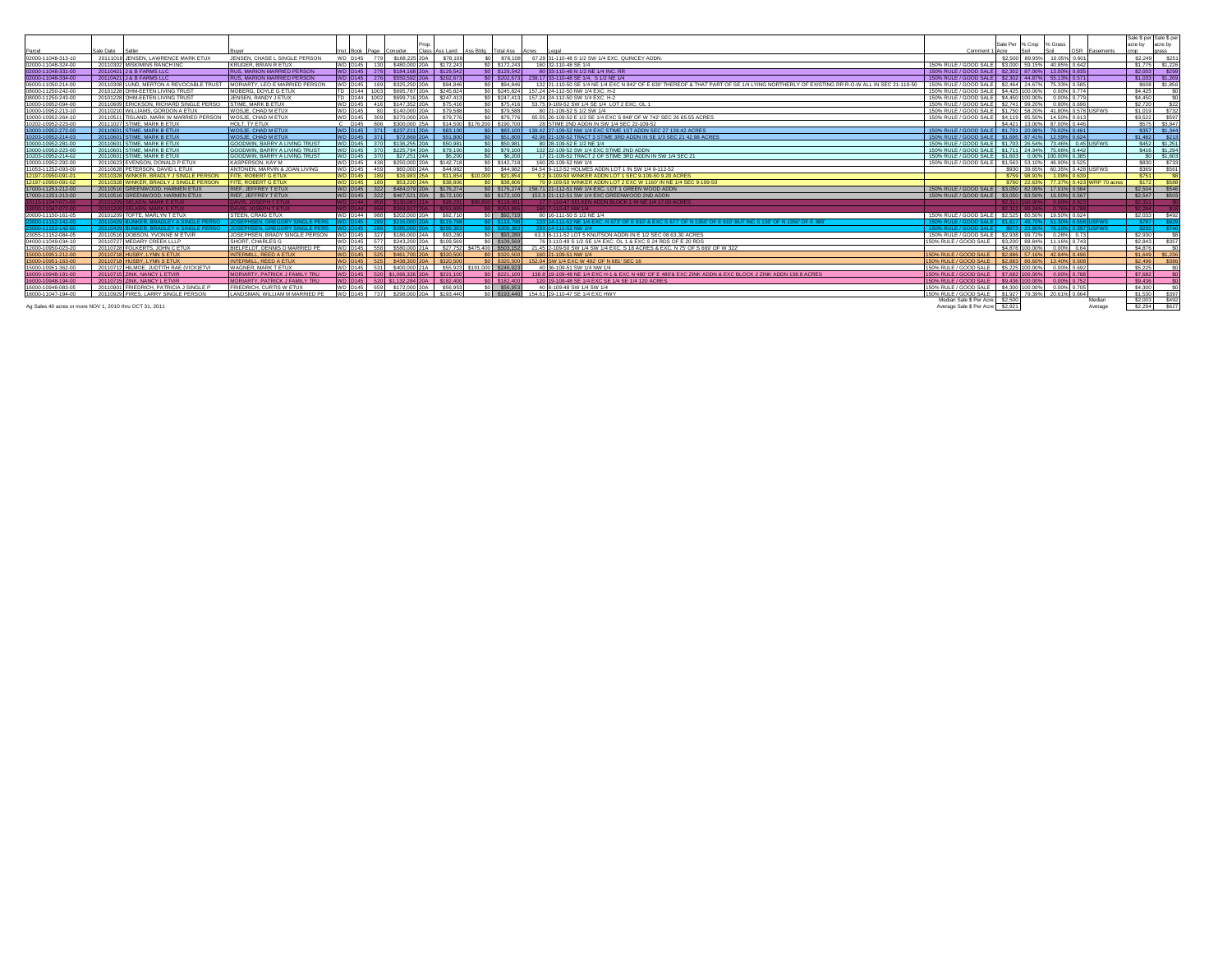|                     |                                                                                            |                                       |                         |                                                       |                                         |                              |                                                                                                                                         |                                                                 |                             |                                        |               | Sale \$ per Sale \$ per |                 |
|---------------------|--------------------------------------------------------------------------------------------|---------------------------------------|-------------------------|-------------------------------------------------------|-----------------------------------------|------------------------------|-----------------------------------------------------------------------------------------------------------------------------------------|-----------------------------------------------------------------|-----------------------------|----------------------------------------|---------------|-------------------------|-----------------|
|                     |                                                                                            |                                       |                         |                                                       |                                         |                              |                                                                                                                                         |                                                                 | Sale Per % Crop % Grass     |                                        |               | acre by                 | acre by         |
| Parcel              | Sale Date                                                                                  |                                       | Inst Rook Page Consider |                                                       | Class Ass Land Ass Bldg Total Ass Acres |                              | ll enal                                                                                                                                 | Comment 1 Acre                                                  | Soil                        | Soil                                   | OSR Easements | onr                     | grass           |
| 02000-11048-313-10  | 20111018 JENSEN, LAWRENCE MARK ETUX                                                        | JENSEN, CHASE L SINGLE PERSON         | <b>WD D145</b>          | \$168,225 20A                                         | \$78,108                                | \$78,108                     | 67.29 31-110-48 S 1/2 SW 1/4 EXC. QUINCEY ADDN.                                                                                         |                                                                 | \$2.500 89.95% 10.05% 0.601 |                                        |               |                         | \$2,249 \$251   |
| 02000-11048-324-00  | 20110302 MISKIMINS RANCH INC                                                               | <b>KRUGER, BRIAN R ETUX</b>           | WD D145 130             | \$480,000 20A                                         | \$172,243                               | SO \$172,243                 | 160 32-110-48 SE 1/4                                                                                                                    | 150% RULE / GOOD SALE \$3,000 59.15% 40.85% 0.642               |                             |                                        |               |                         | \$1,775 \$1,226 |
| 02000-11048-331-00  | 20110421 J & B FARMS LLC                                                                   | <b>RUS, MARION MARRIED PERSON</b>     | WD D145 276             | \$184,168 20A \$129,542                               |                                         | SO \$129,542                 | 80 33-110-48 N 1/2 NE 1/4 INC. RR                                                                                                       | 150% RULE / GOOD SALE   \$2,302 87.00%   13.00% 0.835           |                             |                                        |               |                         | \$2,003 \$299   |
| 02000-11048-334-00  | 20110421 J & B FARMS LLC                                                                   | <b>RUS. MARION MARRIED PERSON</b>     |                         | WD D145 276 \$550,592 20A \$202,673                   |                                         |                              | \$0 \$202,673 239,17 33-110-48 SE 1/4, S 1/2 NE 1/4                                                                                     | 150% RULE / GOOD SALE   \$2,302   44.87%   55.13% 0.571         |                             |                                        |               |                         | \$1,033 \$1,269 |
| 06000-11050-214-00  | 20110308 LUND, MERTON A REVOCABLE TRUST                                                    | MORIARTY. LEO E MARRIED PERSON        | WD D145 169             | \$325,250 20A \$94,846                                |                                         | \$0 \$94,846                 | 132 21-110-50 SE 1/4 NE 1/4 EXC N 842 OF E 630' THEREOF & THAT PART OF SE 1/4 LYING NORTHERLY OF EXISTING RR R-O-W ALL IN SEC 21-110-50 | 150% RULE / GOOD SALE \$2,464 24,67% 75,33% 0.585               |                             |                                        |               |                         | \$608 \$1,856   |
| 08000-11250-242-00  | 20101228 OHM-EETEN LIVING TRUST                                                            | MOBERG, DOYLE G ETUX                  | TD D144 1003            | \$695,787 20A                                         | \$245,824                               |                              | SO \$245,824 157,24 24-112-50 NW 1/4 EXC. H-2                                                                                           | 150% RULE / GOOD SALE \$4,425 100,00%                           |                             | 0.00% 0.774                            |               | \$4,425                 |                 |
| 08000-11250-243-00  | 20101228 OHM-EETEN LIVING TRUST                                                            | JENSEN, RANDY J ETUX                  | TD D144 1002            | \$699,716 20A \$247,413                               |                                         |                              | \$0 \$247.413 157.24 24-112-50 SW 1/4 EXC. H-2                                                                                          | 150% RULE / GOOD SALE \$4,450 100,00% 0.00% 0.779               |                             |                                        |               | \$4,450                 |                 |
| 10000-10952-094-00  | 20110609 ERICKSON, RICHARD SINGLE PERSO                                                    | STIME. MARK B ETUX                    | WD D145 416             | \$147,352 20A                                         | \$75,416                                | \$75,416                     | 53.75 9-109-52 SW 1/4 SE 1/4 LOT 2 EXC. OL 1                                                                                            | 150% RULE / GOOD SALE \$2.741 99.20%                            |                             | 0.80% 0.696                            |               | \$2,720                 | \$22            |
| 10000-10952-213-10  | 20110210 WILLIAMS, GORDON A ETUX                                                           | WOSJE. CHAD M ETUX                    | WD D145                 | \$140,000 20A                                         | \$79,588                                | 60 \$79,588                  | 80 21-109-52 S 1/2 SW 1/4                                                                                                               | 150% RULE / GOOD SALE   \$1,750   58,20%   41,80%   0.578 USFWS |                             |                                        |               | \$1,019                 | \$732           |
| 10000-10952-264-10  | 20110511 TISLAND, MARK W MARRIED PERSON                                                    | WOSJE, CHAD M ETUX                    | WD D145 309             | \$270,000 20A                                         | \$79,776                                | \$79,776                     | 65.55 26-109-52 E 1/2 SE 1/4 EXC S 848' OF W 742' SEC 26 65.55 ACRES                                                                    | 150% RULE / GOOD SALE \$4,119 85.50% 14.50% 0.613               |                             |                                        |               | \$3,522                 | \$597           |
| 10202-10952-223-00  | 20111027 STIME, MARK B ETUX                                                                | HOLT. TY ETUX                         |                         | C D145 806 \$300,000 25A \$14,500 \$176,200 \$190,700 |                                         |                              | 28 STIME 2ND ADDN IN SW 1/4 SEC 22-109-52                                                                                               |                                                                 | \$4,421 13,00% 87,00% 0.446 |                                        |               |                         | \$575 \$3,847   |
| 10000-10952-272-00  | 20110601 STIME, MARK B ETUX                                                                | <b>WOSJE, CHAD M ETUX</b>             |                         | WD D145 371 \$237,211 20A                             | \$83,100                                |                              | \$83,100 139.42 27-109-52 NW 1/4 EXC STIME 1ST ADDN SEC 27 139.42 ACRES                                                                 | 150% RULE / GOOD SALE \$1.701 20.98% 79.02% 0.461               |                             |                                        |               |                         | \$357 \$1,344   |
| 10203-10952-214-03  | 20110601 STIME, MARK B ETUX                                                                | WOSJE, CHAD M ETUX                    |                         | WD D145 371 \$72,869 20A                              | \$51,800                                | SO \$51,800                  | 42.98 21-109-52 TRACT 3 STIME 3RD ADDN IN SE 1/3 SEC 21 42.98 ACRES                                                                     | 150% RULE / GOOD SALE \$1,695 87.41% 12.59% 0.624               |                             |                                        |               |                         | \$1,482 \$213   |
| 10000-10952-281-00  | 20110601 STIME, MARK B ETUX                                                                | <b>GOODWIN, BARRY A LIVING TRUST</b>  |                         | WD D145 370 \$136,255 20A \$50,981                    |                                         | \$0 \$50,981                 | 80 28-109-52 E 1/2 NE 1/4                                                                                                               | 150% RULE / GOOD SALE   \$1,703 26,54%   73,46%   0.45 USFWS    |                             |                                        |               |                         | \$452 \$1,251   |
| 10000-10952-223-00  | 20110601 STIME, MARK B ETUX                                                                | <b>GOODWIN, BARRY A LIVING TRUST</b>  |                         | WD D145 370 \$225,794 20A \$79,100                    |                                         | SO \$79,100                  | 132 22-109-52 SW 1/4 EXC STIME 2ND ADDN                                                                                                 | 150% RULE / GOOD SALE \$1.711 24.34% 75.66% 0.442               |                             |                                        |               |                         | \$416 \$1,294   |
| 10203-10952-214-02  | 20110601 STIME, MARK B ETUX                                                                | <b>GOODWIN, BARRY A LIVING TRUST</b>  | WD D145 370             | S27.251 24A                                           | \$6,200                                 | \$0 \$6,200                  | 17 21-109-52 TRACT 2 OF STIME 3RD ADDN IN SW 1/4 SEC 21                                                                                 | 150% RULE / GOOD SALE \$1,603 0.00% 100.00% 0.385               |                             |                                        |               |                         | SO \$1,60       |
| 10000-10952-292-00  | 20110623 EVENSON, DONALD P ETUX                                                            | KASPERSON, KAY M                      | WD D145 438             | \$250,000 20A                                         | \$142,718                               | SO \$142,718                 | 160 29-109-52 NW 1/4                                                                                                                    | 150% RULE / GOOD SALE \$1,563 53,10% 46,90% 0.525               |                             |                                        |               |                         | \$830 \$733     |
| 11053-11252-093-00  | 20110628 PETERSON, DAVID L ETUX                                                            | ANTONEN, MARVIN & JOAN LIVING         | WD D145 459             | S60,000 24A                                           | \$44,982                                | S44.982                      | 64.54 9-112-52 HOLMES ADDN LOT 1 IN SW 1/4 9-112-52                                                                                     |                                                                 |                             | \$930 39.65% 60.35% 0.428 USFWS        |               |                         | \$369 \$561     |
| 12197-10950-091-01  | 20110328 WINKER, BRADLY J SINGLE PERSON                                                    | <b>ITE, ROBERT G ETUX</b>             | <b>WD D145 189</b>      | \$16,983 25A \$11,854 \$10,000 \$21,854               |                                         |                              | 9.2 9-109-50 WINKER ADDN LOT 1 SEC 9-109-50 9.20 ACRES                                                                                  |                                                                 |                             | \$759 98.91% 1.09% 0.639               |               | S751                    |                 |
| 12197-10950-091-02  | WINKER, BRADLY J SINGLE PERSON<br>2011032                                                  | <b>ITE ROBERT G ETUX</b>              | WD D145 189             | S53 220 24A                                           | \$38,806                                | \$38,806                     | 70 9-109-50 WINKER ADDN LOT 2 EXC W 1160' IN NE 1/4 SEC 9-109-50                                                                        |                                                                 |                             | \$760 22 63% 77 37% 0 423 WRP 70 acres |               | \$172                   | <b>S588</b>     |
| 17000-11251-212-00  | 20110516 GREENWOOD, HARMEN ETUX                                                            | RIEF, JEFFREY T ETUX                  |                         | WD D145 322 \$484,079 20A \$176,274                   |                                         |                              | \$0   \$176.274   158.71 21-112-51 NW 1/4 EXC. LOT 1 GREEN WOOD ADDN                                                                    | 150% RULE / GOOD SALE \$3,050 82,09% 17,91% 0.584               |                             |                                        |               | \$2,504                 | <b>\$546</b>    |
| 17000-11251-213-00  | 20110516 GREENWOOD, HARMEN ETUX                                                            | RIEF, JEFFREY T ETUX                  | WD D145 322             | \$467,521 20A \$172,100                               |                                         | SO \$172,100                 | 153.3 21-112-51 SW 1/4 EXC GREENWOOD 2ND ADDN                                                                                           | 150% RULE / GOOD SALE \$3.050 83.50% 16.50% 0.567               |                             |                                        |               | \$2,547                 | \$503           |
| $-11047 - 071 - 00$ | 20101209 SELKEN, MARK E ETUX                                                               | DAVIS, JOSEPH T ETUX                  |                         | ) D144   958   \$130.083 21A    \$28.281              |                                         | 800 S119.081                 | 17 7-110-47 SELKEN ADDN BLOCK 1 IN NE 1/4 17:00 ACRES                                                                                   |                                                                 |                             |                                        |               | S <sub>2</sub> .311     |                 |
|                     | 20101209 SELKEN, MARK E ETUX                                                               | <b>DAVIS, JOSEPH T ETUX</b>           | VD D144 958             | S369 917 20A                                          |                                         |                              | 0 7-110-47 NW 1/4                                                                                                                       |                                                                 |                             |                                        |               | S2 294                  |                 |
| 20000-11150-161-05  | 20101209 TOFTE, MARLYN T ETUX                                                              | STEEN, CRAIG ETUX                     | WD D144 988             | \$202,000 20A                                         | \$92,710                                | \$0 \$92 710                 | 80 16-111-50 S 1/2 NF 1/4                                                                                                               | 150% RULE / GOOD SALE 32 525 80 50% 19 50% 0 624                |                             |                                        |               |                         | \$2,033 \$492   |
| 000-11152-141-00    | 20110429 BUNKER, BRADLEY A SINGLE PERSO   JOSEPHSEN, GREGORY SINGLE PERS   WD   D145   289 |                                       |                         | \$215,000 20A                                         | \$119,798                               | SO 5119 798                  | 133 14-111-52 NE 1/4 EXC, N 673' OF E 910' & EXC S 677' OF N 1350' OF E 910' BUT INC S 130' OF N 1350' OF E 389                         | 150% RULE / GOOD SALE   \$1.617   48.70%   51.30%   0.558 USEWS |                             |                                        |               |                         | \$787 \$82      |
| 000-11152-142-00    | 20110429 BUNKER, BRADLEY A SINGLE PERSO                                                    | JOSEPHSEN, GREGORY SINGLE PERS        | VD D145 289             | \$285,000 20A                                         | \$209,383                               | SO \$209,383                 | 293 14-111-52 NW 1/4                                                                                                                    | 150% RULE / GOOD SALE \$973 23.90% 76.10% 0.397 USFWS           |                             |                                        |               |                         | \$232 \$74      |
| 23055-11152-084-05  | 20110516 DOBSON, YVONNE M ETVIR                                                            | JOSEPHSEN, BRADY SINGLE PERSON        | WD D145 327             | \$186,000 24A                                         | \$93,280                                | SO \$93,280                  | 63.3 8-111-52 LOT 5 KNUTSON ADDN IN E 1/2 SEC 08 63.30 ACRES                                                                            | 150% RULE / GOOD SALE \$2,938 99,72% 0.28% 0.73                 |                             |                                        |               | \$2,930                 |                 |
| 04000-11049-034-10  | 20110727 MEDARY CREEK LLLP                                                                 | SHORT, CHARLES G                      | WD D145 577             | \$243,200 20A                                         | \$109,569                               | SO \$109.56                  | 76 3-110-49 S 1/2 SE 1/4 EXC, OL 1 & EXC S 24 RDS OF E 20 RDS                                                                           | 150% RULE / GOOD SALE   \$3.200 88.84%   11.16% 0.743           |                             |                                        |               | \$2,843                 | \$357           |
| 12000-10950-023-20  | 20110728 FOLKERTS, JOHN C ETUX                                                             | BIELFELDT. DENNIS D MARRIED PE        | WD D145 558             | \$580,000 21A                                         |                                         | \$27,752 \$475,400 \$503,152 | 21.45 2-109-50 SW 1/4 SW 1/4 EXC. S 18 ACRES & EXC. N 75' OF S 669' OF W 322'                                                           |                                                                 | \$4,876 100,00% 0.00% 0.64  |                                        |               | \$4,876                 |                 |
| 15000-10951-212-00  | 20110718 HUSBY, LYNN S ETUX                                                                | <b>INTERMILL, REED A ETUX</b>         | WD D145 525             | \$461,700 20A                                         | \$320,500                               | $$0$ $$320.500$              | 160 21-109-51 NW 1/4                                                                                                                    | 150% RULE / GOOD SALE \ \$2.886 57.16% 42.84% 0.496             |                             |                                        |               |                         | \$1,649 \$1,236 |
| 15000-10951-163-00  | 20110718 HUSBY, LYNN S ETUX                                                                | INTERMILL, REED A ETUX                | WD D145 525             | \$438,300,204 \$320,500                               |                                         | SO \$320,500                 | 152.04 SW 1/4 EXC W 492' OF N 681' SEC 16                                                                                               | 150% RULE / GOOD SALE \ \$2,883 86,60% 13,40% 0.608             |                             |                                        |               | S2.496                  | \$386           |
| 15000-10951-362-00  | 20110712 HILMOE, JUDTITH RAE (VICK)ETVI                                                    | WAGNER, MARK T ETUX                   | WD D145 531             | \$400,000 21A \$55,923 \$191,000 \$246,923            |                                         |                              | 40 36-109-51 SW 1/4 NW 1/4                                                                                                              | 150% RULE / GOOD SALE \$5,225 100.00%                           |                             | 0.00% 0.692                            |               | \$5,225                 |                 |
| 16000-10948-191-00  | 20110715 ZINK, NANCY L ETVIR                                                               | <b>MORIARTY, PATRICK J FAMILY TRU</b> |                         | WD D145 520 \$1,066,326 20A \$221,100                 |                                         | SO \$221,100                 | 138.8 19-109-48 NE 1/4 EXC H-1 & EXC N 480' OF E 480'& EXC ZINK ADDN & EXC BLOCK 2 ZINK ADDN 138.8 ACRES                                | 150% RULE / GOOD SALE   \$7,682 100,00%   0.00%   0.788         |                             |                                        |               | \$7,682                 |                 |
| 16000-10948-194-00  | 20110715 ZINK, NANCY L ETVIR                                                               | <b>MORIARTY, PATRICK J FAMILY TRU</b> |                         | WD D145 520 \$1.132.284 20A \$182.400                 |                                         | SO \$182,400                 | 120 19-109-48 SE 1/4 EXC SE 1/4 SE 1/4 120 ACRES                                                                                        | 150% RULE / GOOD SALE \$9.436 100,00% 0.00% 0.752               |                             |                                        |               | \$9,436                 |                 |
| 16000-10948-083-05  | 20110901 FRIEDRICH, PATRICIA J SINGLE P                                                    | <b>FRIEDRICH, CURTIS W ETUX</b>       | WD D145 659             | \$172,000 20A \$56,953                                |                                         | SO \$56,953                  | 40 8-109-48 SW 1/4 SW 1/4                                                                                                               | 150% RULE / GOOD SALE   \$4,300 100,00%   0.00% 0.705           |                             |                                        |               | \$4,300                 |                 |
| 18000-11047-194-00  | 20110929 PIRES, LARRY SINGLE PERSON                                                        | LANDSMAN. WILLIAM M MARRIED PE        |                         | WD D145 737 \$298,000 20A \$193,440                   |                                         |                              | \$0 \$193,440 154.61 19-110-47 SE 1/4 EXC HWY                                                                                           | 150% RULE / GOOD SALE \$1,927 79.39% 20.61% 0.664               |                             |                                        |               | \$1,530                 |                 |
|                     |                                                                                            |                                       |                         |                                                       |                                         |                              |                                                                                                                                         | Median Sale \$ Per Acre \$2.500                                 |                             |                                        | Median        | S2.003                  | \$397<br>S492   |
|                     |                                                                                            |                                       |                         |                                                       |                                         |                              |                                                                                                                                         | Average Sale \$ Per Acre \$2,921                                |                             |                                        |               | S2.294                  | S627            |
|                     | Ag Sales 40 acres or more NOV 1, 2010 thru OCT 31, 2011                                    |                                       |                         |                                                       |                                         |                              |                                                                                                                                         |                                                                 |                             |                                        | Average       |                         |                 |